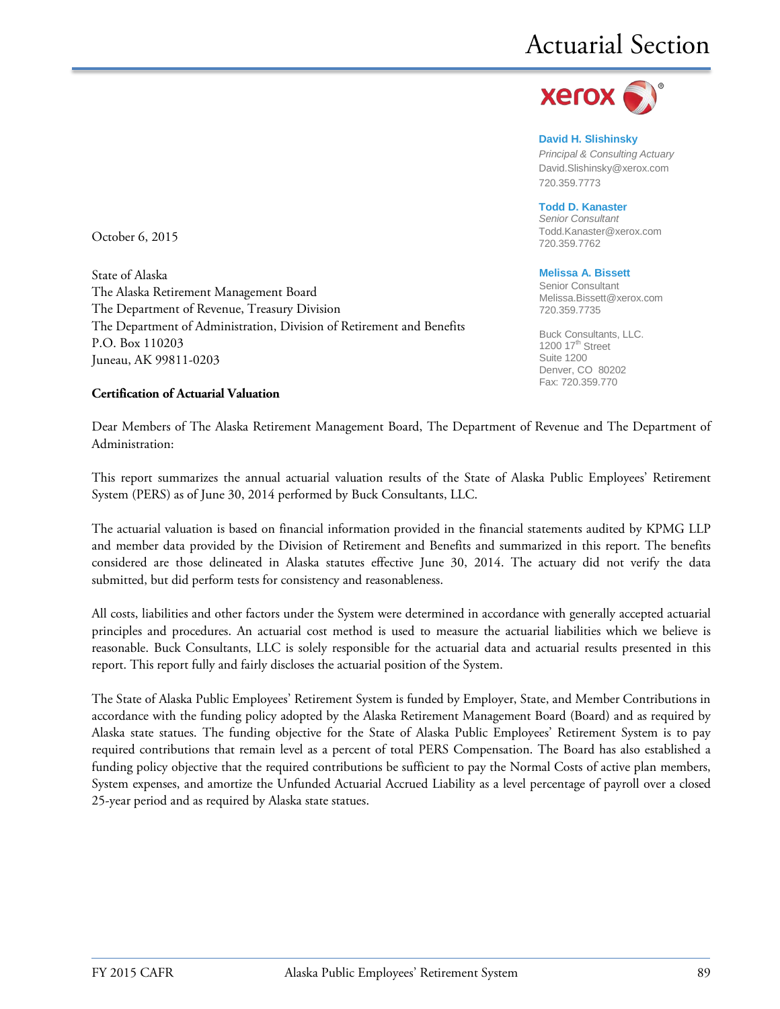

**David H. Slishinsky** *Principal & Consulting Actuary* [David.Slishinsky@xerox.com](mailto:David.Slishinsky@xerox.com) 720.359.7773

#### **Todd D. Kanaster**

*Senior Consultant* [Todd.Kanaster@xerox.com](mailto:Todd.Kanaster@xerox.com) 720.359.7762

#### **Melissa A. Bissett**

Senior Consultant Melissa.Bissett@xerox.com 720.359.7735

Buck Consultants, LLC. 1200  $17<sup>th</sup>$  Street Suite 1200 Denver, CO 80202 Fax: 720.359.770

October 6, 2015

State of Alaska The Alaska Retirement Management Board The Department of Revenue, Treasury Division The Department of Administration, Division of Retirement and Benefits P.O. Box 110203 Juneau, AK 99811-0203

#### **Certification of Actuarial Valuation**

Dear Members of The Alaska Retirement Management Board, The Department of Revenue and The Department of Administration:

This report summarizes the annual actuarial valuation results of the State of Alaska Public Employees' Retirement System (PERS) as of June 30, 2014 performed by Buck Consultants, LLC.

The actuarial valuation is based on financial information provided in the financial statements audited by KPMG LLP and member data provided by the Division of Retirement and Benefits and summarized in this report. The benefits considered are those delineated in Alaska statutes effective June 30, 2014. The actuary did not verify the data submitted, but did perform tests for consistency and reasonableness.

All costs, liabilities and other factors under the System were determined in accordance with generally accepted actuarial principles and procedures. An actuarial cost method is used to measure the actuarial liabilities which we believe is reasonable. Buck Consultants, LLC is solely responsible for the actuarial data and actuarial results presented in this report. This report fully and fairly discloses the actuarial position of the System.

The State of Alaska Public Employees' Retirement System is funded by Employer, State, and Member Contributions in accordance with the funding policy adopted by the Alaska Retirement Management Board (Board) and as required by Alaska state statues. The funding objective for the State of Alaska Public Employees' Retirement System is to pay required contributions that remain level as a percent of total PERS Compensation. The Board has also established a funding policy objective that the required contributions be sufficient to pay the Normal Costs of active plan members, System expenses, and amortize the Unfunded Actuarial Accrued Liability as a level percentage of payroll over a closed 25-year period and as required by Alaska state statues.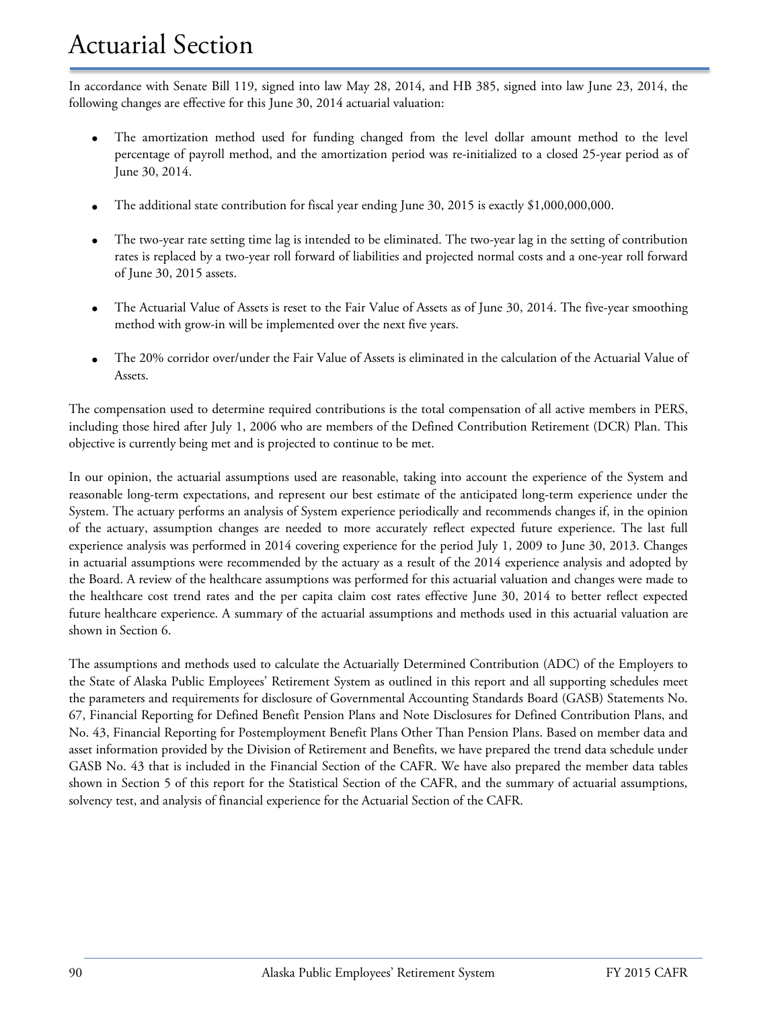### Actuarial Section

In accordance with Senate Bill 119, signed into law May 28, 2014, and HB 385, signed into law June 23, 2014, the following changes are effective for this June 30, 2014 actuarial valuation:

- The amortization method used for funding changed from the level dollar amount method to the level percentage of payroll method, and the amortization period was re-initialized to a closed 25-year period as of June 30, 2014.
- The additional state contribution for fiscal year ending June 30, 2015 is exactly \$1,000,000,000.
- The two-year rate setting time lag is intended to be eliminated. The two-year lag in the setting of contribution rates is replaced by a two-year roll forward of liabilities and projected normal costs and a one-year roll forward of June 30, 2015 assets.
- The Actuarial Value of Assets is reset to the Fair Value of Assets as of June 30, 2014. The five-year smoothing method with grow-in will be implemented over the next five years.
- The 20% corridor over/under the Fair Value of Assets is eliminated in the calculation of the Actuarial Value of Assets.

The compensation used to determine required contributions is the total compensation of all active members in PERS, including those hired after July 1, 2006 who are members of the Defined Contribution Retirement (DCR) Plan. This objective is currently being met and is projected to continue to be met.

In our opinion, the actuarial assumptions used are reasonable, taking into account the experience of the System and reasonable long-term expectations, and represent our best estimate of the anticipated long-term experience under the System. The actuary performs an analysis of System experience periodically and recommends changes if, in the opinion of the actuary, assumption changes are needed to more accurately reflect expected future experience. The last full experience analysis was performed in 2014 covering experience for the period July 1, 2009 to June 30, 2013. Changes in actuarial assumptions were recommended by the actuary as a result of the 2014 experience analysis and adopted by the Board. A review of the healthcare assumptions was performed for this actuarial valuation and changes were made to the healthcare cost trend rates and the per capita claim cost rates effective June 30, 2014 to better reflect expected future healthcare experience. A summary of the actuarial assumptions and methods used in this actuarial valuation are shown in Section 6.

The assumptions and methods used to calculate the Actuarially Determined Contribution (ADC) of the Employers to the State of Alaska Public Employees' Retirement System as outlined in this report and all supporting schedules meet the parameters and requirements for disclosure of Governmental Accounting Standards Board (GASB) Statements No. 67, Financial Reporting for Defined Benefit Pension Plans and Note Disclosures for Defined Contribution Plans, and No. 43, Financial Reporting for Postemployment Benefit Plans Other Than Pension Plans. Based on member data and asset information provided by the Division of Retirement and Benefits, we have prepared the trend data schedule under GASB No. 43 that is included in the Financial Section of the CAFR. We have also prepared the member data tables shown in Section 5 of this report for the Statistical Section of the CAFR, and the summary of actuarial assumptions, solvency test, and analysis of financial experience for the Actuarial Section of the CAFR.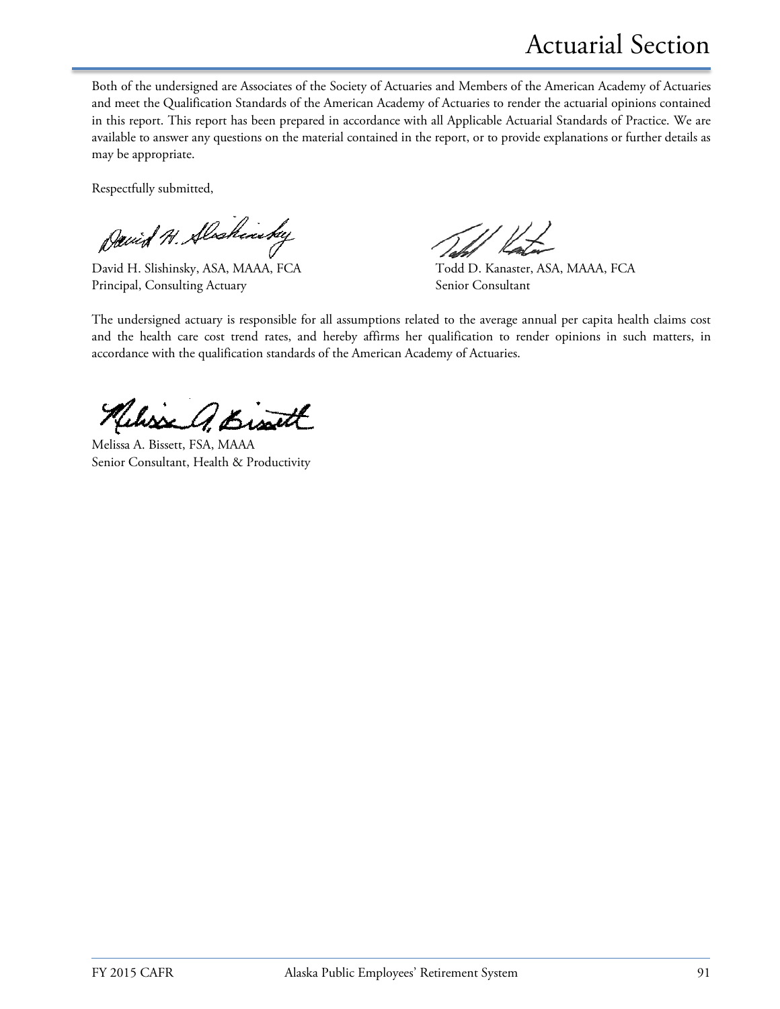Actuarial Section

Both of the undersigned are Associates of the Society of Actuaries and Members of the American Academy of Actuaries and meet the Qualification Standards of the American Academy of Actuaries to render the actuarial opinions contained in this report. This report has been prepared in accordance with all Applicable Actuarial Standards of Practice. We are available to answer any questions on the material contained in the report, or to provide explanations or further details as may be appropriate.

Respectfully submitted,

David H. Alscheristey

David H. Slishinsky, ASA, MAAA, FCA Todd D. Kanaster, ASA, MAAA, FCA Principal, Consulting Actuary Senior Consultant

The undersigned actuary is responsible for all assumptions related to the average annual per capita health claims cost and the health care cost trend rates, and hereby affirms her qualification to render opinions in such matters, in accordance with the qualification standards of the American Academy of Actuaries.

Kelisse A. Bisatt

Melissa A. Bissett, FSA, MAAA Senior Consultant, Health & Productivity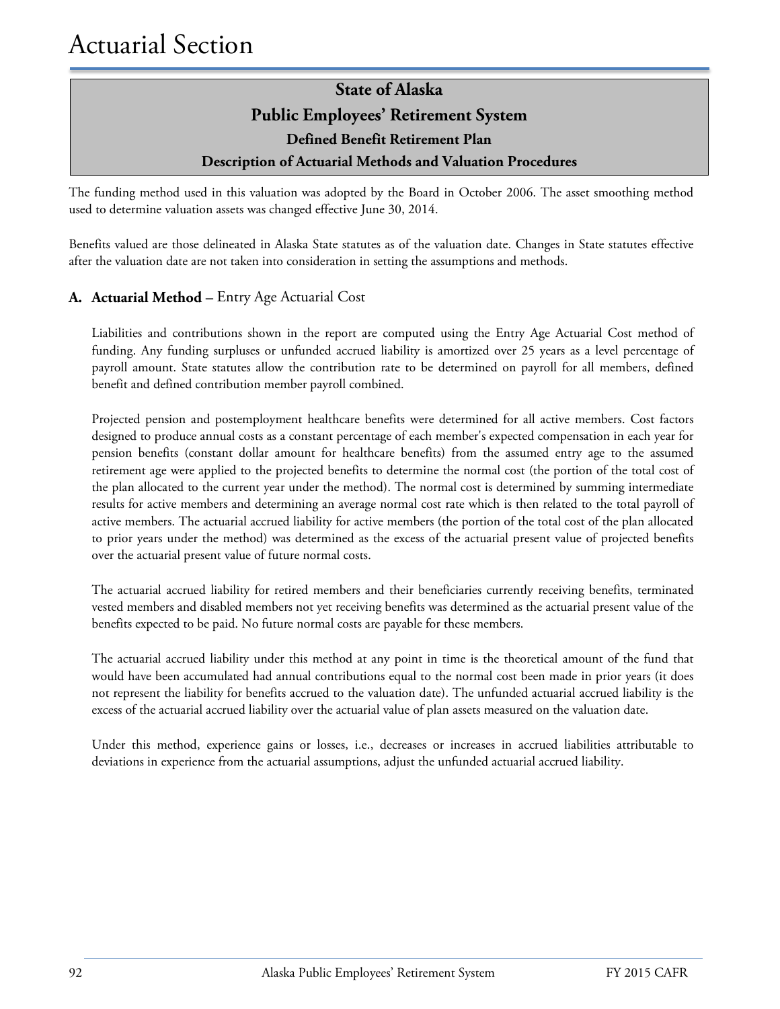The funding method used in this valuation was adopted by the Board in October 2006. The asset smoothing method used to determine valuation assets was changed effective June 30, 2014.

Benefits valued are those delineated in Alaska State statutes as of the valuation date. Changes in State statutes effective after the valuation date are not taken into consideration in setting the assumptions and methods.

#### **A. Actuarial Method –** Entry Age Actuarial Cost

Liabilities and contributions shown in the report are computed using the Entry Age Actuarial Cost method of funding. Any funding surpluses or unfunded accrued liability is amortized over 25 years as a level percentage of payroll amount. State statutes allow the contribution rate to be determined on payroll for all members, defined benefit and defined contribution member payroll combined.

Projected pension and postemployment healthcare benefits were determined for all active members. Cost factors designed to produce annual costs as a constant percentage of each member's expected compensation in each year for pension benefits (constant dollar amount for healthcare benefits) from the assumed entry age to the assumed retirement age were applied to the projected benefits to determine the normal cost (the portion of the total cost of the plan allocated to the current year under the method). The normal cost is determined by summing intermediate results for active members and determining an average normal cost rate which is then related to the total payroll of active members. The actuarial accrued liability for active members (the portion of the total cost of the plan allocated to prior years under the method) was determined as the excess of the actuarial present value of projected benefits over the actuarial present value of future normal costs.

The actuarial accrued liability for retired members and their beneficiaries currently receiving benefits, terminated vested members and disabled members not yet receiving benefits was determined as the actuarial present value of the benefits expected to be paid. No future normal costs are payable for these members.

The actuarial accrued liability under this method at any point in time is the theoretical amount of the fund that would have been accumulated had annual contributions equal to the normal cost been made in prior years (it does not represent the liability for benefits accrued to the valuation date). The unfunded actuarial accrued liability is the excess of the actuarial accrued liability over the actuarial value of plan assets measured on the valuation date.

Under this method, experience gains or losses, i.e., decreases or increases in accrued liabilities attributable to deviations in experience from the actuarial assumptions, adjust the unfunded actuarial accrued liability.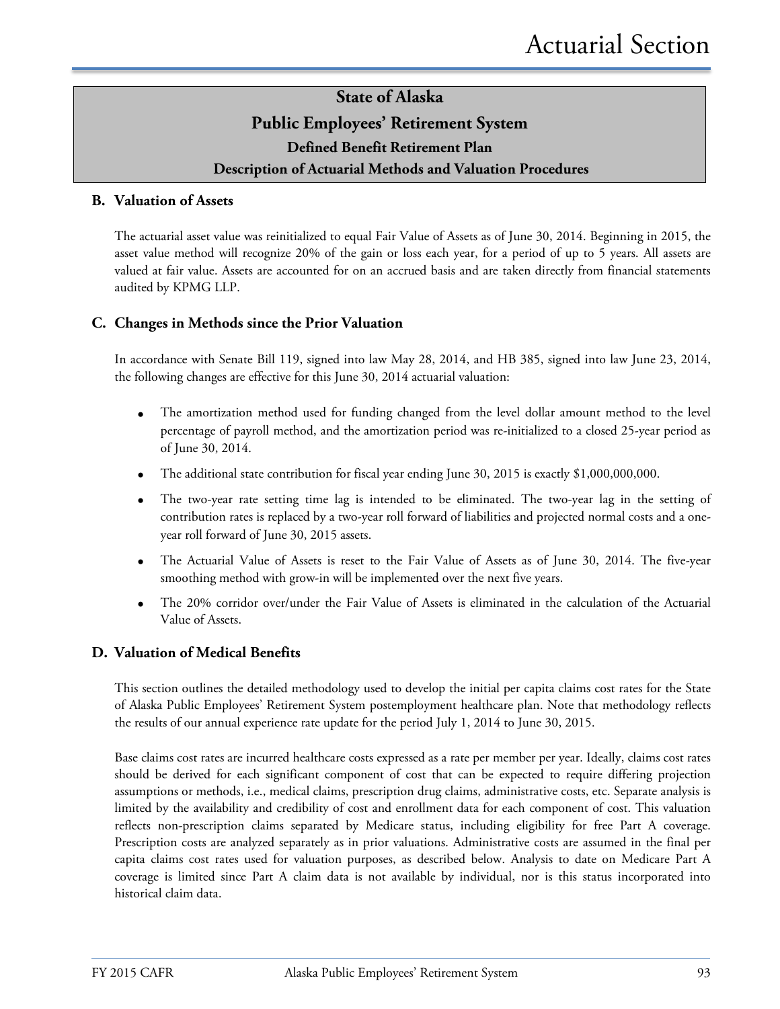#### **B. Valuation of Assets**

The actuarial asset value was reinitialized to equal Fair Value of Assets as of June 30, 2014. Beginning in 2015, the asset value method will recognize 20% of the gain or loss each year, for a period of up to 5 years. All assets are valued at fair value. Assets are accounted for on an accrued basis and are taken directly from financial statements audited by KPMG LLP.

#### **C. Changes in Methods since the Prior Valuation**

In accordance with Senate Bill 119, signed into law May 28, 2014, and HB 385, signed into law June 23, 2014, the following changes are effective for this June 30, 2014 actuarial valuation:

- The amortization method used for funding changed from the level dollar amount method to the level percentage of payroll method, and the amortization period was re-initialized to a closed 25-year period as of June 30, 2014.
- The additional state contribution for fiscal year ending June 30, 2015 is exactly \$1,000,000,000.
- The two-year rate setting time lag is intended to be eliminated. The two-year lag in the setting of contribution rates is replaced by a two-year roll forward of liabilities and projected normal costs and a oneyear roll forward of June 30, 2015 assets.
- The Actuarial Value of Assets is reset to the Fair Value of Assets as of June 30, 2014. The five-year smoothing method with grow-in will be implemented over the next five years.
- The 20% corridor over/under the Fair Value of Assets is eliminated in the calculation of the Actuarial Value of Assets.

#### **D. Valuation of Medical Benefits**

This section outlines the detailed methodology used to develop the initial per capita claims cost rates for the State of Alaska Public Employees' Retirement System postemployment healthcare plan. Note that methodology reflects the results of our annual experience rate update for the period July 1, 2014 to June 30, 2015.

Base claims cost rates are incurred healthcare costs expressed as a rate per member per year. Ideally, claims cost rates should be derived for each significant component of cost that can be expected to require differing projection assumptions or methods, i.e., medical claims, prescription drug claims, administrative costs, etc. Separate analysis is limited by the availability and credibility of cost and enrollment data for each component of cost. This valuation reflects non-prescription claims separated by Medicare status, including eligibility for free Part A coverage. Prescription costs are analyzed separately as in prior valuations. Administrative costs are assumed in the final per capita claims cost rates used for valuation purposes, as described below. Analysis to date on Medicare Part A coverage is limited since Part A claim data is not available by individual, nor is this status incorporated into historical claim data.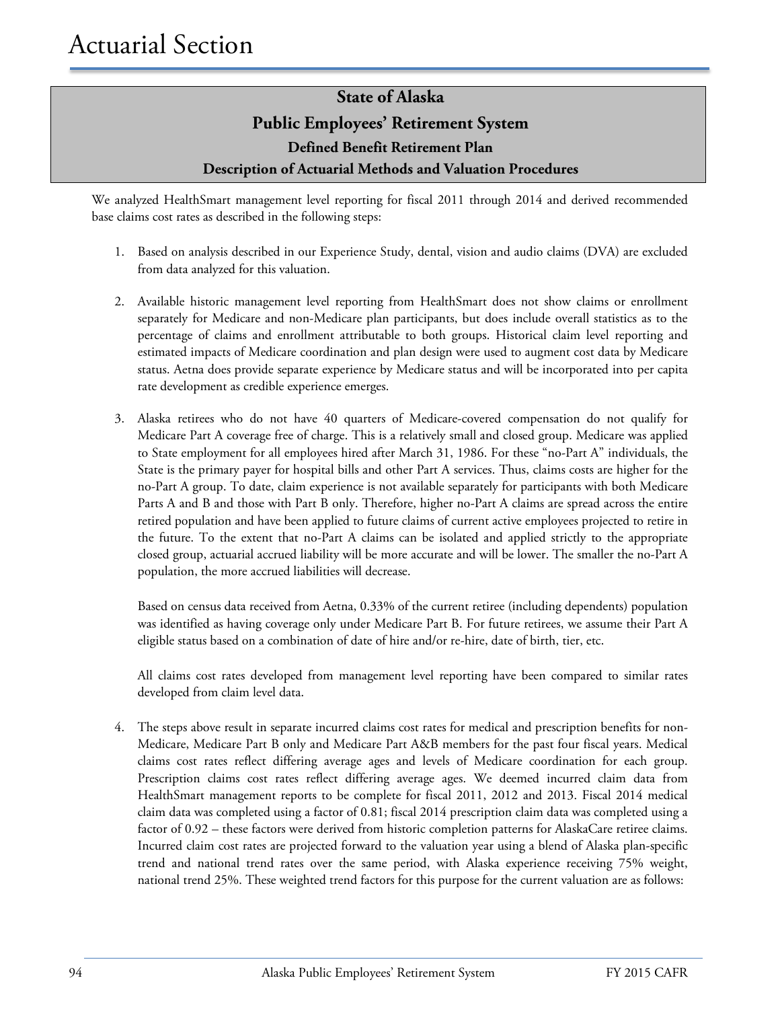We analyzed HealthSmart management level reporting for fiscal 2011 through 2014 and derived recommended base claims cost rates as described in the following steps:

- 1. Based on analysis described in our Experience Study, dental, vision and audio claims (DVA) are excluded from data analyzed for this valuation.
- 2. Available historic management level reporting from HealthSmart does not show claims or enrollment separately for Medicare and non-Medicare plan participants, but does include overall statistics as to the percentage of claims and enrollment attributable to both groups. Historical claim level reporting and estimated impacts of Medicare coordination and plan design were used to augment cost data by Medicare status. Aetna does provide separate experience by Medicare status and will be incorporated into per capita rate development as credible experience emerges.
- 3. Alaska retirees who do not have 40 quarters of Medicare-covered compensation do not qualify for Medicare Part A coverage free of charge. This is a relatively small and closed group. Medicare was applied to State employment for all employees hired after March 31, 1986. For these "no-Part A" individuals, the State is the primary payer for hospital bills and other Part A services. Thus, claims costs are higher for the no-Part A group. To date, claim experience is not available separately for participants with both Medicare Parts A and B and those with Part B only. Therefore, higher no-Part A claims are spread across the entire retired population and have been applied to future claims of current active employees projected to retire in the future. To the extent that no-Part A claims can be isolated and applied strictly to the appropriate closed group, actuarial accrued liability will be more accurate and will be lower. The smaller the no-Part A population, the more accrued liabilities will decrease.

Based on census data received from Aetna, 0.33% of the current retiree (including dependents) population was identified as having coverage only under Medicare Part B. For future retirees, we assume their Part A eligible status based on a combination of date of hire and/or re-hire, date of birth, tier, etc.

All claims cost rates developed from management level reporting have been compared to similar rates developed from claim level data.

4. The steps above result in separate incurred claims cost rates for medical and prescription benefits for non-Medicare, Medicare Part B only and Medicare Part A&B members for the past four fiscal years. Medical claims cost rates reflect differing average ages and levels of Medicare coordination for each group. Prescription claims cost rates reflect differing average ages. We deemed incurred claim data from HealthSmart management reports to be complete for fiscal 2011, 2012 and 2013. Fiscal 2014 medical claim data was completed using a factor of 0.81; fiscal 2014 prescription claim data was completed using a factor of 0.92 – these factors were derived from historic completion patterns for AlaskaCare retiree claims. Incurred claim cost rates are projected forward to the valuation year using a blend of Alaska plan-specific trend and national trend rates over the same period, with Alaska experience receiving 75% weight, national trend 25%. These weighted trend factors for this purpose for the current valuation are as follows: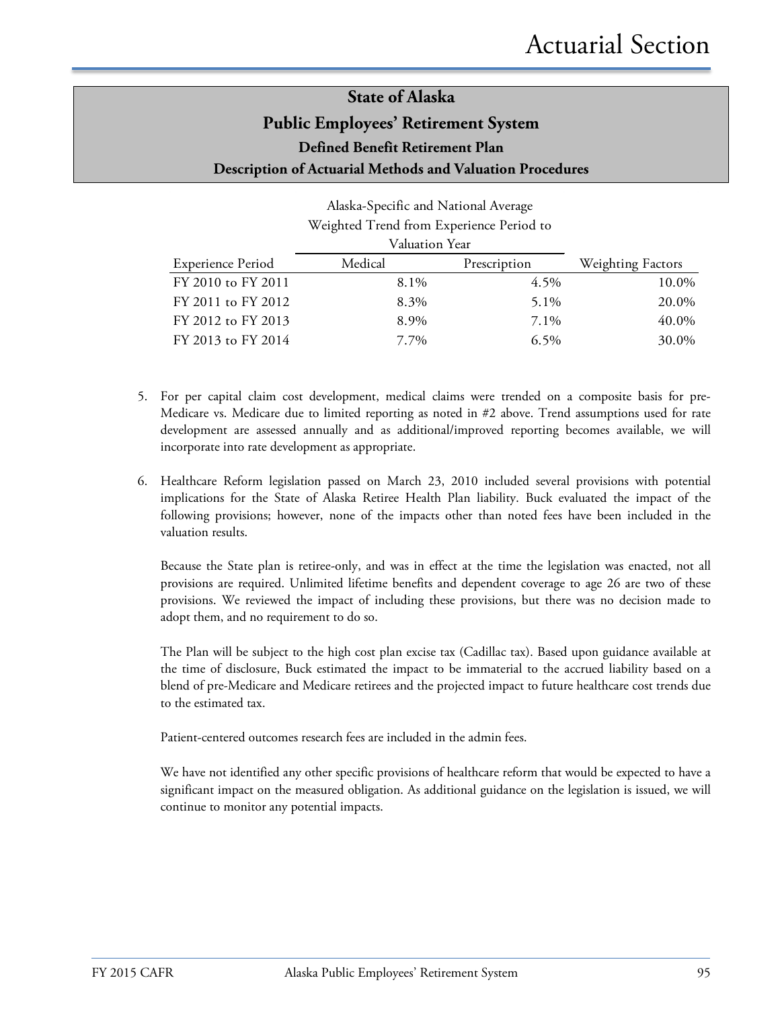|                          | Weighted Trend from Experience Period to |              |                          |
|--------------------------|------------------------------------------|--------------|--------------------------|
|                          | Valuation Year                           |              |                          |
| <b>Experience Period</b> | Medical                                  | Prescription | <b>Weighting Factors</b> |
| FY 2010 to FY 2011       | 8.1%                                     | 4.5%         | 10.0%                    |
| FY 2011 to FY 2012       | 8.3%                                     | 5.1%         | 20.0%                    |
| FY 2012 to FY 2013       | 8.9%                                     | 7.1%         | 40.0%                    |
| FY 2013 to FY 2014       | 7.7%                                     | 6.5%         | 30.0%                    |

# Alaska-Specific and National Average

- 5. For per capital claim cost development, medical claims were trended on a composite basis for pre-Medicare vs. Medicare due to limited reporting as noted in #2 above. Trend assumptions used for rate development are assessed annually and as additional/improved reporting becomes available, we will incorporate into rate development as appropriate.
- 6. Healthcare Reform legislation passed on March 23, 2010 included several provisions with potential implications for the State of Alaska Retiree Health Plan liability. Buck evaluated the impact of the following provisions; however, none of the impacts other than noted fees have been included in the valuation results.

Because the State plan is retiree-only, and was in effect at the time the legislation was enacted, not all provisions are required. Unlimited lifetime benefits and dependent coverage to age 26 are two of these provisions. We reviewed the impact of including these provisions, but there was no decision made to adopt them, and no requirement to do so.

The Plan will be subject to the high cost plan excise tax (Cadillac tax). Based upon guidance available at the time of disclosure, Buck estimated the impact to be immaterial to the accrued liability based on a blend of pre-Medicare and Medicare retirees and the projected impact to future healthcare cost trends due to the estimated tax.

Patient-centered outcomes research fees are included in the admin fees.

We have not identified any other specific provisions of healthcare reform that would be expected to have a significant impact on the measured obligation. As additional guidance on the legislation is issued, we will continue to monitor any potential impacts.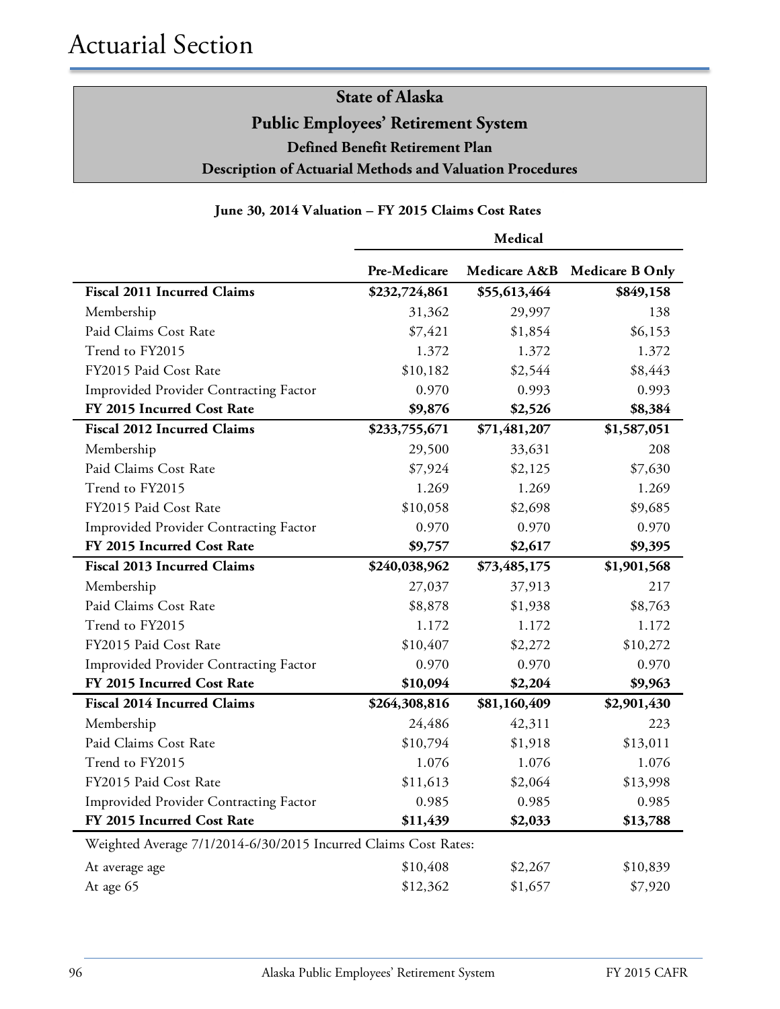#### **June 30, 2014 Valuation – FY 2015 Claims Cost Rates**

|                                                                 | Medical       |              |                        |
|-----------------------------------------------------------------|---------------|--------------|------------------------|
|                                                                 | Pre-Medicare  | Medicare A&B | <b>Medicare B Only</b> |
| <b>Fiscal 2011 Incurred Claims</b>                              | \$232,724,861 | \$55,613,464 | \$849,158              |
| Membership                                                      | 31,362        | 29,997       | 138                    |
| Paid Claims Cost Rate                                           | \$7,421       | \$1,854      | \$6,153                |
| Trend to FY2015                                                 | 1.372         | 1.372        | 1.372                  |
| FY2015 Paid Cost Rate                                           | \$10,182      | \$2,544      | \$8,443                |
| Improvided Provider Contracting Factor                          | 0.970         | 0.993        | 0.993                  |
| FY 2015 Incurred Cost Rate                                      | \$9,876       | \$2,526      | \$8,384                |
| <b>Fiscal 2012 Incurred Claims</b>                              | \$233,755,671 | \$71,481,207 | \$1,587,051            |
| Membership                                                      | 29,500        | 33,631       | 208                    |
| Paid Claims Cost Rate                                           | \$7,924       | \$2,125      | \$7,630                |
| Trend to FY2015                                                 | 1.269         | 1.269        | 1.269                  |
| FY2015 Paid Cost Rate                                           | \$10,058      | \$2,698      | \$9,685                |
| Improvided Provider Contracting Factor                          | 0.970         | 0.970        | 0.970                  |
| FY 2015 Incurred Cost Rate                                      | \$9,757       | \$2,617      | \$9,395                |
| <b>Fiscal 2013 Incurred Claims</b>                              | \$240,038,962 | \$73,485,175 | \$1,901,568            |
| Membership                                                      | 27,037        | 37,913       | 217                    |
| Paid Claims Cost Rate                                           | \$8,878       | \$1,938      | \$8,763                |
| Trend to FY2015                                                 | 1.172         | 1.172        | 1.172                  |
| FY2015 Paid Cost Rate                                           | \$10,407      | \$2,272      | \$10,272               |
| Improvided Provider Contracting Factor                          | 0.970         | 0.970        | 0.970                  |
| FY 2015 Incurred Cost Rate                                      | \$10,094      | \$2,204      | \$9,963                |
| <b>Fiscal 2014 Incurred Claims</b>                              | \$264,308,816 | \$81,160,409 | \$2,901,430            |
| Membership                                                      | 24,486        | 42,311       | 223                    |
| Paid Claims Cost Rate                                           | \$10,794      | \$1,918      | \$13,011               |
| Trend to FY2015                                                 | 1.076         | 1.076        | 1.076                  |
| FY2015 Paid Cost Rate                                           | \$11,613      | \$2,064      | \$13,998               |
| Improvided Provider Contracting Factor                          | 0.985         | 0.985        | 0.985                  |
| FY 2015 Incurred Cost Rate                                      | \$11,439      | \$2,033      | \$13,788               |
| Weighted Average 7/1/2014-6/30/2015 Incurred Claims Cost Rates: |               |              |                        |
| At average age                                                  | \$10,408      | \$2,267      | \$10,839               |
| At age 65                                                       | \$12,362      | \$1,657      | \$7,920                |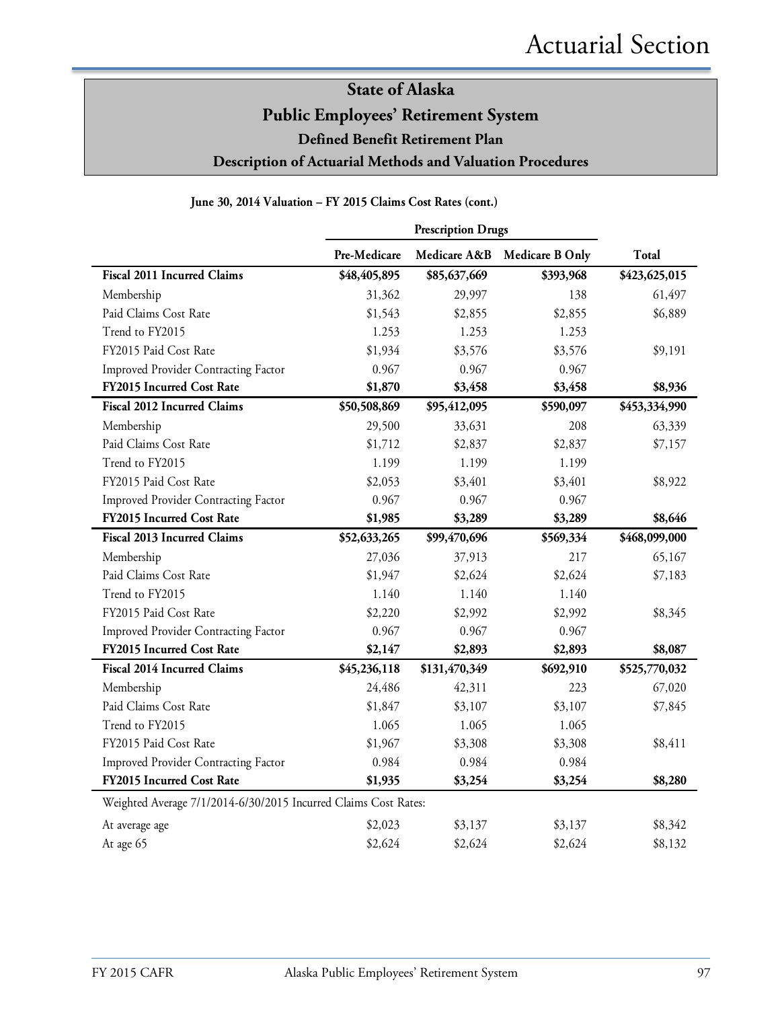#### **June 30, 2014 Valuation – FY 2015 Claims Cost Rates (cont.)**

|                                                                 | <b>Prescription Drugs</b> |               |                 |               |
|-----------------------------------------------------------------|---------------------------|---------------|-----------------|---------------|
|                                                                 | Pre-Medicare              | Medicare A&B  | Medicare B Only | Total         |
| <b>Fiscal 2011 Incurred Claims</b>                              | \$48,405,895              | \$85,637,669  | \$393,968       | \$423,625,015 |
| Membership                                                      | 31,362                    | 29,997        | 138             | 61,497        |
| Paid Claims Cost Rate                                           | \$1,543                   | \$2,855       | \$2,855         | \$6,889       |
| Trend to FY2015                                                 | 1.253                     | 1.253         | 1.253           |               |
| FY2015 Paid Cost Rate                                           | \$1,934                   | \$3,576       | \$3,576         | \$9,191       |
| Improved Provider Contracting Factor                            | 0.967                     | 0.967         | 0.967           |               |
| FY2015 Incurred Cost Rate                                       | \$1,870                   | \$3,458       | \$3,458         | \$8,936       |
| <b>Fiscal 2012 Incurred Claims</b>                              | \$50,508,869              | \$95,412,095  | \$590,097       | \$453,334,990 |
| Membership                                                      | 29,500                    | 33,631        | 208             | 63,339        |
| Paid Claims Cost Rate                                           | \$1,712                   | \$2,837       | \$2,837         | \$7,157       |
| Trend to FY2015                                                 | 1.199                     | 1.199         | 1.199           |               |
| FY2015 Paid Cost Rate                                           | \$2,053                   | \$3,401       | \$3,401         | \$8,922       |
| <b>Improved Provider Contracting Factor</b>                     | 0.967                     | 0.967         | 0.967           |               |
| FY2015 Incurred Cost Rate                                       | \$1,985                   | \$3,289       | \$3,289         | \$8,646       |
| Fiscal 2013 Incurred Claims                                     | \$52,633,265              | \$99,470,696  | \$569,334       | \$468,099,000 |
| Membership                                                      | 27,036                    | 37,913        | 217             | 65,167        |
| Paid Claims Cost Rate                                           | \$1,947                   | \$2,624       | \$2,624         | \$7,183       |
| Trend to FY2015                                                 | 1.140                     | 1.140         | 1.140           |               |
| FY2015 Paid Cost Rate                                           | \$2,220                   | \$2,992       | \$2,992         | \$8,345       |
| <b>Improved Provider Contracting Factor</b>                     | 0.967                     | 0.967         | 0.967           |               |
| FY2015 Incurred Cost Rate                                       | \$2,147                   | \$2,893       | \$2,893         | \$8,087       |
| <b>Fiscal 2014 Incurred Claims</b>                              | \$45,236,118              | \$131,470,349 | \$692,910       | \$525,770,032 |
| Membership                                                      | 24,486                    | 42,311        | 223             | 67,020        |
| Paid Claims Cost Rate                                           | \$1,847                   | \$3,107       | \$3,107         | \$7,845       |
| Trend to FY2015                                                 | 1.065                     | 1.065         | 1.065           |               |
| FY2015 Paid Cost Rate                                           | \$1,967                   | \$3,308       | \$3,308         | \$8,411       |
| Improved Provider Contracting Factor                            | 0.984                     | 0.984         | 0.984           |               |
| FY2015 Incurred Cost Rate                                       | \$1,935                   | \$3,254       | \$3,254         | \$8,280       |
| Weighted Average 7/1/2014-6/30/2015 Incurred Claims Cost Rates: |                           |               |                 |               |
| At average age                                                  | \$2,023                   | \$3,137       | \$3,137         | \$8,342       |
| At age 65                                                       | \$2,624                   | \$2,624       | \$2,624         | \$8,132       |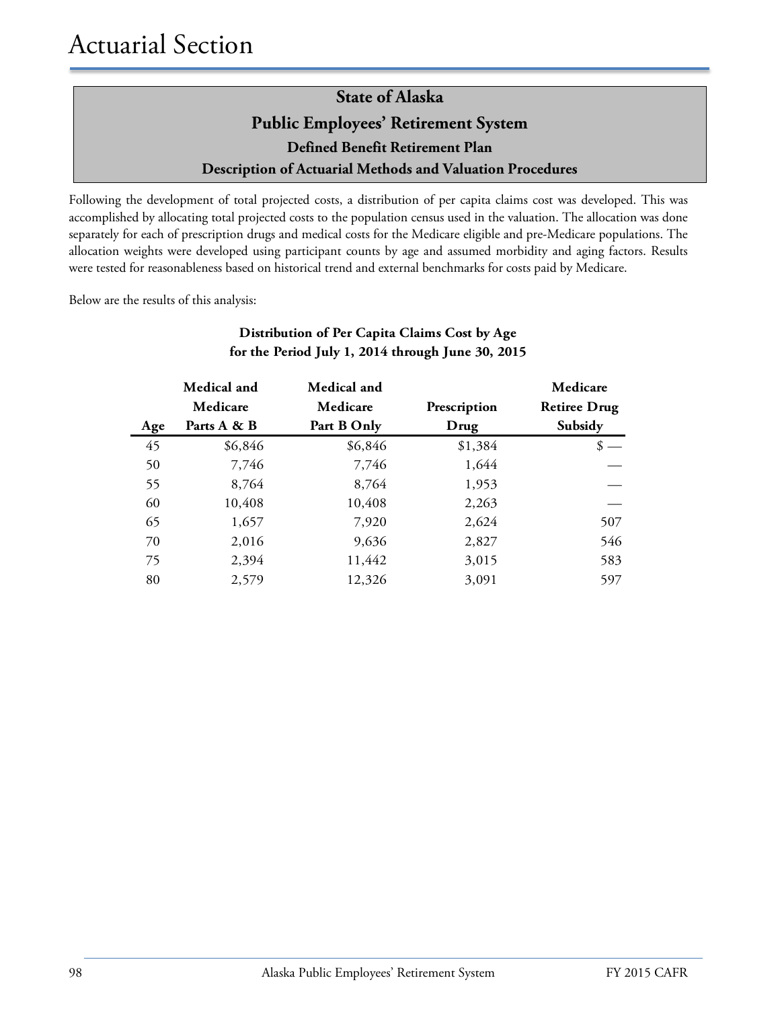Following the development of total projected costs, a distribution of per capita claims cost was developed. This was accomplished by allocating total projected costs to the population census used in the valuation. The allocation was done separately for each of prescription drugs and medical costs for the Medicare eligible and pre-Medicare populations. The allocation weights were developed using participant counts by age and assumed morbidity and aging factors. Results were tested for reasonableness based on historical trend and external benchmarks for costs paid by Medicare.

Below are the results of this analysis:

|     | Medical and | Medical and |              | Medicare            |
|-----|-------------|-------------|--------------|---------------------|
|     | Medicare    | Medicare    | Prescription | <b>Retiree Drug</b> |
| Age | Parts A & B | Part B Only | Drug         | Subsidy             |
| 45  | \$6,846     | \$6,846     | \$1,384      |                     |
| 50  | 7,746       | 7,746       | 1,644        |                     |
| 55  | 8,764       | 8,764       | 1,953        |                     |
| 60  | 10,408      | 10,408      | 2,263        |                     |
| 65  | 1,657       | 7,920       | 2,624        | 507                 |
| 70  | 2,016       | 9,636       | 2,827        | 546                 |
| 75  | 2,394       | 11,442      | 3,015        | 583                 |
| 80  | 2,579       | 12,326      | 3,091        | 597                 |

#### **Distribution of Per Capita Claims Cost by Age for the Period July 1, 2014 through June 30, 2015**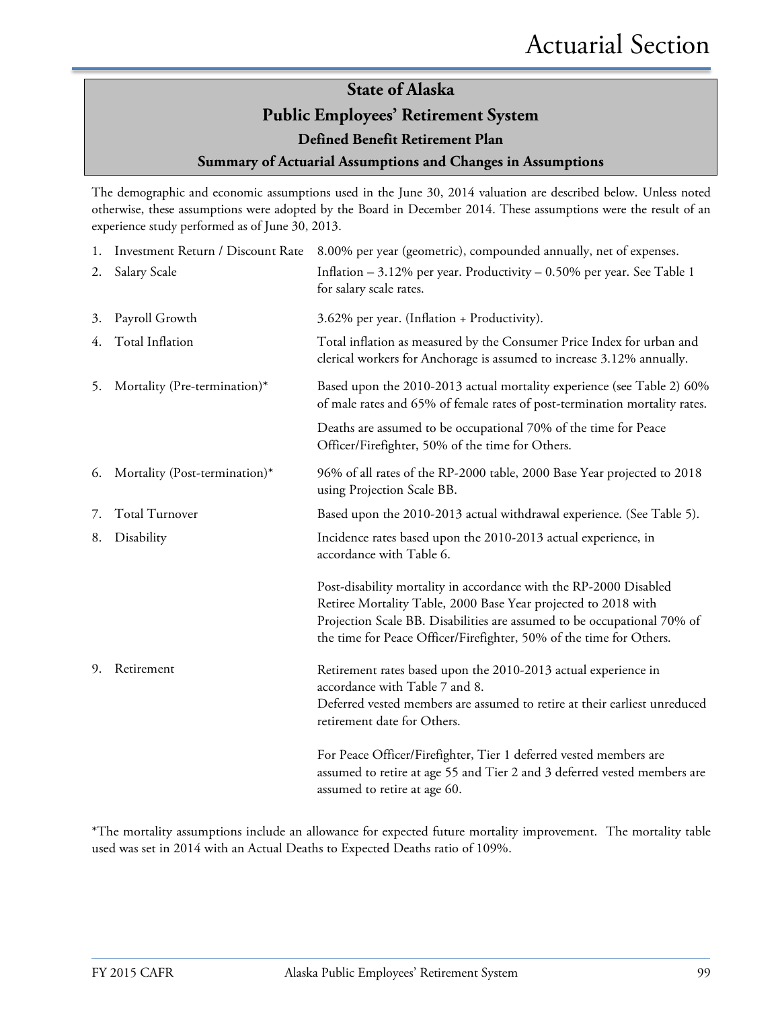#### **Summary of Actuarial Assumptions and Changes in Assumptions**

The demographic and economic assumptions used in the June 30, 2014 valuation are described below. Unless noted otherwise, these assumptions were adopted by the Board in December 2014. These assumptions were the result of an experience study performed as of June 30, 2013.

| 1. | Investment Return / Discount Rate | 8.00% per year (geometric), compounded annually, net of expenses.                                                                                                                                                                                                                     |
|----|-----------------------------------|---------------------------------------------------------------------------------------------------------------------------------------------------------------------------------------------------------------------------------------------------------------------------------------|
| 2. | Salary Scale                      | Inflation $-3.12\%$ per year. Productivity $-0.50\%$ per year. See Table 1<br>for salary scale rates.                                                                                                                                                                                 |
| 3. | Payroll Growth                    | 3.62% per year. (Inflation + Productivity).                                                                                                                                                                                                                                           |
| 4. | Total Inflation                   | Total inflation as measured by the Consumer Price Index for urban and<br>clerical workers for Anchorage is assumed to increase 3.12% annually.                                                                                                                                        |
| 5. | Mortality (Pre-termination)*      | Based upon the 2010-2013 actual mortality experience (see Table 2) 60%<br>of male rates and 65% of female rates of post-termination mortality rates.                                                                                                                                  |
|    |                                   | Deaths are assumed to be occupational 70% of the time for Peace<br>Officer/Firefighter, 50% of the time for Others.                                                                                                                                                                   |
| 6. | Mortality (Post-termination)*     | 96% of all rates of the RP-2000 table, 2000 Base Year projected to 2018<br>using Projection Scale BB.                                                                                                                                                                                 |
| 7. | <b>Total Turnover</b>             | Based upon the 2010-2013 actual withdrawal experience. (See Table 5).                                                                                                                                                                                                                 |
| 8. | Disability                        | Incidence rates based upon the 2010-2013 actual experience, in<br>accordance with Table 6.                                                                                                                                                                                            |
|    |                                   | Post-disability mortality in accordance with the RP-2000 Disabled<br>Retiree Mortality Table, 2000 Base Year projected to 2018 with<br>Projection Scale BB. Disabilities are assumed to be occupational 70% of<br>the time for Peace Officer/Firefighter, 50% of the time for Others. |
| 9. | Retirement                        | Retirement rates based upon the 2010-2013 actual experience in<br>accordance with Table 7 and 8.<br>Deferred vested members are assumed to retire at their earliest unreduced<br>retirement date for Others.                                                                          |
|    |                                   | For Peace Officer/Firefighter, Tier 1 deferred vested members are<br>assumed to retire at age 55 and Tier 2 and 3 deferred vested members are<br>assumed to retire at age 60.                                                                                                         |

\*The mortality assumptions include an allowance for expected future mortality improvement. The mortality table used was set in 2014 with an Actual Deaths to Expected Deaths ratio of 109%.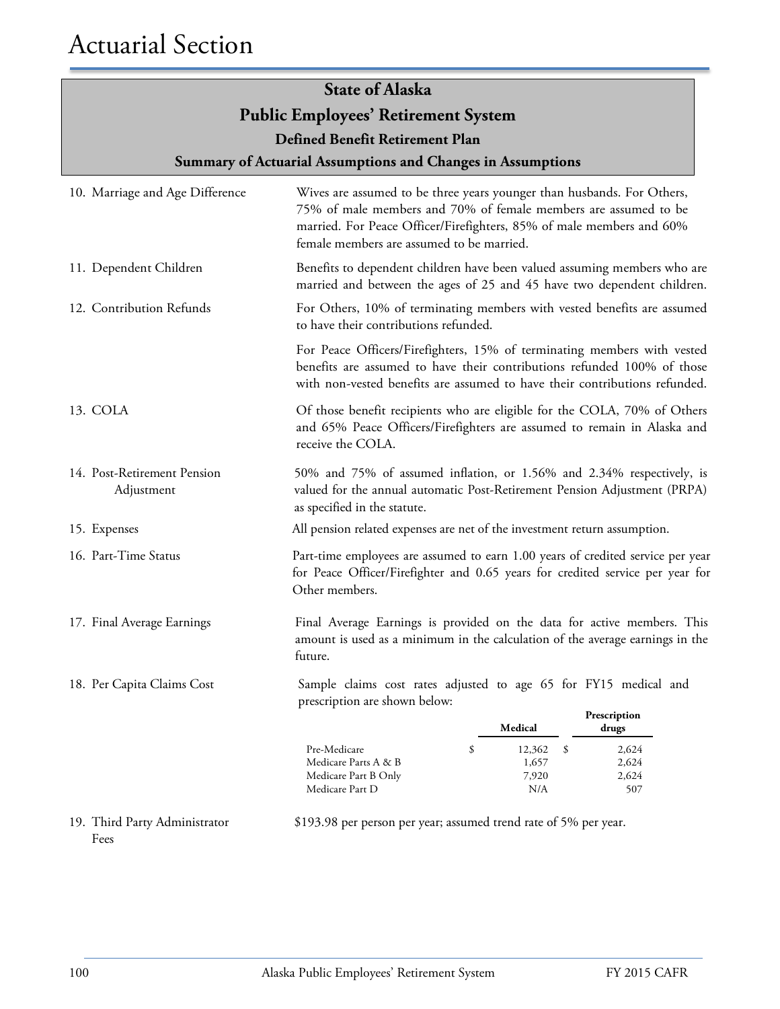**Summary of Actuarial Assumptions and Changes in Assumptions**

| 10. Marriage and Age Difference           | Wives are assumed to be three years younger than husbands. For Others,<br>75% of male members and 70% of female members are assumed to be<br>married. For Peace Officer/Firefighters, 85% of male members and 60%<br>female members are assumed to be married. |                                        |                                |  |  |
|-------------------------------------------|----------------------------------------------------------------------------------------------------------------------------------------------------------------------------------------------------------------------------------------------------------------|----------------------------------------|--------------------------------|--|--|
| 11. Dependent Children                    | Benefits to dependent children have been valued assuming members who are<br>married and between the ages of 25 and 45 have two dependent children.                                                                                                             |                                        |                                |  |  |
| 12. Contribution Refunds                  | For Others, 10% of terminating members with vested benefits are assumed<br>to have their contributions refunded.                                                                                                                                               |                                        |                                |  |  |
|                                           | For Peace Officers/Firefighters, 15% of terminating members with vested<br>benefits are assumed to have their contributions refunded 100% of those<br>with non-vested benefits are assumed to have their contributions refunded.                               |                                        |                                |  |  |
| 13. COLA                                  | Of those benefit recipients who are eligible for the COLA, 70% of Others<br>and 65% Peace Officers/Firefighters are assumed to remain in Alaska and<br>receive the COLA.                                                                                       |                                        |                                |  |  |
| 14. Post-Retirement Pension<br>Adjustment | 50% and 75% of assumed inflation, or 1.56% and 2.34% respectively, is<br>valued for the annual automatic Post-Retirement Pension Adjustment (PRPA)<br>as specified in the statute.                                                                             |                                        |                                |  |  |
| 15. Expenses                              | All pension related expenses are net of the investment return assumption.                                                                                                                                                                                      |                                        |                                |  |  |
| 16. Part-Time Status                      | Part-time employees are assumed to earn 1.00 years of credited service per year<br>for Peace Officer/Firefighter and 0.65 years for credited service per year for<br>Other members.                                                                            |                                        |                                |  |  |
| 17. Final Average Earnings                | Final Average Earnings is provided on the data for active members. This<br>amount is used as a minimum in the calculation of the average earnings in the<br>future.                                                                                            |                                        |                                |  |  |
| 18. Per Capita Claims Cost                | Sample claims cost rates adjusted to age 65 for FY15 medical and<br>prescription are shown below:                                                                                                                                                              |                                        |                                |  |  |
|                                           |                                                                                                                                                                                                                                                                | Medical                                | Prescription<br>drugs          |  |  |
|                                           | \$<br>Pre-Medicare<br>Medicare Parts A & B<br>Medicare Part B Only<br>Medicare Part D                                                                                                                                                                          | 12,362<br>-\$<br>1,657<br>7,920<br>N/A | 2,624<br>2,624<br>2,624<br>507 |  |  |
| 19. Third Party Administrator             | \$193.98 per person per year; assumed trend rate of 5% per year.                                                                                                                                                                                               |                                        |                                |  |  |

\$193.98 per person per year; assumed trend rate of 5% per year.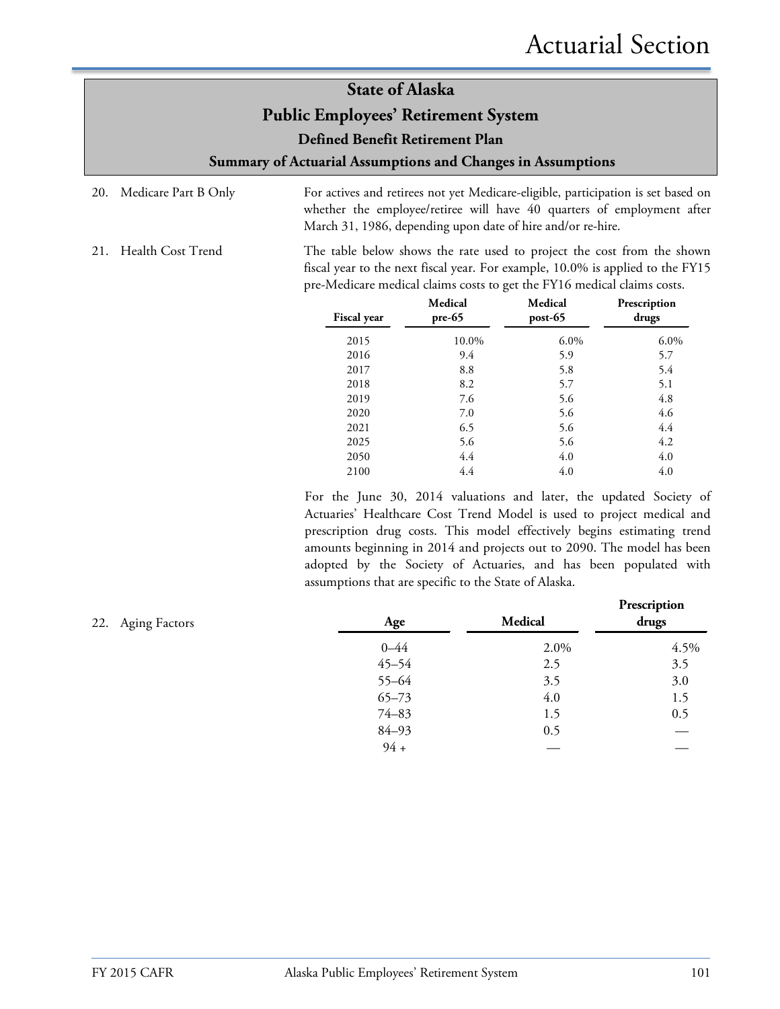**Summary of Actuarial Assumptions and Changes in Assumptions**

- 20. Medicare Part B Only For actives and retirees not yet Medicare-eligible, participation is set based on whether the employee/retiree will have 40 quarters of employment after March 31, 1986, depending upon date of hire and/or re-hire.
- 21. Health Cost Trend The table below shows the rate used to project the cost from the shown fiscal year to the next fiscal year. For example, 10.0% is applied to the FY15 pre-Medicare medical claims costs to get the FY16 medical claims costs.

| Fiscal year | Medical<br>$pre-65$ | Medical<br>post-65 | Prescription<br>drugs |
|-------------|---------------------|--------------------|-----------------------|
| 2015        | 10.0%               | $6.0\%$            | 6.0%                  |
| 2016        | 9.4                 | 5.9                | 5.7                   |
| 2017        | 8.8                 | 5.8                | 5.4                   |
| 2018        | 8.2                 | 5.7                | 5.1                   |
| 2019        | 7.6                 | 5.6                | 4.8                   |
| 2020        | 7.0                 | 5.6                | 4.6                   |
| 2021        | 6.5                 | 5.6                | 4.4                   |
| 2025        | 5.6                 | 5.6                | 4.2                   |
| 2050        | 4.4                 | 4.0                | 4.0                   |
| 2100        | 4.4                 | 4.0                | 4.0                   |

For the June 30, 2014 valuations and later, the updated Society of Actuaries' Healthcare Cost Trend Model is used to project medical and prescription drug costs. This model effectively begins estimating trend amounts beginning in 2014 and projects out to 2090. The model has been adopted by the Society of Actuaries, and has been populated with assumptions that are specific to the State of Alaska.

| 22. Aging Factors | Age       | <b>Medical</b> | Prescription<br>drugs |
|-------------------|-----------|----------------|-----------------------|
|                   | $0 - 44$  | 2.0%           | 4.5%                  |
|                   | $45 - 54$ | 2.5            | 3.5                   |
|                   | $55 - 64$ | 3.5            | 3.0                   |
|                   | $65 - 73$ | 4.0            | 1.5                   |
|                   | $74 - 83$ | 1.5            | 0.5                   |
|                   | $84 - 93$ | 0.5            |                       |
|                   | $94 +$    |                |                       |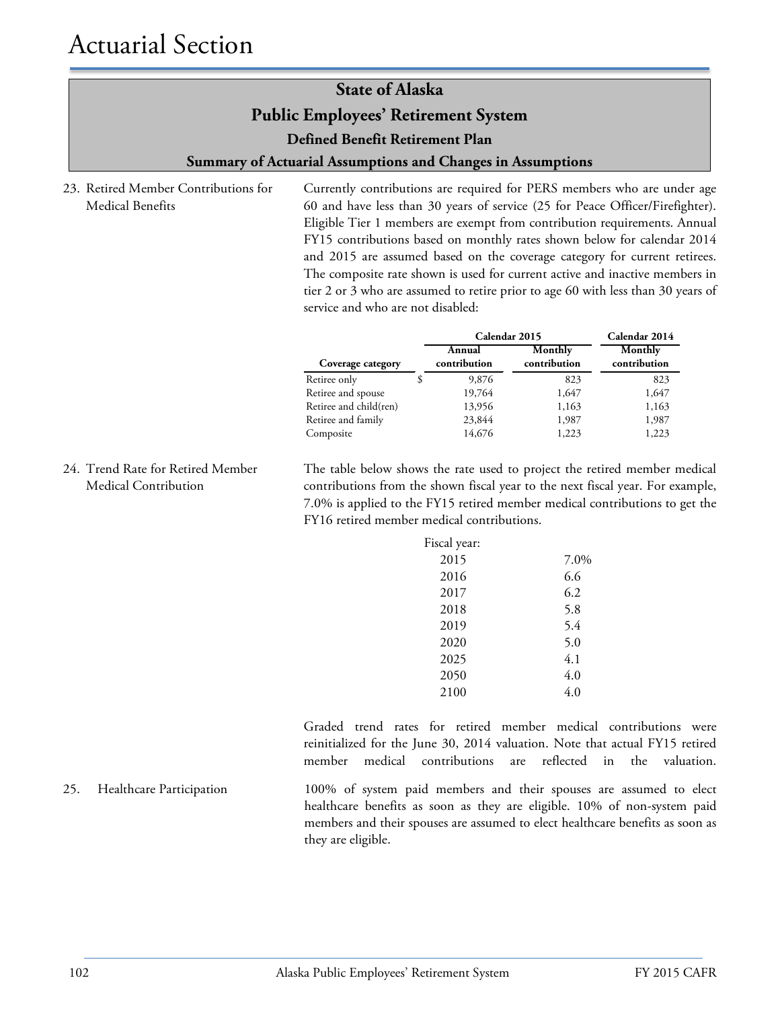**Summary of Actuarial Assumptions and Changes in Assumptions**

23. Retired Member Contributions for Medical Benefits

Currently contributions are required for PERS members who are under age 60 and have less than 30 years of service (25 for Peace Officer/Firefighter). Eligible Tier 1 members are exempt from contribution requirements. Annual FY15 contributions based on monthly rates shown below for calendar 2014 and 2015 are assumed based on the coverage category for current retirees. The composite rate shown is used for current active and inactive members in tier 2 or 3 who are assumed to retire prior to age 60 with less than 30 years of service and who are not disabled:

|                        | Calendar 2015          |                         | Calendar 2014           |
|------------------------|------------------------|-------------------------|-------------------------|
| Coverage category      | Annual<br>contribution | Monthly<br>contribution | Monthly<br>contribution |
| Retiree only           | 9,876                  | 823                     | 823                     |
| Retiree and spouse     | 19,764                 | 1,647                   | 1,647                   |
| Retiree and child(ren) | 13,956                 | 1,163                   | 1,163                   |
| Retiree and family     | 23,844                 | 1,987                   | 1,987                   |
| Composite              | 14,676                 | 1,223                   | 1,223                   |

24. Trend Rate for Retired Member Medical Contribution

The table below shows the rate used to project the retired member medical contributions from the shown fiscal year to the next fiscal year. For example, 7.0% is applied to the FY15 retired member medical contributions to get the FY16 retired member medical contributions.

| Fiscal year: |      |
|--------------|------|
| 2015         | 7.0% |
| 2016         | 6.6  |
| 2017         | 6.2  |
| 2018         | 5.8  |
| 2019         | 5.4  |
| 2020         | 5.0  |
| 2025         | 4.1  |
| 2050         | 4.0  |
| 2100         | 4.0  |

Graded trend rates for retired member medical contributions were reinitialized for the June 30, 2014 valuation. Note that actual FY15 retired member medical contributions are reflected in the valuation.

25. Healthcare Participation 100% of system paid members and their spouses are assumed to elect healthcare benefits as soon as they are eligible. 10% of non-system paid members and their spouses are assumed to elect healthcare benefits as soon as they are eligible.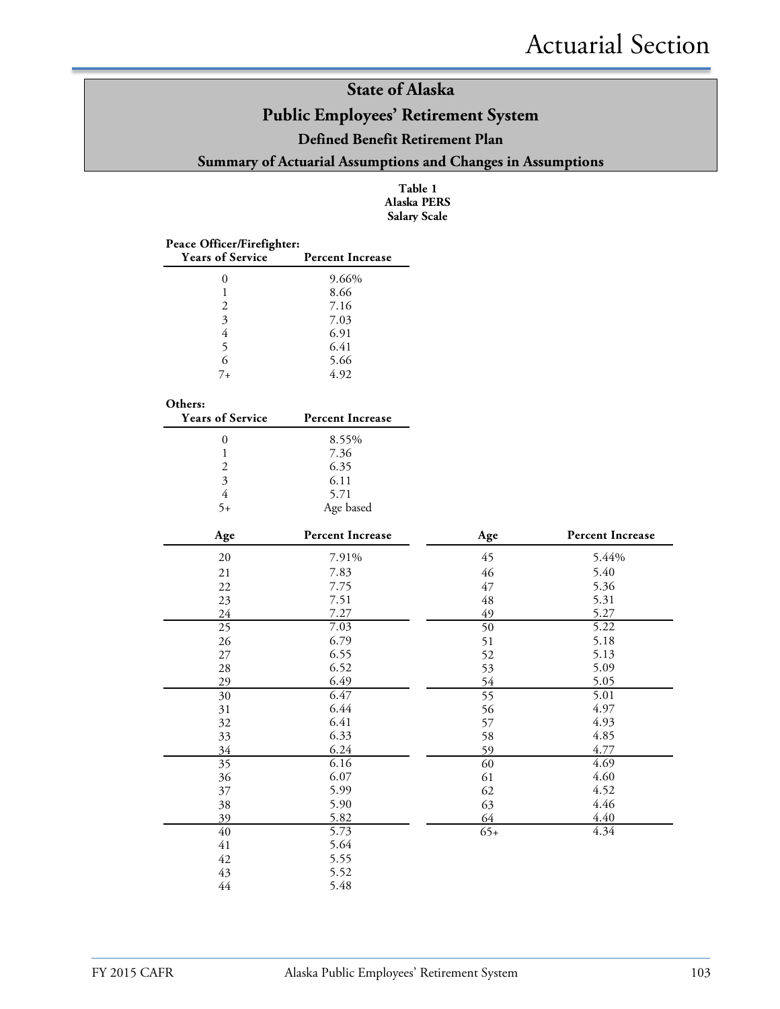### **Public Employees' Retirement System**

#### **Defined Benefit Retirement Plan**

**Summary of Actuarial Assumptions and Changes in Assumptions**

**Table 1 Alaska PERS Salary Scale**

| Peace Officer/Firefighter:<br><b>Years of Service</b> | <b>Percent Increase</b> |                 |                         |
|-------------------------------------------------------|-------------------------|-----------------|-------------------------|
| $\boldsymbol{0}$                                      | 9.66%                   |                 |                         |
| $\mathbf{1}$                                          | 8.66                    |                 |                         |
| $\overline{c}$                                        | 7.16                    |                 |                         |
| $\overline{\mathbf{3}}$                               | 7.03                    |                 |                         |
| $\overline{4}$                                        | 6.91                    |                 |                         |
| 5                                                     | 6.41                    |                 |                         |
| 6                                                     | 5.66                    |                 |                         |
| $7 +$                                                 | 4.92                    |                 |                         |
| Others:                                               |                         |                 |                         |
| <b>Years of Service</b>                               | <b>Percent Increase</b> |                 |                         |
| $\boldsymbol{0}$                                      | 8.55%                   |                 |                         |
| $\,1$<br>$\overline{2}$                               | 7.36                    |                 |                         |
| $\overline{\mathbf{3}}$                               | 6.35<br>6.11            |                 |                         |
| $\overline{4}$                                        | 5.71                    |                 |                         |
| $5+$                                                  | Age based               |                 |                         |
|                                                       |                         |                 |                         |
| Age                                                   | <b>Percent Increase</b> | Age             | <b>Percent Increase</b> |
| 20                                                    | 7.91%                   | 45              | 5.44%                   |
| 21                                                    | 7.83                    | 46              | 5.40                    |
| 22                                                    | 7.75                    | 47              | 5.36                    |
| 23                                                    | 7.51                    | 48              | 5.31                    |
| 24                                                    | 7.27                    | 49              | 5.27                    |
| 25                                                    | 7.03                    | 50              | 5.22                    |
| 26                                                    | 6.79                    | 51              | 5.18                    |
| 27                                                    | 6.55                    | 52              | 5.13                    |
| 28                                                    | 6.52                    | 53              | 5.09                    |
| 29                                                    | 6.49                    | 54              | 5.05                    |
| $\overline{30}$                                       | 6.47                    | $\overline{55}$ | 5.01                    |
| 31                                                    | 6.44                    | 56              | 4.97                    |
| 32                                                    | 6.41                    | 57              | 4.93                    |
| 33                                                    | 6.33                    | 58              | 4.85                    |
| 34<br>$\overline{35}$                                 | 6.24<br>6.16            | 59              | 4.77<br>4.69            |
| 36                                                    | 6.07                    | 60<br>61        | 4.60                    |
|                                                       | 5.99                    | 62              | 4.52                    |
| 37                                                    | 5.90                    |                 | 4.46                    |
| 38<br>39                                              | 5.82                    | 63<br>64        | 4.40                    |
| $\overline{40}$                                       | 5.73                    | $65+$           | 4.34                    |
| 41                                                    | 5.64                    |                 |                         |
| 42                                                    | 5.55                    |                 |                         |
| 43                                                    | 5.52                    |                 |                         |
| 44                                                    | 5.48                    |                 |                         |
|                                                       |                         |                 |                         |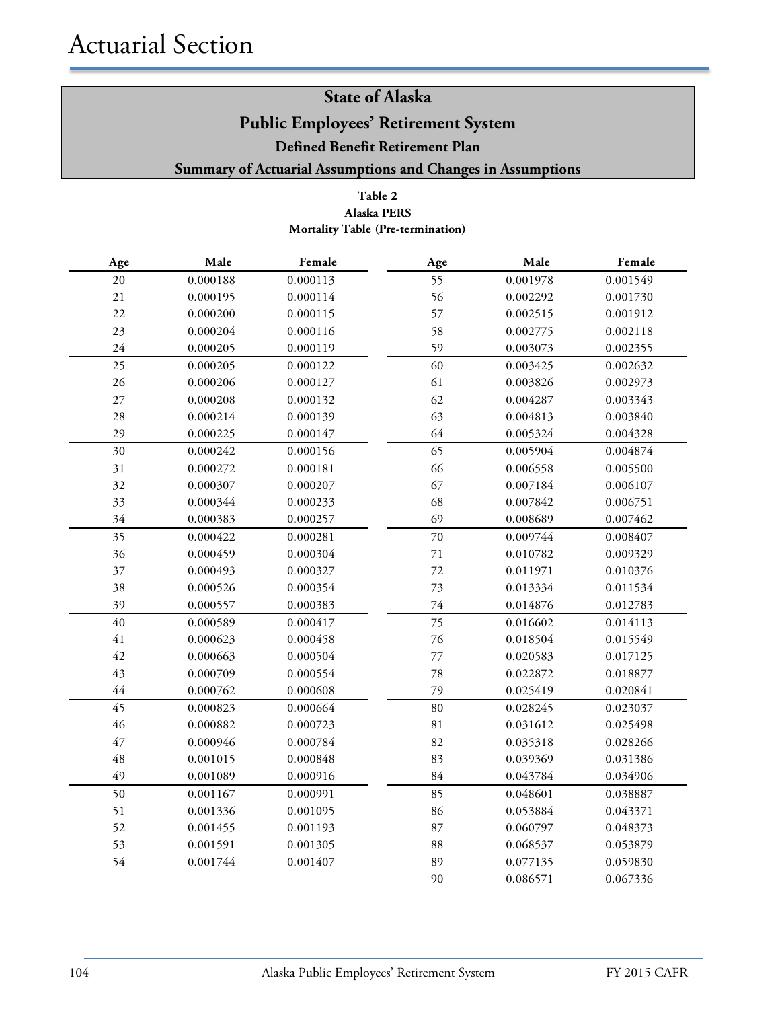#### **Table 2 Mortality Table (Pre-termination) Alaska PERS**

| Age    | Male     | Female   | Age    | Male     | Female   |
|--------|----------|----------|--------|----------|----------|
| 20     | 0.000188 | 0.000113 | 55     | 0.001978 | 0.001549 |
| 21     | 0.000195 | 0.000114 | 56     | 0.002292 | 0.001730 |
| 22     | 0.000200 | 0.000115 | 57     | 0.002515 | 0.001912 |
| 23     | 0.000204 | 0.000116 | 58     | 0.002775 | 0.002118 |
| 24     | 0.000205 | 0.000119 | 59     | 0.003073 | 0.002355 |
| 25     | 0.000205 | 0.000122 | 60     | 0.003425 | 0.002632 |
| 26     | 0.000206 | 0.000127 | 61     | 0.003826 | 0.002973 |
| $27\,$ | 0.000208 | 0.000132 | 62     | 0.004287 | 0.003343 |
| 28     | 0.000214 | 0.000139 | 63     | 0.004813 | 0.003840 |
| 29     | 0.000225 | 0.000147 | 64     | 0.005324 | 0.004328 |
| 30     | 0.000242 | 0.000156 | 65     | 0.005904 | 0.004874 |
| 31     | 0.000272 | 0.000181 | 66     | 0.006558 | 0.005500 |
| 32     | 0.000307 | 0.000207 | 67     | 0.007184 | 0.006107 |
| 33     | 0.000344 | 0.000233 | 68     | 0.007842 | 0.006751 |
| 34     | 0.000383 | 0.000257 | 69     | 0.008689 | 0.007462 |
| 35     | 0.000422 | 0.000281 | $70\,$ | 0.009744 | 0.008407 |
| 36     | 0.000459 | 0.000304 | 71     | 0.010782 | 0.009329 |
| 37     | 0.000493 | 0.000327 | 72     | 0.011971 | 0.010376 |
| 38     | 0.000526 | 0.000354 | 73     | 0.013334 | 0.011534 |
| 39     | 0.000557 | 0.000383 | $74\,$ | 0.014876 | 0.012783 |
| 40     | 0.000589 | 0.000417 | 75     | 0.016602 | 0.014113 |
| $41\,$ | 0.000623 | 0.000458 | 76     | 0.018504 | 0.015549 |
| 42     | 0.000663 | 0.000504 | 77     | 0.020583 | 0.017125 |
| 43     | 0.000709 | 0.000554 | 78     | 0.022872 | 0.018877 |
| $44\,$ | 0.000762 | 0.000608 | 79     | 0.025419 | 0.020841 |
| 45     | 0.000823 | 0.000664 | 80     | 0.028245 | 0.023037 |
| 46     | 0.000882 | 0.000723 | 81     | 0.031612 | 0.025498 |
| 47     | 0.000946 | 0.000784 | 82     | 0.035318 | 0.028266 |
| 48     | 0.001015 | 0.000848 | 83     | 0.039369 | 0.031386 |
| 49     | 0.001089 | 0.000916 | 84     | 0.043784 | 0.034906 |
| 50     | 0.001167 | 0.000991 | 85     | 0.048601 | 0.038887 |
| 51     | 0.001336 | 0.001095 | 86     | 0.053884 | 0.043371 |
| 52     | 0.001455 | 0.001193 | 87     | 0.060797 | 0.048373 |
| 53     | 0.001591 | 0.001305 | 88     | 0.068537 | 0.053879 |
| 54     | 0.001744 | 0.001407 | 89     | 0.077135 | 0.059830 |
|        |          |          | 90     | 0.086571 | 0.067336 |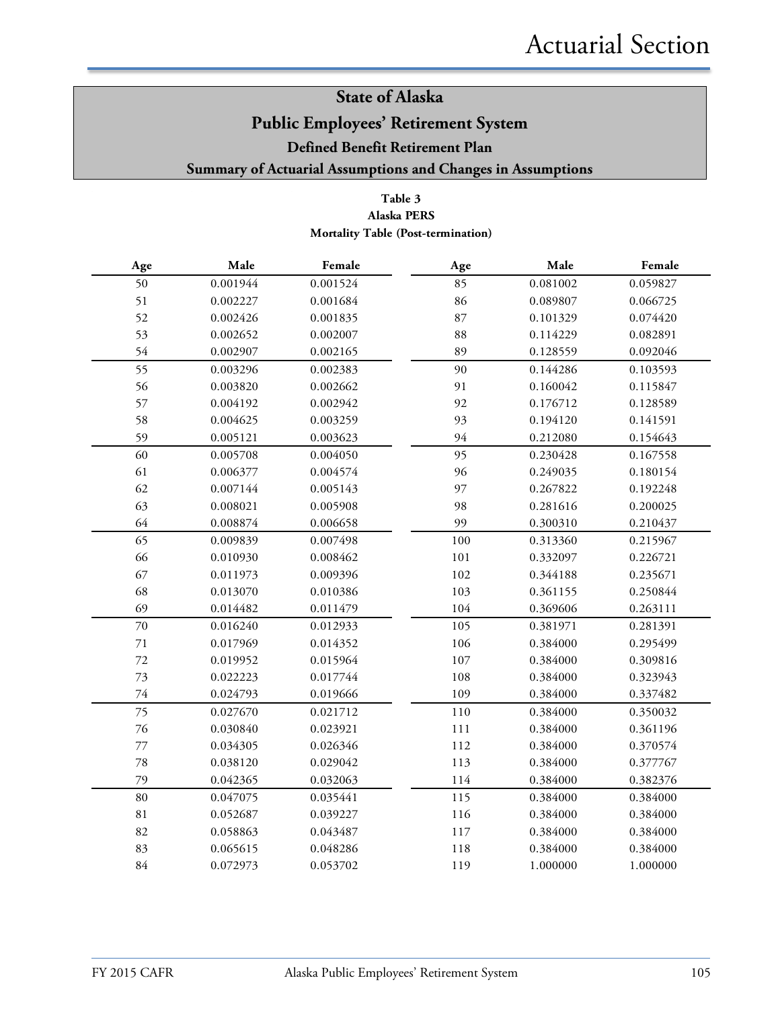#### **Table 3 Alaska PERS Mortality Table (Post-termination)**

| Age    | Male     | Female   | Age     | Male     | Female   |
|--------|----------|----------|---------|----------|----------|
| 50     | 0.001944 | 0.001524 | 85      | 0.081002 | 0.059827 |
| 51     | 0.002227 | 0.001684 | 86      | 0.089807 | 0.066725 |
| 52     | 0.002426 | 0.001835 | 87      | 0.101329 | 0.074420 |
| 53     | 0.002652 | 0.002007 | 88      | 0.114229 | 0.082891 |
| 54     | 0.002907 | 0.002165 | 89      | 0.128559 | 0.092046 |
| 55     | 0.003296 | 0.002383 | 90      | 0.144286 | 0.103593 |
| 56     | 0.003820 | 0.002662 | 91      | 0.160042 | 0.115847 |
| 57     | 0.004192 | 0.002942 | 92      | 0.176712 | 0.128589 |
| 58     | 0.004625 | 0.003259 | 93      | 0.194120 | 0.141591 |
| 59     | 0.005121 | 0.003623 | 94      | 0.212080 | 0.154643 |
| 60     | 0.005708 | 0.004050 | 95      | 0.230428 | 0.167558 |
| 61     | 0.006377 | 0.004574 | 96      | 0.249035 | 0.180154 |
| 62     | 0.007144 | 0.005143 | 97      | 0.267822 | 0.192248 |
| 63     | 0.008021 | 0.005908 | 98      | 0.281616 | 0.200025 |
| 64     | 0.008874 | 0.006658 | 99      | 0.300310 | 0.210437 |
| 65     | 0.009839 | 0.007498 | 100     | 0.313360 | 0.215967 |
| 66     | 0.010930 | 0.008462 | 101     | 0.332097 | 0.226721 |
| 67     | 0.011973 | 0.009396 | 102     | 0.344188 | 0.235671 |
| 68     | 0.013070 | 0.010386 | 103     | 0.361155 | 0.250844 |
| 69     | 0.014482 | 0.011479 | 104     | 0.369606 | 0.263111 |
| 70     | 0.016240 | 0.012933 | 105     | 0.381971 | 0.281391 |
| $71\,$ | 0.017969 | 0.014352 | 106     | 0.384000 | 0.295499 |
| $72\,$ | 0.019952 | 0.015964 | $107\,$ | 0.384000 | 0.309816 |
| 73     | 0.022223 | 0.017744 | 108     | 0.384000 | 0.323943 |
| $74\,$ | 0.024793 | 0.019666 | 109     | 0.384000 | 0.337482 |
| 75     | 0.027670 | 0.021712 | 110     | 0.384000 | 0.350032 |
| 76     | 0.030840 | 0.023921 | 111     | 0.384000 | 0.361196 |
| $77\,$ | 0.034305 | 0.026346 | 112     | 0.384000 | 0.370574 |
| 78     | 0.038120 | 0.029042 | 113     | 0.384000 | 0.377767 |
| 79     | 0.042365 | 0.032063 | 114     | 0.384000 | 0.382376 |
| 80     | 0.047075 | 0.035441 | 115     | 0.384000 | 0.384000 |
| $81\,$ | 0.052687 | 0.039227 | 116     | 0.384000 | 0.384000 |
| 82     | 0.058863 | 0.043487 | 117     | 0.384000 | 0.384000 |
| 83     | 0.065615 | 0.048286 | 118     | 0.384000 | 0.384000 |
| 84     | 0.072973 | 0.053702 | 119     | 1.000000 | 1.000000 |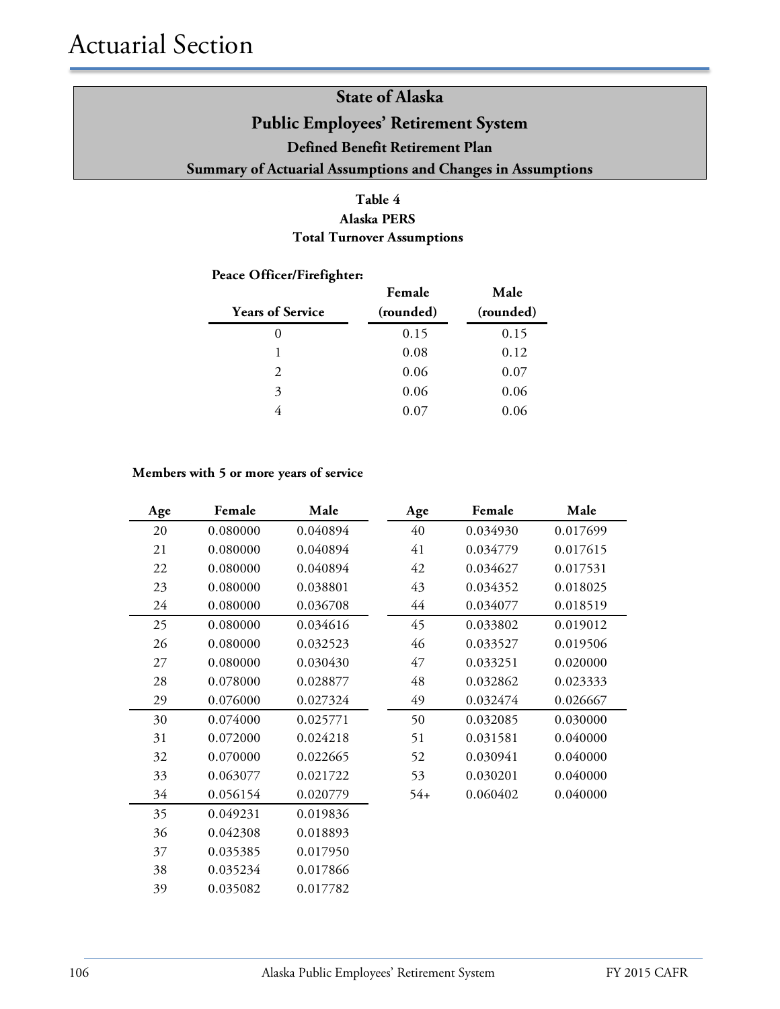#### **Table 4 Alaska PERS Total Turnover Assumptions**

#### **Peace Officer/Firefighter:**

| <b>Years of Service</b> | Female<br>(rounded) | Male<br>(rounded) |
|-------------------------|---------------------|-------------------|
| 0                       | 0.15                | 0.15              |
|                         | 0.08                | 0.12              |
| 2                       | 0.06                | 0.07              |
| 3                       | 0.06                | 0.06              |
|                         | $0.07\,$            | 0.06              |

#### **Members with 5 or more years of service**

| Age | Female   | Male     | Age   | Female   | Male     |
|-----|----------|----------|-------|----------|----------|
| 20  | 0.080000 | 0.040894 | 40    | 0.034930 | 0.017699 |
| 21  | 0.080000 | 0.040894 | 41    | 0.034779 | 0.017615 |
| 22  | 0.080000 | 0.040894 | 42    | 0.034627 | 0.017531 |
| 23  | 0.080000 | 0.038801 | 43    | 0.034352 | 0.018025 |
| 24  | 0.080000 | 0.036708 | 44    | 0.034077 | 0.018519 |
| 25  | 0.080000 | 0.034616 | 45    | 0.033802 | 0.019012 |
| 26  | 0.080000 | 0.032523 | 46    | 0.033527 | 0.019506 |
| 27  | 0.080000 | 0.030430 | 47    | 0.033251 | 0.020000 |
| 28  | 0.078000 | 0.028877 | 48    | 0.032862 | 0.023333 |
| 29  | 0.076000 | 0.027324 | 49    | 0.032474 | 0.026667 |
| 30  | 0.074000 | 0.025771 | 50    | 0.032085 | 0.030000 |
| 31  | 0.072000 | 0.024218 | 51    | 0.031581 | 0.040000 |
| 32  | 0.070000 | 0.022665 | 52    | 0.030941 | 0.040000 |
| 33  | 0.063077 | 0.021722 | 53    | 0.030201 | 0.040000 |
| 34  | 0.056154 | 0.020779 | $54+$ | 0.060402 | 0.040000 |
| 35  | 0.049231 | 0.019836 |       |          |          |
| 36  | 0.042308 | 0.018893 |       |          |          |
| 37  | 0.035385 | 0.017950 |       |          |          |
| 38  | 0.035234 | 0.017866 |       |          |          |
| 39  | 0.035082 | 0.017782 |       |          |          |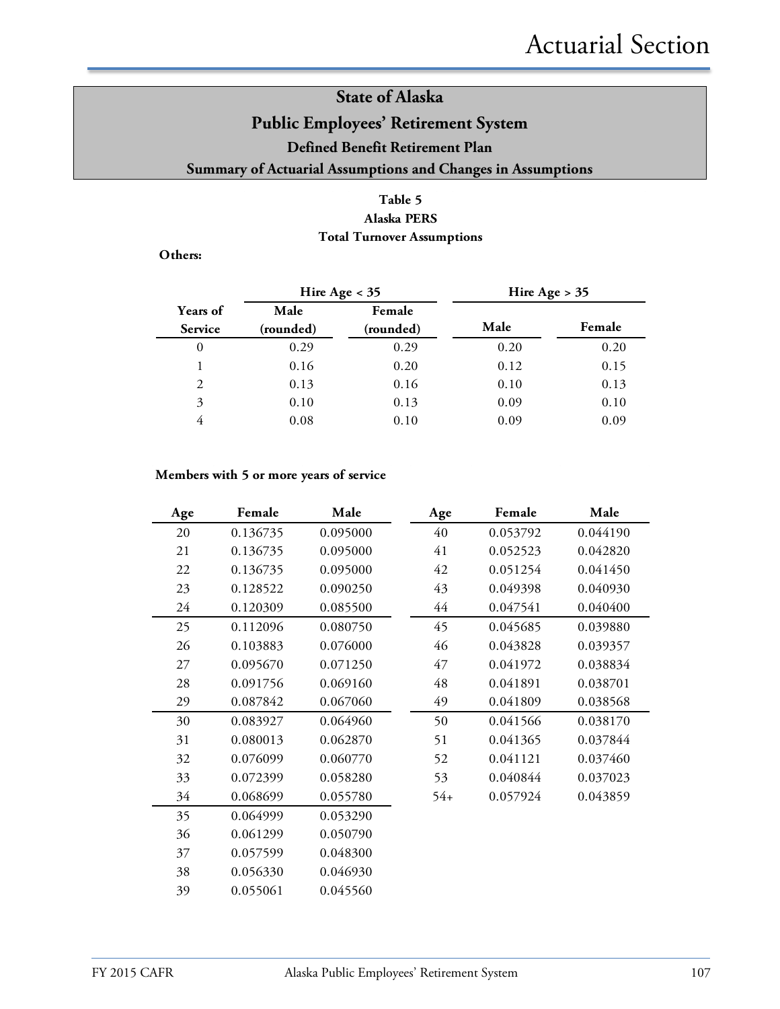#### **Table 5 Alaska PERS Total Turnover Assumptions**

**Others:**

|                            | Hire Age $<$ 35   |                     | Hire Age $> 35$ |        |
|----------------------------|-------------------|---------------------|-----------------|--------|
| Years of<br><b>Service</b> | Male<br>(rounded) | Female<br>(rounded) | Male            | Female |
| 0                          | 0.29              | 0.29                | 0.20            | 0.20   |
|                            | 0.16              | 0.20                | 0.12            | 0.15   |
| 2                          | 0.13              | 0.16                | 0.10            | 0.13   |
| 3                          | 0.10              | 0.13                | 0.09            | 0.10   |
| 4                          | 0.08              | 0.10                | 0.09            | 0.09   |

#### **Members with 5 or more years of service**

| Age | Female   | Male     | Age   | Female   | Male     |
|-----|----------|----------|-------|----------|----------|
| 20  | 0.136735 | 0.095000 | 40    | 0.053792 | 0.044190 |
| 21  | 0.136735 | 0.095000 | 41    | 0.052523 | 0.042820 |
| 22  | 0.136735 | 0.095000 | 42    | 0.051254 | 0.041450 |
| 23  | 0.128522 | 0.090250 | 43    | 0.049398 | 0.040930 |
| 24  | 0.120309 | 0.085500 | 44    | 0.047541 | 0.040400 |
| 25  | 0.112096 | 0.080750 | 45    | 0.045685 | 0.039880 |
| 26  | 0.103883 | 0.076000 | 46    | 0.043828 | 0.039357 |
| 27  | 0.095670 | 0.071250 | 47    | 0.041972 | 0.038834 |
| 28  | 0.091756 | 0.069160 | 48    | 0.041891 | 0.038701 |
| 29  | 0.087842 | 0.067060 | 49    | 0.041809 | 0.038568 |
| 30  | 0.083927 | 0.064960 | 50    | 0.041566 | 0.038170 |
| 31  | 0.080013 | 0.062870 | 51    | 0.041365 | 0.037844 |
| 32  | 0.076099 | 0.060770 | 52    | 0.041121 | 0.037460 |
| 33  | 0.072399 | 0.058280 | 53    | 0.040844 | 0.037023 |
| 34  | 0.068699 | 0.055780 | $54+$ | 0.057924 | 0.043859 |
| 35  | 0.064999 | 0.053290 |       |          |          |
| 36  | 0.061299 | 0.050790 |       |          |          |
| 37  | 0.057599 | 0.048300 |       |          |          |
| 38  | 0.056330 | 0.046930 |       |          |          |
| 39  | 0.055061 | 0.045560 |       |          |          |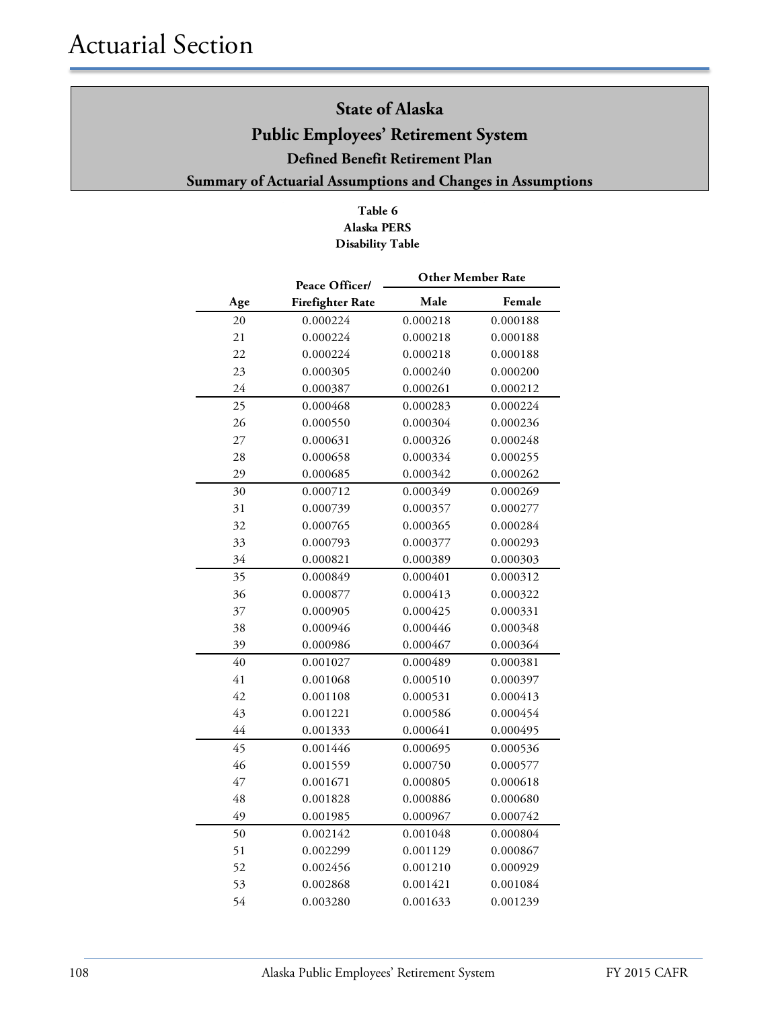#### **Table 6 Alaska PERS Disability Table**

|     | Peace Officer/          | <b>Other Member Rate</b> |          |  |
|-----|-------------------------|--------------------------|----------|--|
| Age | <b>Firefighter Rate</b> | Male                     | Female   |  |
| 20  | 0.000224                | 0.000218                 | 0.000188 |  |
| 21  | 0.000224                | 0.000218                 | 0.000188 |  |
| 22  | 0.000224                | 0.000218                 | 0.000188 |  |
| 23  | 0.000305                | 0.000240                 | 0.000200 |  |
| 24  | 0.000387                | 0.000261                 | 0.000212 |  |
| 25  | 0.000468                | 0.000283                 | 0.000224 |  |
| 26  | 0.000550                | 0.000304                 | 0.000236 |  |
| 27  | 0.000631                | 0.000326                 | 0.000248 |  |
| 28  | 0.000658                | 0.000334                 | 0.000255 |  |
| 29  | 0.000685                | 0.000342                 | 0.000262 |  |
| 30  | 0.000712                | 0.000349                 | 0.000269 |  |
| 31  | 0.000739                | 0.000357                 | 0.000277 |  |
| 32  | 0.000765                | 0.000365                 | 0.000284 |  |
| 33  | 0.000793                | 0.000377                 | 0.000293 |  |
| 34  | 0.000821                | 0.000389                 | 0.000303 |  |
| 35  | 0.000849                | 0.000401                 | 0.000312 |  |
| 36  | 0.000877                | 0.000413                 | 0.000322 |  |
| 37  | 0.000905                | 0.000425                 | 0.000331 |  |
| 38  | 0.000946                | 0.000446                 | 0.000348 |  |
| 39  | 0.000986                | 0.000467                 | 0.000364 |  |
| 40  | 0.001027                | 0.000489                 | 0.000381 |  |
| 41  | 0.001068                | 0.000510                 | 0.000397 |  |
| 42  | 0.001108                | 0.000531                 | 0.000413 |  |
| 43  | 0.001221                | 0.000586                 | 0.000454 |  |
| 44  | 0.001333                | 0.000641                 | 0.000495 |  |
| 45  | 0.001446                | 0.000695                 | 0.000536 |  |
| 46  | 0.001559                | 0.000750                 | 0.000577 |  |
| 47  | 0.001671                | 0.000805                 | 0.000618 |  |
| 48  | 0.001828                | 0.000886                 | 0.000680 |  |
| 49  | 0.001985                | 0.000967                 | 0.000742 |  |
| 50  | 0.002142                | 0.001048                 | 0.000804 |  |
| 51  | 0.002299                | 0.001129                 | 0.000867 |  |
| 52  | 0.002456                | 0.001210                 | 0.000929 |  |
| 53  | 0.002868                | 0.001421                 | 0.001084 |  |
| 54  | 0.003280                | 0.001633                 | 0.001239 |  |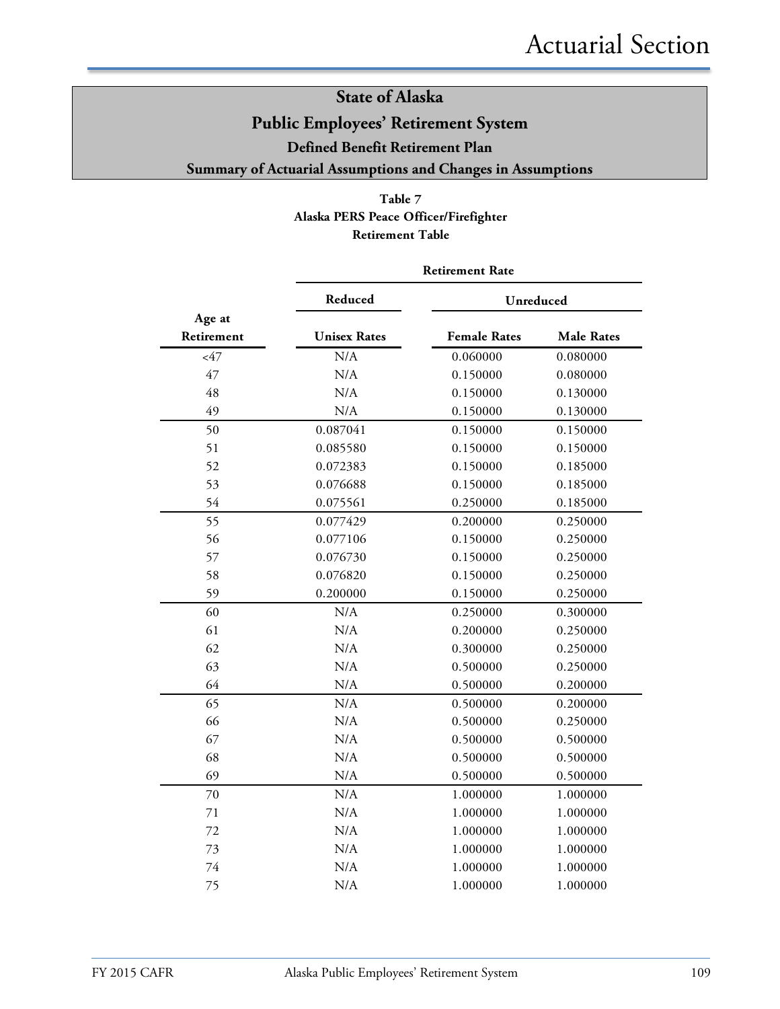#### **Table 7 Alaska PERS Peace Officer/Firefighter Retirement Table**

|                      | <b>Retirement Rate</b> |                     |                   |  |  |  |
|----------------------|------------------------|---------------------|-------------------|--|--|--|
|                      | Reduced                | Unreduced           |                   |  |  |  |
| Age at<br>Retirement | <b>Unisex Rates</b>    | <b>Female Rates</b> | <b>Male Rates</b> |  |  |  |
| $<$ 47               | N/A                    | 0.060000            | 0.080000          |  |  |  |
| 47                   | N/A                    | 0.150000            | 0.080000          |  |  |  |
| 48                   | N/A                    | 0.150000            | 0.130000          |  |  |  |
| 49                   | N/A                    | 0.150000            | 0.130000          |  |  |  |
| 50                   | 0.087041               | 0.150000            | 0.150000          |  |  |  |
| 51                   | 0.085580               | 0.150000            | 0.150000          |  |  |  |
| 52                   | 0.072383               | 0.150000            | 0.185000          |  |  |  |
| 53                   | 0.076688               | 0.150000            | 0.185000          |  |  |  |
| 54                   | 0.075561               | 0.250000            | 0.185000          |  |  |  |
| 55                   | 0.077429               | 0.200000            | 0.250000          |  |  |  |
| 56                   | 0.077106               | 0.150000            | 0.250000          |  |  |  |
| 57                   | 0.076730               | 0.150000            | 0.250000          |  |  |  |
| 58                   | 0.076820               | 0.150000            | 0.250000          |  |  |  |
| 59                   | 0.200000               | 0.150000            | 0.250000          |  |  |  |
| 60                   | N/A                    | 0.250000            | 0.300000          |  |  |  |
| 61                   | N/A                    | 0.200000            | 0.250000          |  |  |  |
| 62                   | N/A                    | 0.300000            | 0.250000          |  |  |  |
| 63                   | N/A                    | 0.500000            | 0.250000          |  |  |  |
| 64                   | N/A                    | 0.500000            | 0.200000          |  |  |  |
| 65                   | N/A                    | 0.500000            | 0.200000          |  |  |  |
| 66                   | N/A                    | 0.500000            | 0.250000          |  |  |  |
| 67                   | N/A                    | 0.500000            | 0.500000          |  |  |  |
| 68                   | N/A                    | 0.500000            | 0.500000          |  |  |  |
| 69                   | N/A                    | 0.500000            | 0.500000          |  |  |  |
| 70                   | N/A                    | 1.000000            | 1.000000          |  |  |  |
| 71                   | N/A                    | 1.000000            | 1.000000          |  |  |  |
| 72                   | N/A                    | 1.000000            | 1.000000          |  |  |  |
| 73                   | N/A                    | 1.000000            | 1.000000          |  |  |  |
| 74                   | N/A                    | 1.000000            | 1.000000          |  |  |  |
| 75                   | N/A                    | 1.000000            | 1.000000          |  |  |  |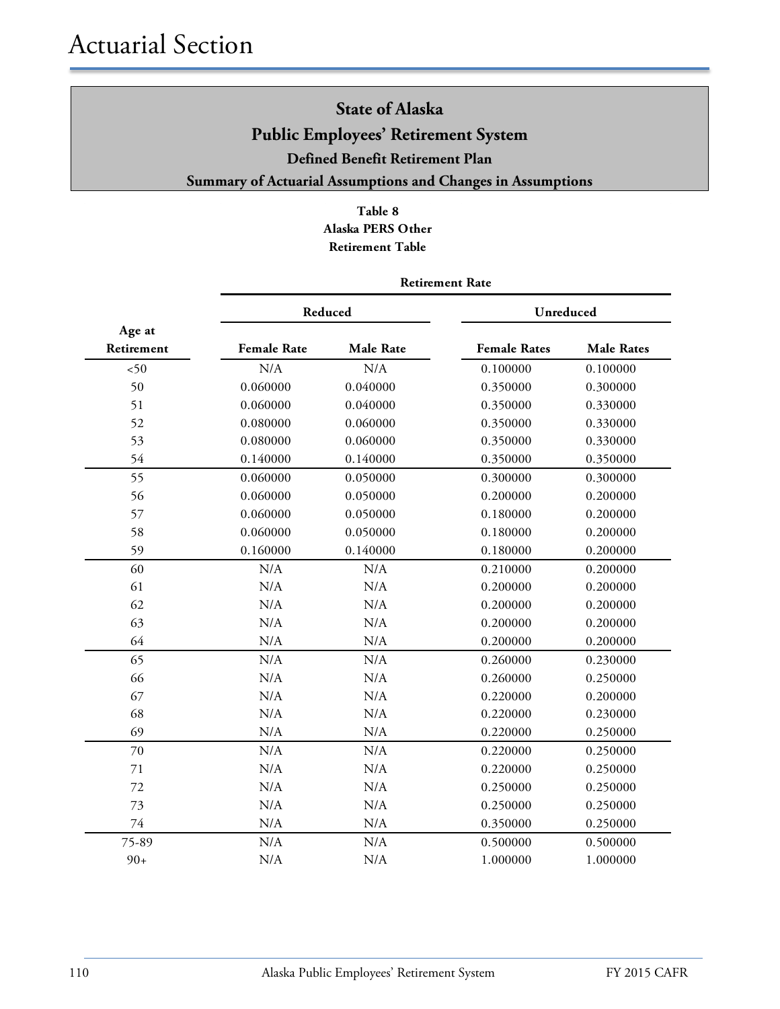#### **Table 8 Alaska PERS Other Retirement Table**

|            | Reduced            |                  | Unreduced           |                   |  |
|------------|--------------------|------------------|---------------------|-------------------|--|
| Age at     |                    |                  |                     |                   |  |
| Retirement | <b>Female Rate</b> | <b>Male Rate</b> | <b>Female Rates</b> | <b>Male Rates</b> |  |
| 50         | N/A                | N/A              | 0.100000            | 0.100000          |  |
| 50         | 0.060000           | 0.040000         | 0.350000            | 0.300000          |  |
| 51         | 0.060000           | 0.040000         | 0.350000            | 0.330000          |  |
| 52         | 0.080000           | 0.060000         | 0.350000            | 0.330000          |  |
| 53         | 0.080000           | 0.060000         | 0.350000            | 0.330000          |  |
| 54         | 0.140000           | 0.140000         | 0.350000            | 0.350000          |  |
| 55         | 0.060000           | 0.050000         | 0.300000            | 0.300000          |  |
| 56         | 0.060000           | 0.050000         | 0.200000            | 0.200000          |  |
| 57         | 0.060000           | 0.050000         | 0.180000            | 0.200000          |  |
| 58         | 0.060000           | 0.050000         | 0.180000            | 0.200000          |  |
| 59         | 0.160000           | 0.140000         | 0.180000            | 0.200000          |  |
| 60         | N/A                | N/A              | 0.210000            | 0.200000          |  |
| 61         | N/A                | N/A              | 0.200000            | 0.200000          |  |
| 62         | N/A                | N/A              | 0.200000            | 0.200000          |  |
| 63         | N/A                | N/A              | 0.200000            | 0.200000          |  |
| 64         | N/A                | N/A              | 0.200000            | 0.200000          |  |
| 65         | N/A                | N/A              | 0.260000            | 0.230000          |  |
| 66         | N/A                | N/A              | 0.260000            | 0.250000          |  |
| 67         | N/A                | N/A              | 0.220000            | 0.200000          |  |
| 68         | N/A                | N/A              | 0.220000            | 0.230000          |  |
| 69         | N/A                | N/A              | 0.220000            | 0.250000          |  |
| 70         | N/A                | N/A              | 0.220000            | 0.250000          |  |
| 71         | N/A                | N/A              | 0.220000            | 0.250000          |  |
| 72         | N/A                | N/A              | 0.250000            | 0.250000          |  |
| 73         | N/A                | N/A              | 0.250000            | 0.250000          |  |
| 74         | N/A                | N/A              | 0.350000            | 0.250000          |  |
| 75-89      | N/A                | N/A              | 0.500000            | 0.500000          |  |
| $90+$      | N/A                | N/A              | 1.000000            | 1.000000          |  |

#### **Retirement Rate**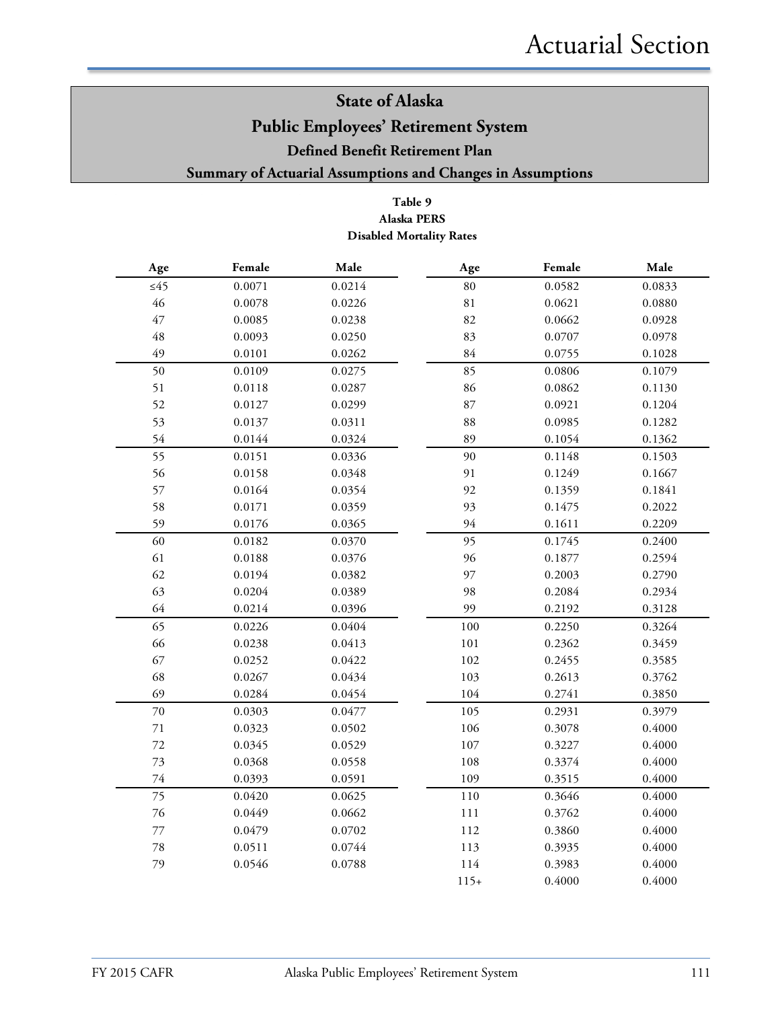#### **Summary of Actuarial Assumptions and Changes in Assumptions**

#### **Table 9 Alaska PERS Disabled Mortality Rates**

| $\bf Male$<br>Female<br>Age |        | Age    | Female | Male   |        |
|-----------------------------|--------|--------|--------|--------|--------|
| $\leq 45$                   | 0.0071 | 0.0214 | $80\,$ | 0.0582 | 0.0833 |
| 46                          | 0.0078 | 0.0226 | 81     | 0.0621 | 0.0880 |
| 47                          | 0.0085 | 0.0238 | 82     | 0.0662 | 0.0928 |
| 48                          | 0.0093 | 0.0250 | 83     | 0.0707 | 0.0978 |
| 49                          | 0.0101 | 0.0262 | 84     | 0.0755 | 0.1028 |
| 50                          | 0.0109 | 0.0275 | 85     | 0.0806 | 0.1079 |
| 51                          | 0.0118 | 0.0287 | 86     | 0.0862 | 0.1130 |
| 52                          | 0.0127 | 0.0299 | 87     | 0.0921 | 0.1204 |
| 53                          | 0.0137 | 0.0311 | 88     | 0.0985 | 0.1282 |
| 54                          | 0.0144 | 0.0324 | 89     | 0.1054 | 0.1362 |
| 55                          | 0.0151 | 0.0336 | 90     | 0.1148 | 0.1503 |
| 56                          | 0.0158 | 0.0348 | 91     | 0.1249 | 0.1667 |
| 57                          | 0.0164 | 0.0354 | 92     | 0.1359 | 0.1841 |
| 58                          | 0.0171 | 0.0359 | 93     | 0.1475 | 0.2022 |
| 59                          | 0.0176 | 0.0365 | 94     | 0.1611 | 0.2209 |
| 60                          | 0.0182 | 0.0370 | 95     | 0.1745 | 0.2400 |
| 61                          | 0.0188 | 0.0376 | 96     | 0.1877 | 0.2594 |
| 62                          | 0.0194 | 0.0382 | 97     | 0.2003 | 0.2790 |
| 63                          | 0.0204 | 0.0389 | 98     | 0.2084 | 0.2934 |
| 64                          | 0.0214 | 0.0396 | 99     | 0.2192 | 0.3128 |
| 65                          | 0.0226 | 0.0404 | 100    | 0.2250 | 0.3264 |
| 66                          | 0.0238 | 0.0413 | 101    | 0.2362 | 0.3459 |
| 67                          | 0.0252 | 0.0422 | 102    | 0.2455 | 0.3585 |
| 68                          | 0.0267 | 0.0434 | 103    | 0.2613 | 0.3762 |
| 69                          | 0.0284 | 0.0454 | 104    | 0.2741 | 0.3850 |
| 70                          | 0.0303 | 0.0477 | 105    | 0.2931 | 0.3979 |
| $71\,$                      | 0.0323 | 0.0502 | 106    | 0.3078 | 0.4000 |
| 72                          | 0.0345 | 0.0529 | 107    | 0.3227 | 0.4000 |
| 73                          | 0.0368 | 0.0558 | 108    | 0.3374 | 0.4000 |
| $74\,$                      | 0.0393 | 0.0591 | 109    | 0.3515 | 0.4000 |
| 75                          | 0.0420 | 0.0625 | 110    | 0.3646 | 0.4000 |
| 76                          | 0.0449 | 0.0662 | 111    | 0.3762 | 0.4000 |
| $77\,$                      | 0.0479 | 0.0702 | 112    | 0.3860 | 0.4000 |
| $78\,$                      | 0.0511 | 0.0744 | 113    | 0.3935 | 0.4000 |
| 79                          | 0.0546 | 0.0788 | 114    | 0.3983 | 0.4000 |
|                             |        |        | $115+$ | 0.4000 | 0.4000 |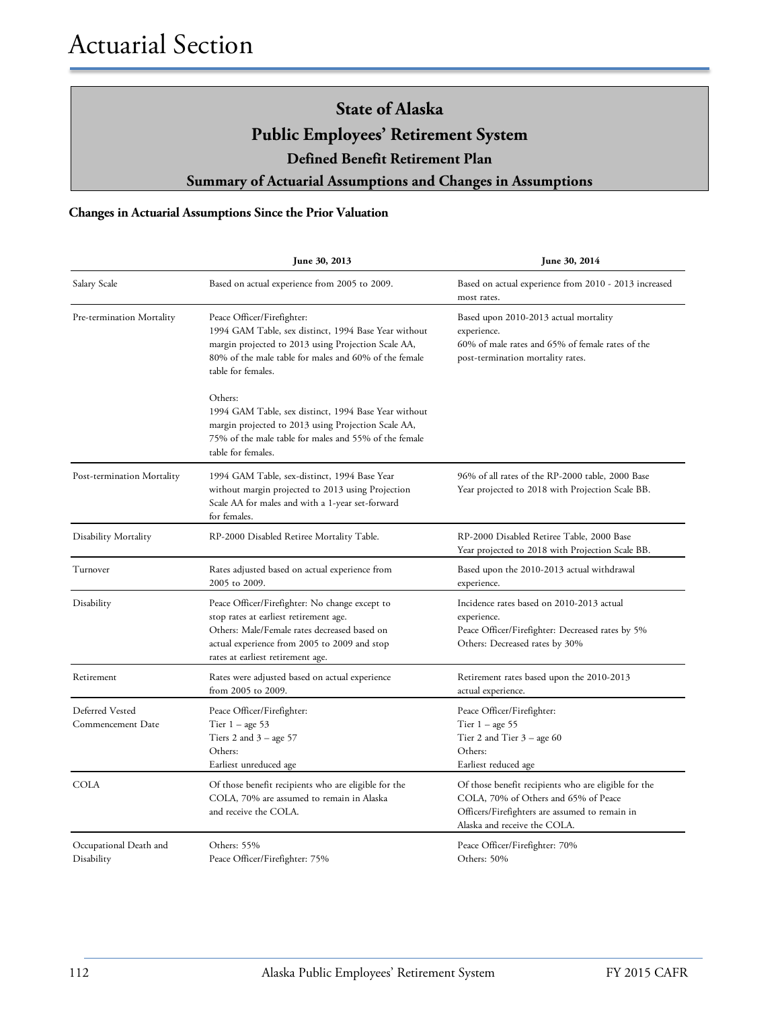#### **Changes in Actuarial Assumptions Since the Prior Valuation**

|                                      | June 30, 2013                                                                                                                                                                                                                 | June 30, 2014                                                                                                                                                                  |
|--------------------------------------|-------------------------------------------------------------------------------------------------------------------------------------------------------------------------------------------------------------------------------|--------------------------------------------------------------------------------------------------------------------------------------------------------------------------------|
| Salary Scale                         | Based on actual experience from 2005 to 2009.                                                                                                                                                                                 | Based on actual experience from 2010 - 2013 increased<br>most rates.                                                                                                           |
| Pre-termination Mortality            | Peace Officer/Firefighter:<br>1994 GAM Table, sex distinct, 1994 Base Year without<br>margin projected to 2013 using Projection Scale AA,<br>80% of the male table for males and 60% of the female<br>table for females.      | Based upon 2010-2013 actual mortality<br>experience.<br>60% of male rates and 65% of female rates of the<br>post-termination mortality rates.                                  |
|                                      | Others:<br>1994 GAM Table, sex distinct, 1994 Base Year without<br>margin projected to 2013 using Projection Scale AA,<br>75% of the male table for males and 55% of the female<br>table for females.                         |                                                                                                                                                                                |
| Post-termination Mortality           | 1994 GAM Table, sex-distinct, 1994 Base Year<br>without margin projected to 2013 using Projection<br>Scale AA for males and with a 1-year set-forward<br>for females.                                                         | 96% of all rates of the RP-2000 table, 2000 Base<br>Year projected to 2018 with Projection Scale BB.                                                                           |
| Disability Mortality                 | RP-2000 Disabled Retiree Mortality Table.                                                                                                                                                                                     | RP-2000 Disabled Retiree Table, 2000 Base<br>Year projected to 2018 with Projection Scale BB.                                                                                  |
| Turnover                             | Rates adjusted based on actual experience from<br>2005 to 2009.                                                                                                                                                               | Based upon the 2010-2013 actual withdrawal<br>experience.                                                                                                                      |
| Disability                           | Peace Officer/Firefighter: No change except to<br>stop rates at earliest retirement age.<br>Others: Male/Female rates decreased based on<br>actual experience from 2005 to 2009 and stop<br>rates at earliest retirement age. | Incidence rates based on 2010-2013 actual<br>experience.<br>Peace Officer/Firefighter: Decreased rates by 5%<br>Others: Decreased rates by 30%                                 |
| Retirement                           | Rates were adjusted based on actual experience<br>from 2005 to 2009.                                                                                                                                                          | Retirement rates based upon the 2010-2013<br>actual experience.                                                                                                                |
| Deferred Vested<br>Commencement Date | Peace Officer/Firefighter:<br>Tier $1 - \text{age } 53$<br>Tiers 2 and $3 - age 57$<br>Others:<br>Earliest unreduced age                                                                                                      | Peace Officer/Firefighter:<br>Tier $1 - age 55$<br>Tier 2 and Tier $3 -$ age 60<br>Others:<br>Earliest reduced age                                                             |
| <b>COLA</b>                          | Of those benefit recipients who are eligible for the<br>COLA, 70% are assumed to remain in Alaska<br>and receive the COLA.                                                                                                    | Of those benefit recipients who are eligible for the<br>COLA, 70% of Others and 65% of Peace<br>Officers/Firefighters are assumed to remain in<br>Alaska and receive the COLA. |
| Occupational Death and<br>Disability | Others: 55%<br>Peace Officer/Firefighter: 75%                                                                                                                                                                                 | Peace Officer/Firefighter: 70%<br>Others: 50%                                                                                                                                  |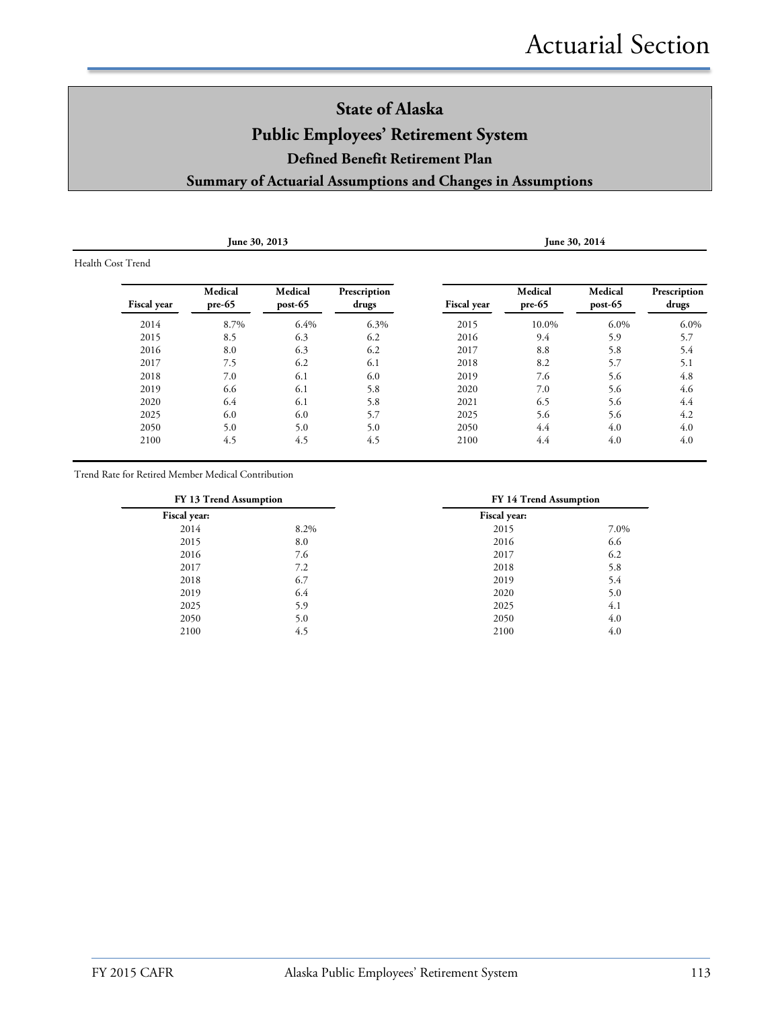| June 30, 2013     |                     |                    |                       |                    |                     | June 30, 2014      |                       |  |
|-------------------|---------------------|--------------------|-----------------------|--------------------|---------------------|--------------------|-----------------------|--|
| Health Cost Trend |                     |                    |                       |                    |                     |                    |                       |  |
| Fiscal year       | Medical<br>$pre-65$ | Medical<br>post-65 | Prescription<br>drugs | <b>Fiscal</b> year | Medical<br>$pre-65$ | Medical<br>post-65 | Prescription<br>drugs |  |
| 2014              | 8.7%                | 6.4%               | 6.3%                  | 2015               | 10.0%               | $6.0\%$            | 6.0%                  |  |
| 2015              | 8.5                 | 6.3                | 6.2                   | 2016               | 9.4                 | 5.9                | 5.7                   |  |
| 2016              | 8.0                 | 6.3                | 6.2                   | 2017               | 8.8                 | 5.8                | 5.4                   |  |
| 2017              | 7.5                 | 6.2                | 6.1                   | 2018               | 8.2                 | 5.7                | 5.1                   |  |
| 2018              | 7.0                 | 6.1                | 6.0                   | 2019               | 7.6                 | 5.6                | 4.8                   |  |
| 2019              | 6.6                 | 6.1                | 5.8                   | 2020               | 7.0                 | 5.6                | 4.6                   |  |
| 2020              | 6.4                 | 6.1                | 5.8                   | 2021               | 6.5                 | 5.6                | 4.4                   |  |
| 2025              | 6.0                 | 6.0                | 5.7                   | 2025               | 5.6                 | 5.6                | 4.2                   |  |
| 2050              | 5.0                 | 5.0                | 5.0                   | 2050               | 4.4                 | 4.0                | 4.0                   |  |
| 2100              | 4.5                 | 4.5                | 4.5                   | 2100               | 4.4                 | 4.0                | 4.0                   |  |

Trend Rate for Retired Member Medical Contribution

| FY 13 Trend Assumption | FY 14 Trend Assumption |      |  |
|------------------------|------------------------|------|--|
|                        | Fiscal year:           |      |  |
| 8.2%                   | 2015                   | 7.0% |  |
| 8.0                    | 2016                   | 6.6  |  |
| 7.6                    | 2017                   | 6.2  |  |
| 7.2                    | 2018                   | 5.8  |  |
| 6.7                    | 2019                   | 5.4  |  |
| 6.4                    | 2020                   | 5.0  |  |
| 5.9                    | 2025                   | 4.1  |  |
| 5.0                    | 2050                   | 4.0  |  |
| 4.5                    | 2100                   | 4.0  |  |
|                        |                        |      |  |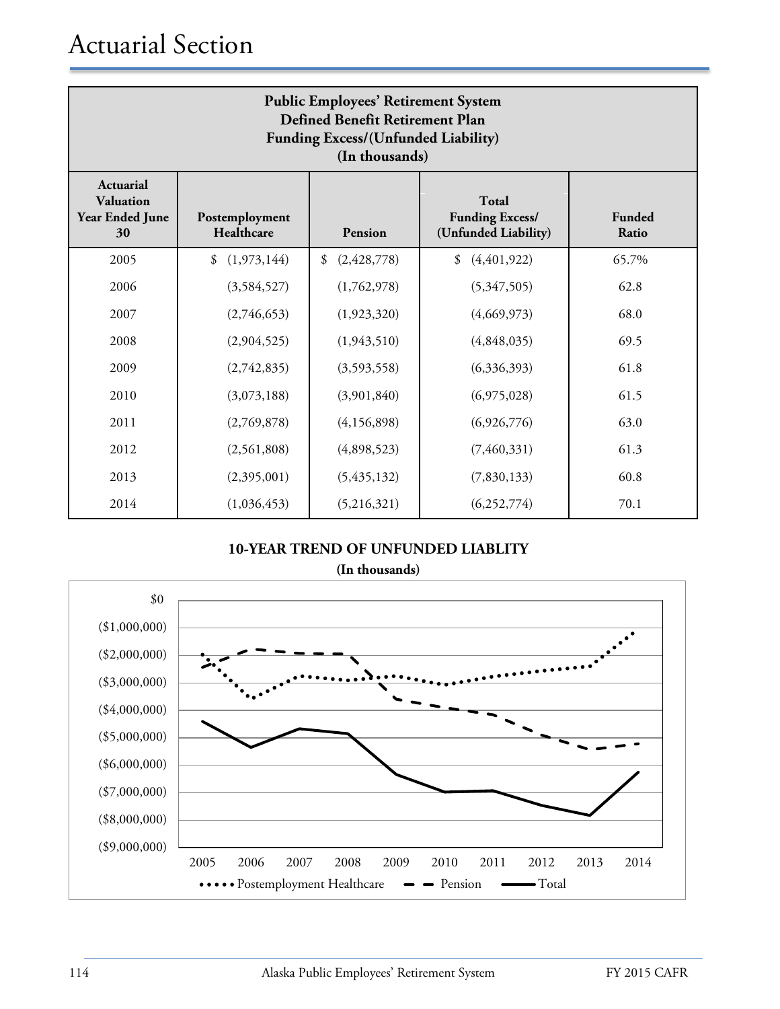| <b>Public Employees' Retirement System</b><br>Defined Benefit Retirement Plan<br>Funding Excess/(Unfunded Liability)<br>(In thousands) |                              |                     |                                                                |                 |  |  |  |
|----------------------------------------------------------------------------------------------------------------------------------------|------------------------------|---------------------|----------------------------------------------------------------|-----------------|--|--|--|
| Actuarial<br>Valuation<br><b>Year Ended June</b><br>30                                                                                 | Postemployment<br>Healthcare | <b>Pension</b>      | <b>Total</b><br><b>Funding Excess/</b><br>(Unfunded Liability) | Funded<br>Ratio |  |  |  |
| 2005                                                                                                                                   | (1,973,144)<br>\$            | (2, 428, 778)<br>\$ | (4, 401, 922)<br>\$                                            | 65.7%           |  |  |  |
| 2006                                                                                                                                   | (3,584,527)                  | (1,762,978)         | (5,347,505)                                                    | 62.8            |  |  |  |
| 2007                                                                                                                                   | (2,746,653)                  | (1,923,320)         | (4,669,973)                                                    | 68.0            |  |  |  |
| 2008                                                                                                                                   | (2,904,525)                  | (1,943,510)         | (4,848,035)                                                    | 69.5            |  |  |  |
| 2009                                                                                                                                   | (2,742,835)                  | (3,593,558)         | (6,336,393)                                                    | 61.8            |  |  |  |
| 2010                                                                                                                                   | (3,073,188)                  | (3,901,840)         | (6,975,028)                                                    | 61.5            |  |  |  |
| 2011                                                                                                                                   | (2,769,878)                  | (4,156,898)         | (6,926,776)                                                    | 63.0            |  |  |  |
| 2012                                                                                                                                   | (2,561,808)                  | (4,898,523)         | (7,460,331)                                                    | 61.3            |  |  |  |
| 2013                                                                                                                                   | (2,395,001)                  | (5, 435, 132)       | (7,830,133)                                                    | 60.8            |  |  |  |
| 2014                                                                                                                                   | (1,036,453)                  | (5,216,321)         | (6,252,774)                                                    | 70.1            |  |  |  |

#### **10-YEAR TREND OF UNFUNDED LIABLITY (In thousands)**

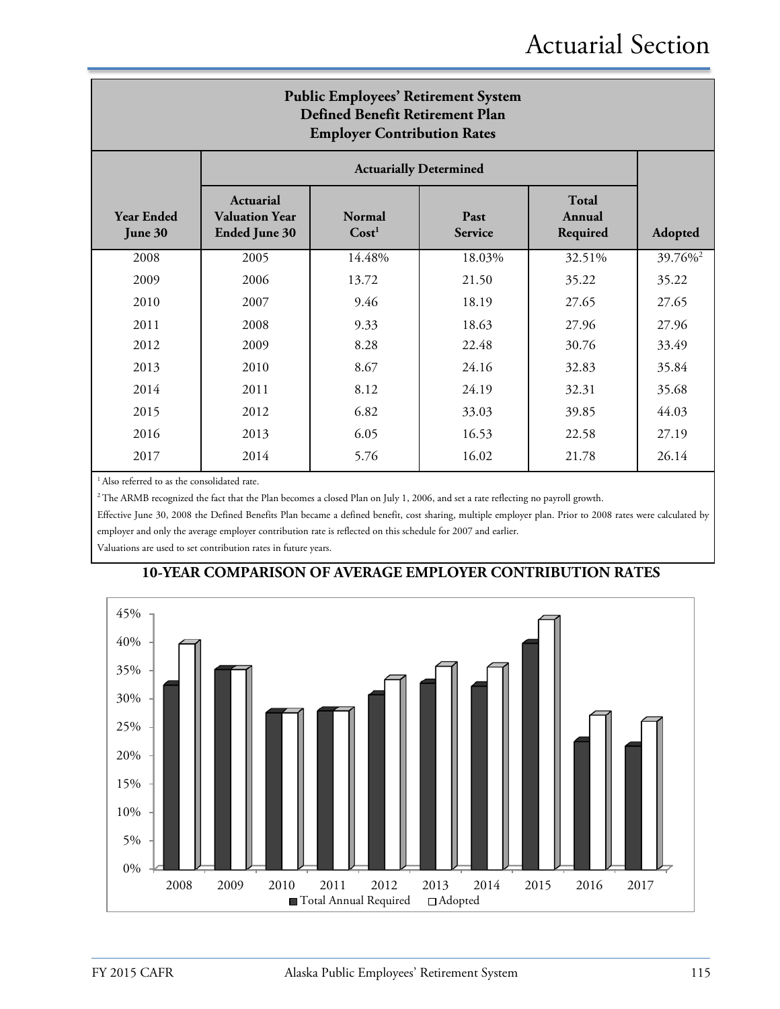| <b>Public Employees' Retirement System</b><br><b>Defined Benefit Retirement Plan</b><br><b>Employer Contribution Rates</b> |                                                                   |                                    |                               |                                    |                     |  |
|----------------------------------------------------------------------------------------------------------------------------|-------------------------------------------------------------------|------------------------------------|-------------------------------|------------------------------------|---------------------|--|
|                                                                                                                            |                                                                   |                                    | <b>Actuarially Determined</b> |                                    |                     |  |
| <b>Year Ended</b><br>June 30                                                                                               | <b>Actuarial</b><br><b>Valuation Year</b><br><b>Ended June 30</b> | <b>Normal</b><br>Cost <sup>1</sup> | Past<br><b>Service</b>        | <b>Total</b><br>Annual<br>Required | Adopted             |  |
| 2008                                                                                                                       | 2005                                                              | 14.48%                             | 18.03%                        | 32.51%                             | 39.76% <sup>2</sup> |  |
| 2009                                                                                                                       | 2006                                                              | 13.72                              | 21.50                         | 35.22                              | 35.22               |  |
| 2010                                                                                                                       | 2007                                                              | 9.46                               | 18.19                         | 27.65                              | 27.65               |  |
| 2011                                                                                                                       | 2008                                                              | 9.33                               | 18.63                         | 27.96                              | 27.96               |  |
| 2012                                                                                                                       | 2009                                                              | 8.28                               | 22.48                         | 30.76                              | 33.49               |  |
| 2013                                                                                                                       | 2010                                                              | 8.67                               | 24.16                         | 32.83                              | 35.84               |  |
| 2014                                                                                                                       | 2011                                                              | 8.12                               | 24.19                         | 32.31                              | 35.68               |  |
| 2015                                                                                                                       | 2012                                                              | 6.82                               | 33.03                         | 39.85                              | 44.03               |  |
| 2016                                                                                                                       | 2013                                                              | 6.05                               | 16.53                         | 22.58                              | 27.19               |  |
| 2017                                                                                                                       | 2014                                                              | 5.76                               | 16.02                         | 21.78                              | 26.14               |  |

<sup>1</sup> Also referred to as the consolidated rate.

<sup>2</sup> The ARMB recognized the fact that the Plan becomes a closed Plan on July 1, 2006, and set a rate reflecting no payroll growth.

Effective June 30, 2008 the Defined Benefits Plan became a defined benefit, cost sharing, multiple employer plan. Prior to 2008 rates were calculated by employer and only the average employer contribution rate is reflected on this schedule for 2007 and earlier.

Valuations are used to set contribution rates in future years.



#### **10-YEAR COMPARISON OF AVERAGE EMPLOYER CONTRIBUTION RATES**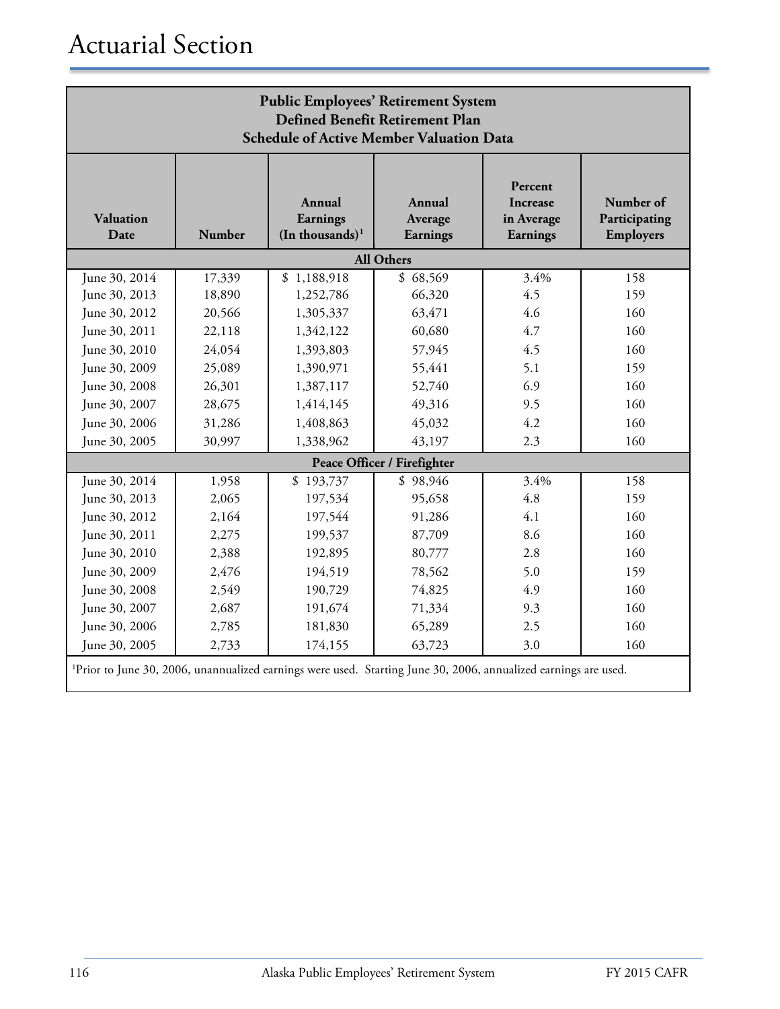| <b>Public Employees' Retirement System</b><br>Defined Benefit Retirement Plan<br><b>Schedule of Active Member Valuation Data</b> |        |                                                     |                               |                                               |                                         |  |
|----------------------------------------------------------------------------------------------------------------------------------|--------|-----------------------------------------------------|-------------------------------|-----------------------------------------------|-----------------------------------------|--|
| <b>Valuation</b><br>Date                                                                                                         | Number | Annual<br>Earnings<br>$(In$ thousands) <sup>1</sup> | Annual<br>Average<br>Earnings | Percent<br>Increase<br>in Average<br>Earnings | Number of<br>Participating<br>Employers |  |
|                                                                                                                                  |        |                                                     | <b>All Others</b>             |                                               |                                         |  |
| June 30, 2014                                                                                                                    | 17,339 | \$1,188,918                                         | \$68,569                      | 3.4%                                          | 158                                     |  |
| June 30, 2013                                                                                                                    | 18,890 | 1,252,786                                           | 66,320                        | 4.5                                           | 159                                     |  |
| June 30, 2012                                                                                                                    | 20,566 | 1,305,337                                           | 63,471                        | 4.6                                           | 160                                     |  |
| June 30, 2011                                                                                                                    | 22,118 | 1,342,122                                           | 60,680                        | 4.7                                           | 160                                     |  |
| June 30, 2010                                                                                                                    | 24,054 | 1,393,803                                           | 57,945                        | 4.5                                           | 160                                     |  |
| June 30, 2009                                                                                                                    | 25,089 | 1,390,971                                           | 55,441                        | 5.1                                           | 159                                     |  |
| June 30, 2008                                                                                                                    | 26,301 | 1,387,117                                           | 52,740                        | 6.9                                           | 160                                     |  |
| June 30, 2007                                                                                                                    | 28,675 | 1,414,145                                           | 49,316                        | 9.5                                           | 160                                     |  |
| June 30, 2006                                                                                                                    | 31,286 | 1,408,863                                           | 45,032                        | 4.2                                           | 160                                     |  |
| June 30, 2005                                                                                                                    | 30,997 | 1,338,962                                           | 43,197                        | 2.3                                           | 160                                     |  |
|                                                                                                                                  |        |                                                     | Peace Officer / Firefighter   |                                               |                                         |  |
| June 30, 2014                                                                                                                    | 1,958  | \$193,737                                           | \$98,946                      | 3.4%                                          | 158                                     |  |
| June 30, 2013                                                                                                                    | 2,065  | 197,534                                             | 95,658                        | 4.8                                           | 159                                     |  |
| June 30, 2012                                                                                                                    | 2,164  | 197,544                                             | 91,286                        | 4.1                                           | 160                                     |  |
| June 30, 2011                                                                                                                    | 2,275  | 199,537                                             | 87,709                        | 8.6                                           | 160                                     |  |
| June 30, 2010                                                                                                                    | 2,388  | 192,895                                             | 80,777                        | 2.8                                           | 160                                     |  |
| June 30, 2009                                                                                                                    | 2,476  | 194,519                                             | 78,562                        | 5.0                                           | 159                                     |  |
| June 30, 2008                                                                                                                    | 2,549  | 190,729                                             | 74,825                        | 4.9                                           | 160                                     |  |
| June 30, 2007                                                                                                                    | 2,687  | 191,674                                             | 71,334                        | 9.3                                           | 160                                     |  |
| June 30, 2006                                                                                                                    | 2,785  | 181,830                                             | 65,289                        | 2.5                                           | 160                                     |  |
| June 30, 2005                                                                                                                    | 2,733  | 174,155                                             | 63,723                        | 3.0                                           | 160                                     |  |
| <sup>1</sup> Prior to June 30, 2006, unannualized earnings were used. Starting June 30, 2006, annualized earnings are used.      |        |                                                     |                               |                                               |                                         |  |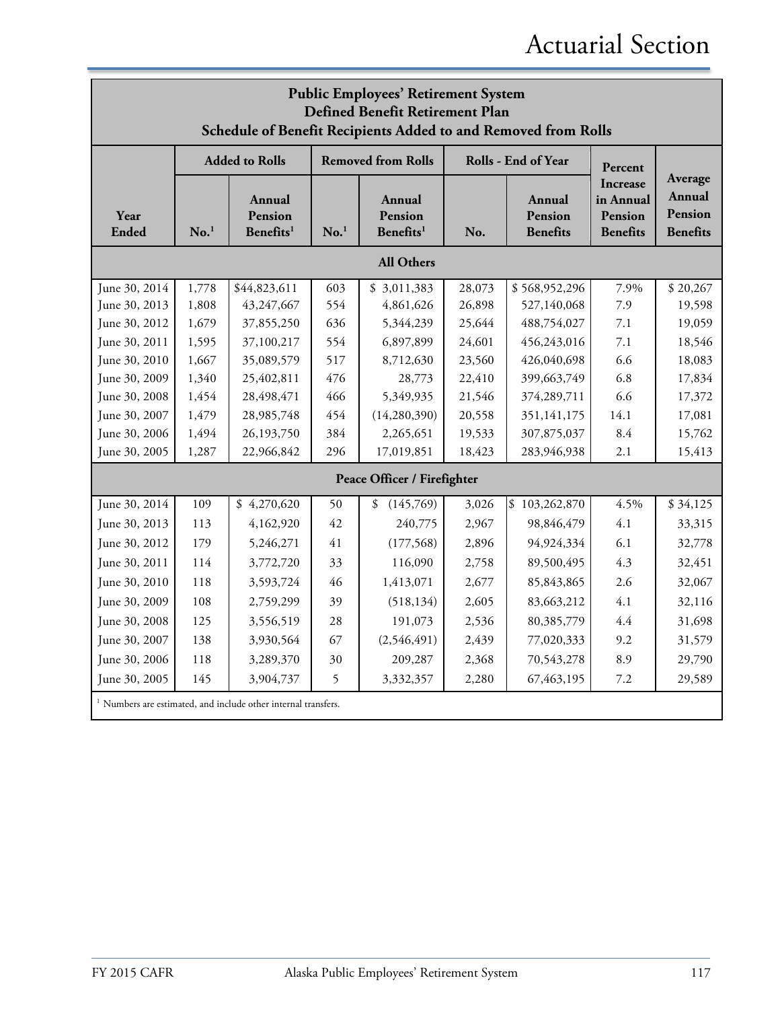## Actuarial Section

| <b>Public Employees' Retirement System</b><br>Defined Benefit Retirement Plan<br>Schedule of Benefit Recipients Added to and Removed from Rolls |                  |                                                                           |                  |                                            |        |                                      |                                                            |                                                 |
|-------------------------------------------------------------------------------------------------------------------------------------------------|------------------|---------------------------------------------------------------------------|------------------|--------------------------------------------|--------|--------------------------------------|------------------------------------------------------------|-------------------------------------------------|
|                                                                                                                                                 |                  | <b>Added to Rolls</b>                                                     |                  | <b>Removed from Rolls</b>                  |        | Rolls - End of Year                  | Percent                                                    |                                                 |
| Year<br><b>Ended</b>                                                                                                                            | No. <sup>1</sup> | Annual<br>Pension<br>Benefits <sup>1</sup>                                | No. <sup>1</sup> | Annual<br>Pension<br>Benefits <sup>1</sup> | No.    | Annual<br>Pension<br><b>Benefits</b> | <b>Increase</b><br>in Annual<br>Pension<br><b>Benefits</b> | Average<br>Annual<br>Pension<br><b>Benefits</b> |
|                                                                                                                                                 |                  |                                                                           |                  | <b>All Others</b>                          |        |                                      |                                                            |                                                 |
| June 30, 2014                                                                                                                                   | 1,778            | \$44,823,611                                                              | 603              | \$3,011,383                                | 28,073 | \$568,952,296                        | 7.9%                                                       | \$20,267                                        |
| June 30, 2013                                                                                                                                   | 1,808            | 43,247,667                                                                | 554              | 4,861,626                                  | 26,898 | 527,140,068                          | 7.9                                                        | 19,598                                          |
| June 30, 2012                                                                                                                                   | 1,679            | 37,855,250                                                                | 636              | 5,344,239                                  | 25,644 | 488,754,027                          | 7.1                                                        | 19,059                                          |
| June 30, 2011                                                                                                                                   | 1,595            | 37,100,217                                                                | 554              | 6,897,899                                  | 24,601 | 456,243,016                          | 7.1                                                        | 18,546                                          |
| June 30, 2010                                                                                                                                   | 1,667            | 35,089,579                                                                | 517              | 8,712,630                                  | 23,560 | 426,040,698                          | 6.6                                                        | 18,083                                          |
| June 30, 2009                                                                                                                                   | 1,340            | 25,402,811                                                                | 476              | 28,773                                     | 22,410 | 399,663,749                          | 6.8                                                        | 17,834                                          |
| June 30, 2008                                                                                                                                   | 1,454            | 28,498,471                                                                | 466              | 5,349,935                                  | 21,546 | 374,289,711                          | 6.6                                                        | 17,372                                          |
| June 30, 2007                                                                                                                                   | 1,479            | 28,985,748                                                                | 454              | (14, 280, 390)                             | 20,558 | 351,141,175                          | 14.1                                                       | 17,081                                          |
| June 30, 2006                                                                                                                                   | 1,494            | 26,193,750                                                                | 384              | 2,265,651                                  | 19,533 | 307,875,037                          | 8.4                                                        | 15,762                                          |
| June 30, 2005                                                                                                                                   | 1,287            | 22,966,842                                                                | 296              | 17,019,851                                 | 18,423 | 283,946,938                          | 2.1                                                        | 15,413                                          |
|                                                                                                                                                 |                  |                                                                           |                  | Peace Officer / Firefighter                |        |                                      |                                                            |                                                 |
| June 30, 2014                                                                                                                                   | 109              | \$4,270,620                                                               | 50               | \$<br>(145,769)                            | 3,026  | \$103,262,870                        | 4.5%                                                       | \$34,125                                        |
| June 30, 2013                                                                                                                                   | 113              | 4,162,920                                                                 | 42               | 240,775                                    | 2,967  | 98,846,479                           | 4.1                                                        | 33,315                                          |
| June 30, 2012                                                                                                                                   | 179              | 5,246,271                                                                 | 41               | (177, 568)                                 | 2,896  | 94,924,334                           | 6.1                                                        | 32,778                                          |
| June 30, 2011                                                                                                                                   | 114              | 3,772,720                                                                 | 33               | 116,090                                    | 2,758  | 89,500,495                           | 4.3                                                        | 32,451                                          |
| June 30, 2010                                                                                                                                   | 118              | 3,593,724                                                                 | 46               | 1,413,071                                  | 2,677  | 85,843,865                           | 2.6                                                        | 32,067                                          |
| June 30, 2009                                                                                                                                   | 108              | 2,759,299                                                                 | 39               | (518, 134)                                 | 2,605  | 83,663,212                           | 4.1                                                        | 32,116                                          |
| June 30, 2008                                                                                                                                   | 125              | 3,556,519                                                                 | 28               | 191,073                                    | 2,536  | 80,385,779                           | 4.4                                                        | 31,698                                          |
| June 30, 2007                                                                                                                                   | 138              | 3,930,564                                                                 | 67               | (2,546,491)                                | 2,439  | 77,020,333                           | 9.2                                                        | 31,579                                          |
| June 30, 2006                                                                                                                                   | 118              | 3,289,370                                                                 | 30               | 209,287                                    | 2,368  | 70,543,278                           | 8.9                                                        | 29,790                                          |
| June 30, 2005                                                                                                                                   | 145              | 3,904,737                                                                 | 5                | 3,332,357                                  | 2,280  | 67,463,195                           | 7.2                                                        | 29,589                                          |
|                                                                                                                                                 |                  | <sup>1</sup> Numbers are estimated, and include other internal transfers. |                  |                                            |        |                                      |                                                            |                                                 |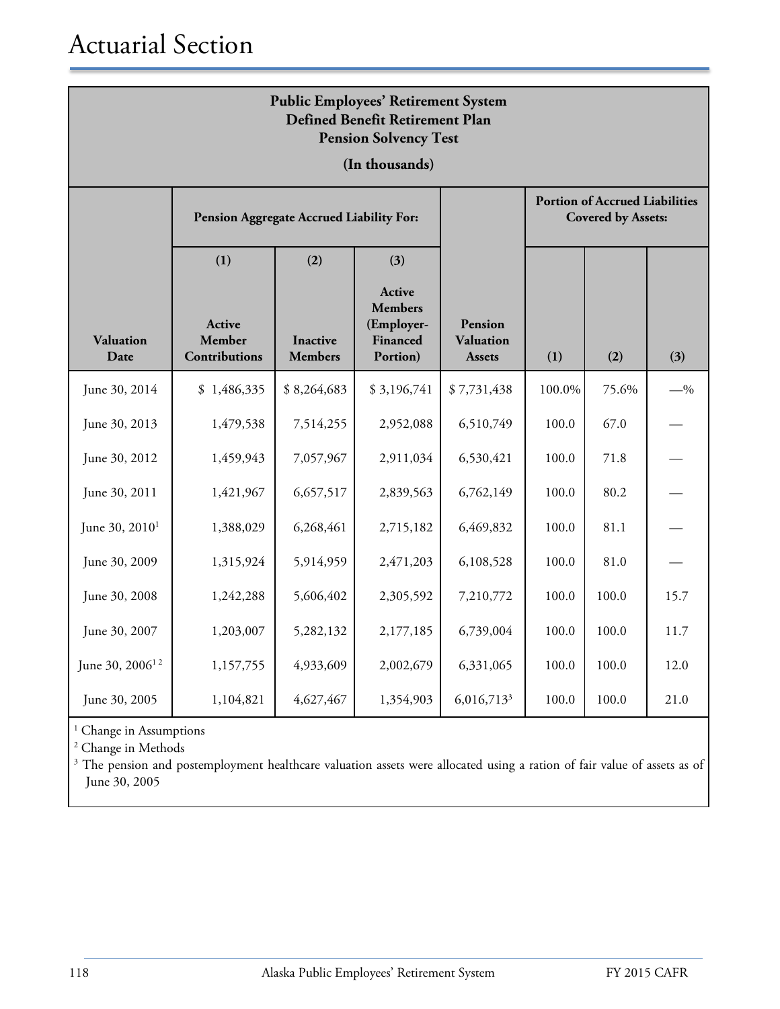| <b>Public Employees' Retirement System</b><br>Defined Benefit Retirement Plan<br><b>Pension Solvency Test</b> |                                          |                                   |                                                                |                                              |                                                                    |       |       |  |
|---------------------------------------------------------------------------------------------------------------|------------------------------------------|-----------------------------------|----------------------------------------------------------------|----------------------------------------------|--------------------------------------------------------------------|-------|-------|--|
|                                                                                                               |                                          |                                   | (In thousands)                                                 |                                              |                                                                    |       |       |  |
|                                                                                                               | Pension Aggregate Accrued Liability For: |                                   |                                                                |                                              | <b>Portion of Accrued Liabilities</b><br><b>Covered by Assets:</b> |       |       |  |
|                                                                                                               | (1)                                      | (2)                               | (3)                                                            |                                              |                                                                    |       |       |  |
| <b>Valuation</b><br>Date                                                                                      | Active<br>Member<br><b>Contributions</b> | <b>Inactive</b><br><b>Members</b> | Active<br><b>Members</b><br>(Employer-<br>Financed<br>Portion) | Pension<br><b>Valuation</b><br><b>Assets</b> | (1)                                                                | (2)   | (3)   |  |
| June 30, 2014                                                                                                 | \$1,486,335                              | \$8,264,683                       | \$3,196,741                                                    | \$7,731,438                                  | 100.0%                                                             | 75.6% | $-$ % |  |
| June 30, 2013                                                                                                 | 1,479,538                                | 7,514,255                         | 2,952,088                                                      | 6,510,749                                    | 100.0                                                              | 67.0  |       |  |
| June 30, 2012                                                                                                 | 1,459,943                                | 7,057,967                         | 2,911,034                                                      | 6,530,421                                    | 100.0                                                              | 71.8  |       |  |
| June 30, 2011                                                                                                 | 1,421,967                                | 6,657,517                         | 2,839,563                                                      | 6,762,149                                    | 100.0                                                              | 80.2  |       |  |
| June 30, 2010 <sup>1</sup>                                                                                    | 1,388,029                                | 6,268,461                         | 2,715,182                                                      | 6,469,832                                    | 100.0                                                              | 81.1  |       |  |
| June 30, 2009                                                                                                 | 1,315,924                                | 5,914,959                         | 2,471,203                                                      | 6,108,528                                    | 100.0                                                              | 81.0  |       |  |
| June 30, 2008                                                                                                 | 1,242,288                                | 5,606,402                         | 2,305,592                                                      | 7,210,772                                    | 100.0                                                              | 100.0 | 15.7  |  |
| June 30, 2007                                                                                                 | 1,203,007                                | 5,282,132                         | 2,177,185                                                      | 6,739,004                                    | 100.0                                                              | 100.0 | 11.7  |  |
| June 30, 2006 <sup>12</sup>                                                                                   | 1,157,755                                | 4,933,609                         | 2,002,679                                                      | 6,331,065                                    | 100.0                                                              | 100.0 | 12.0  |  |
| June 30, 2005                                                                                                 | 1,104,821                                | 4,627,467                         | 1,354,903                                                      | 6,016,713 <sup>3</sup>                       | 100.0                                                              | 100.0 | 21.0  |  |

<sup>1</sup> Change in Assumptions

<sup>2</sup> Change in Methods

<sup>3</sup> The pension and postemployment healthcare valuation assets were allocated using a ration of fair value of assets as of June 30, 2005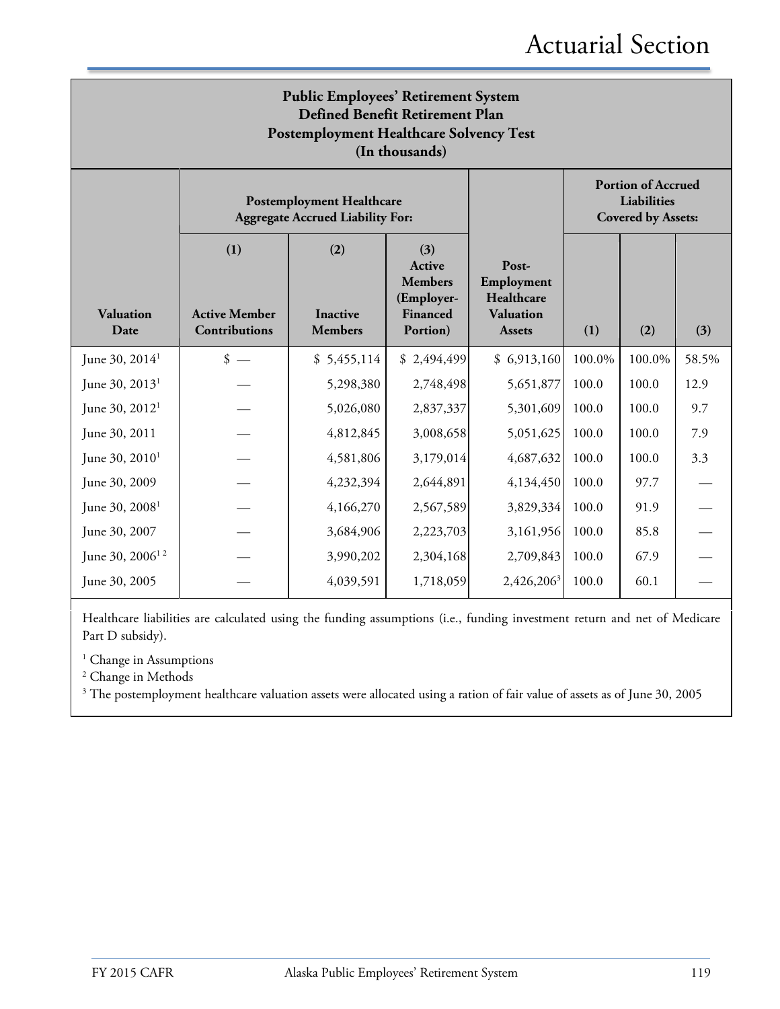| <b>Public Employees' Retirement System</b><br>Defined Benefit Retirement Plan<br><b>Postemployment Healthcare Solvency Test</b><br>(In thousands) |                                                     |                                                                             |                                                                              |                                                                        |                                                                       |        |       |  |
|---------------------------------------------------------------------------------------------------------------------------------------------------|-----------------------------------------------------|-----------------------------------------------------------------------------|------------------------------------------------------------------------------|------------------------------------------------------------------------|-----------------------------------------------------------------------|--------|-------|--|
|                                                                                                                                                   |                                                     | <b>Postemployment Healthcare</b><br><b>Aggregate Accrued Liability For:</b> |                                                                              |                                                                        | <b>Portion of Accrued</b><br>Liabilities<br><b>Covered by Assets:</b> |        |       |  |
| <b>Valuation</b><br>Date                                                                                                                          | (1)<br><b>Active Member</b><br><b>Contributions</b> | (2)<br><b>Inactive</b><br><b>Members</b>                                    | (3)<br><b>Active</b><br><b>Members</b><br>(Employer-<br>Financed<br>Portion) | Post-<br>Employment<br>Healthcare<br><b>Valuation</b><br><b>Assets</b> | (1)                                                                   | (2)    | (3)   |  |
| June 30, $2014^1$                                                                                                                                 | $\frac{\text{I}}{\text{I}}$                         | \$5,455,114                                                                 | \$2,494,499                                                                  | \$6,913,160                                                            | 100.0%                                                                | 100.0% | 58.5% |  |
| June 30, $2013^1$                                                                                                                                 |                                                     | 5,298,380                                                                   | 2,748,498                                                                    | 5,651,877                                                              | 100.0                                                                 | 100.0  | 12.9  |  |
| June 30, $2012^1$                                                                                                                                 |                                                     | 5,026,080                                                                   | 2,837,337                                                                    | 5,301,609                                                              | 100.0                                                                 | 100.0  | 9.7   |  |
| June 30, 2011                                                                                                                                     |                                                     | 4,812,845                                                                   | 3,008,658                                                                    | 5,051,625                                                              | 100.0                                                                 | 100.0  | 7.9   |  |
| June 30, 2010 <sup>1</sup>                                                                                                                        |                                                     | 4,581,806                                                                   | 3,179,014                                                                    | 4,687,632                                                              | 100.0                                                                 | 100.0  | 3.3   |  |
| June 30, 2009                                                                                                                                     |                                                     | 4,232,394                                                                   | 2,644,891                                                                    | 4,134,450                                                              | 100.0                                                                 | 97.7   |       |  |
| June 30, 2008 <sup>1</sup>                                                                                                                        |                                                     | 4,166,270                                                                   | 2,567,589                                                                    | 3,829,334                                                              | 100.0                                                                 | 91.9   |       |  |
| June 30, 2007                                                                                                                                     |                                                     | 3,684,906                                                                   | 2,223,703                                                                    | 3,161,956                                                              | 100.0                                                                 | 85.8   |       |  |
| June 30, $2006^{12}$                                                                                                                              |                                                     | 3,990,202                                                                   | 2,304,168                                                                    | 2,709,843                                                              | 100.0                                                                 | 67.9   |       |  |
| June 30, 2005                                                                                                                                     |                                                     | 4,039,591                                                                   | 1,718,059                                                                    | 2,426,206 <sup>3</sup>                                                 | 100.0                                                                 | 60.1   |       |  |

Healthcare liabilities are calculated using the funding assumptions (i.e., funding investment return and net of Medicare Part D subsidy).

<sup>1</sup> Change in Assumptions

<sup>2</sup> Change in Methods

<sup>3</sup> The postemployment healthcare valuation assets were allocated using a ration of fair value of assets as of June 30, 2005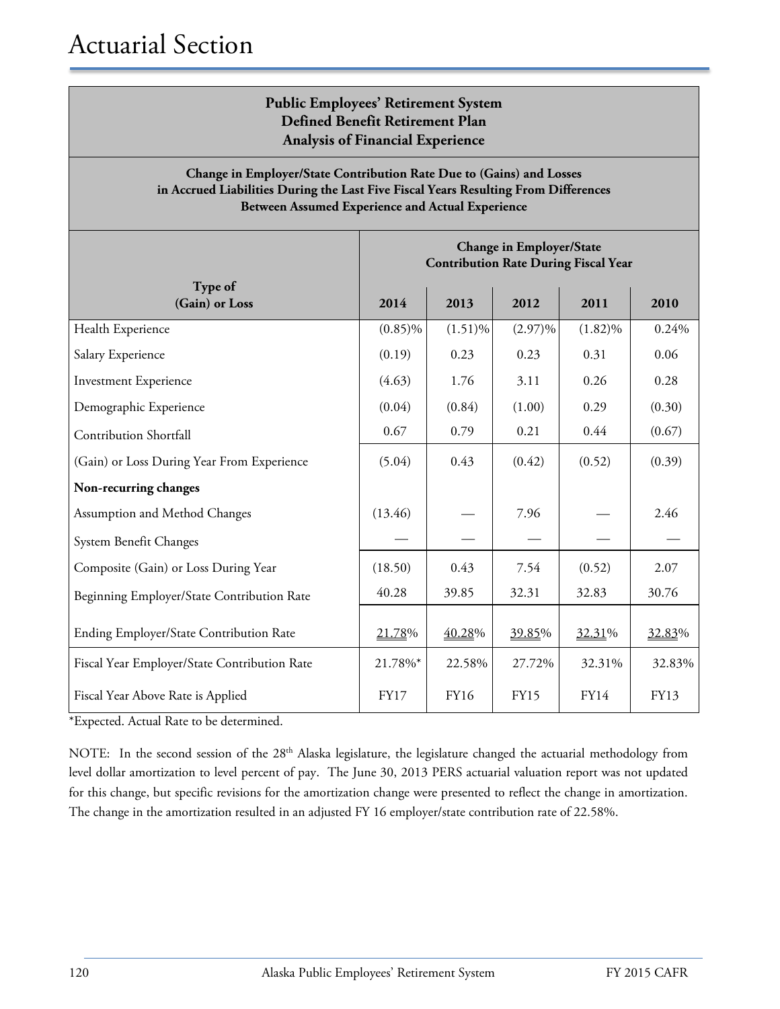#### **Public Employees' Retirement System Defined Benefit Retirement Plan Analysis of Financial Experience**

#### **Change in Employer/State Contribution Rate Due to (Gains) and Losses in Accrued Liabilities During the Last Five Fiscal Years Resulting From Differences Between Assumed Experience and Actual Experience**

|                                              | <b>Change in Employer/State</b><br><b>Contribution Rate During Fiscal Year</b> |             |             |             |        |  |
|----------------------------------------------|--------------------------------------------------------------------------------|-------------|-------------|-------------|--------|--|
| Type of<br>(Gain) or Loss                    | 2014                                                                           | 2013        | 2012        | 2011        | 2010   |  |
| Health Experience                            | $(0.85)\%$                                                                     | $(1.51)\%$  | $(2.97)\%$  | $(1.82)\%$  | 0.24%  |  |
| Salary Experience                            | (0.19)                                                                         | 0.23        | 0.23        | 0.31        | 0.06   |  |
| <b>Investment Experience</b>                 | (4.63)                                                                         | 1.76        | 3.11        | 0.26        | 0.28   |  |
| Demographic Experience                       | (0.04)                                                                         | (0.84)      | (1.00)      | 0.29        | (0.30) |  |
| <b>Contribution Shortfall</b>                | 0.67                                                                           | 0.79        | 0.21        | 0.44        | (0.67) |  |
| (Gain) or Loss During Year From Experience   | (5.04)                                                                         | 0.43        | (0.42)      | (0.52)      | (0.39) |  |
| Non-recurring changes                        |                                                                                |             |             |             |        |  |
| Assumption and Method Changes                | (13.46)                                                                        |             | 7.96        |             | 2.46   |  |
| System Benefit Changes                       |                                                                                |             |             |             |        |  |
| Composite (Gain) or Loss During Year         | (18.50)                                                                        | 0.43        | 7.54        | (0.52)      | 2.07   |  |
| Beginning Employer/State Contribution Rate   | 40.28                                                                          | 39.85       | 32.31       | 32.83       | 30.76  |  |
| Ending Employer/State Contribution Rate      | 21.78%                                                                         | 40.28%      | 39.85%      | 32.31%      | 32.83% |  |
| Fiscal Year Employer/State Contribution Rate | 21.78%*                                                                        | 22.58%      | 27.72%      | 32.31%      | 32.83% |  |
| Fiscal Year Above Rate is Applied            | <b>FY17</b>                                                                    | <b>FY16</b> | <b>FY15</b> | <b>FY14</b> | FY13   |  |

\*Expected. Actual Rate to be determined.

NOTE: In the second session of the 28<sup>th</sup> Alaska legislature, the legislature changed the actuarial methodology from level dollar amortization to level percent of pay. The June 30, 2013 PERS actuarial valuation report was not updated for this change, but specific revisions for the amortization change were presented to reflect the change in amortization. The change in the amortization resulted in an adjusted FY 16 employer/state contribution rate of 22.58%.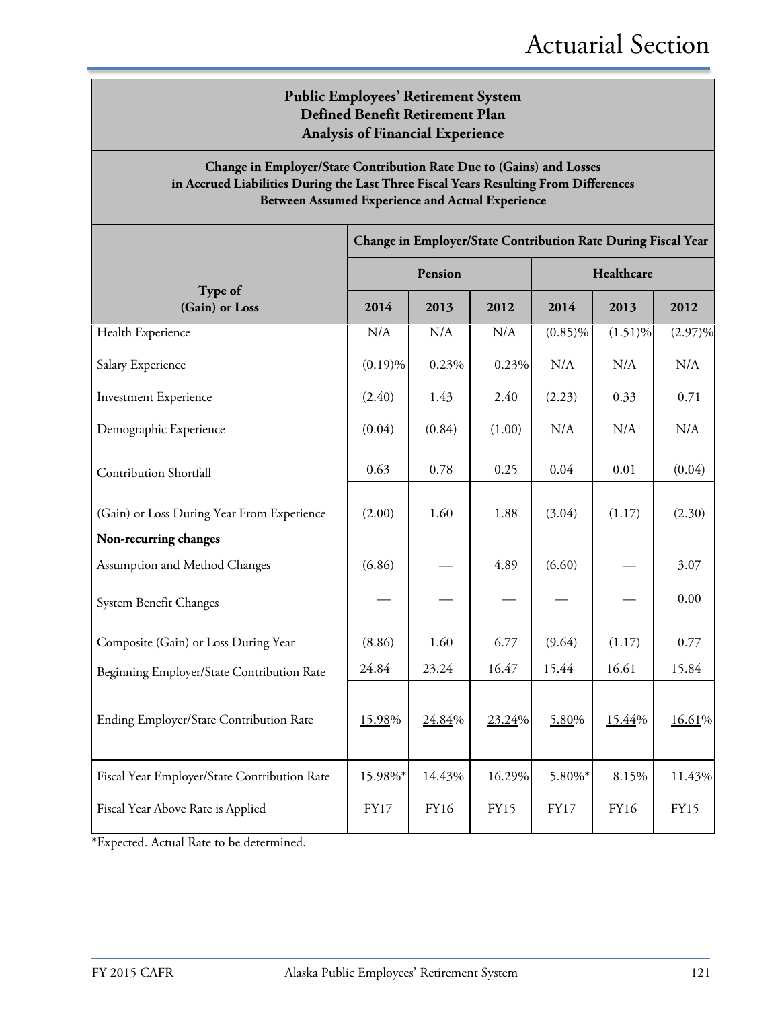#### **Public Employees' Retirement System Defined Benefit Retirement Plan Analysis of Financial Experience**

#### **Change in Employer/State Contribution Rate Due to (Gains) and Losses in Accrued Liabilities During the Last Three Fiscal Years Resulting From Differences Between Assumed Experience and Actual Experience**

|                                              | Change in Employer/State Contribution Rate During Fiscal Year |             |             |             |             |             |  |
|----------------------------------------------|---------------------------------------------------------------|-------------|-------------|-------------|-------------|-------------|--|
|                                              |                                                               | Pension     |             | Healthcare  |             |             |  |
| Type of<br>(Gain) or Loss                    | 2014                                                          | 2013        | 2012        | 2014        | 2013        | 2012        |  |
| Health Experience                            | N/A                                                           | N/A         | N/A         | $(0.85)\%$  | $(1.51)\%$  | $(2.97)\%$  |  |
| Salary Experience                            | $(0.19)\%$                                                    | 0.23%       | 0.23%       | N/A         | N/A         | N/A         |  |
| <b>Investment Experience</b>                 | (2.40)                                                        | 1.43        | 2.40        | (2.23)      | 0.33        | 0.71        |  |
| Demographic Experience                       | (0.04)                                                        | (0.84)      | (1.00)      | N/A         | N/A         | N/A         |  |
| Contribution Shortfall                       | 0.63                                                          | 0.78        | 0.25        | 0.04        | 0.01        | (0.04)      |  |
| (Gain) or Loss During Year From Experience   | (2.00)                                                        | 1.60        | 1.88        | (3.04)      | (1.17)      | (2.30)      |  |
| Non-recurring changes                        |                                                               |             |             |             |             |             |  |
| Assumption and Method Changes                | (6.86)                                                        |             | 4.89        | (6.60)      |             | 3.07        |  |
| System Benefit Changes                       |                                                               |             |             |             |             | 0.00        |  |
| Composite (Gain) or Loss During Year         | (8.86)                                                        | 1.60        | 6.77        | (9.64)      | (1.17)      | 0.77        |  |
| Beginning Employer/State Contribution Rate   | 24.84                                                         | 23.24       | 16.47       | 15.44       | 16.61       | 15.84       |  |
| Ending Employer/State Contribution Rate      | 15.98%                                                        | 24.84%      | 23.24%      | 5.80%       | 15.44%      | 16.61%      |  |
| Fiscal Year Employer/State Contribution Rate | 15.98%*                                                       | 14.43%      | 16.29%      | 5.80%*      | 8.15%       | 11.43%      |  |
| Fiscal Year Above Rate is Applied            | <b>FY17</b>                                                   | <b>FY16</b> | <b>FY15</b> | <b>FY17</b> | <b>FY16</b> | <b>FY15</b> |  |

\*Expected. Actual Rate to be determined.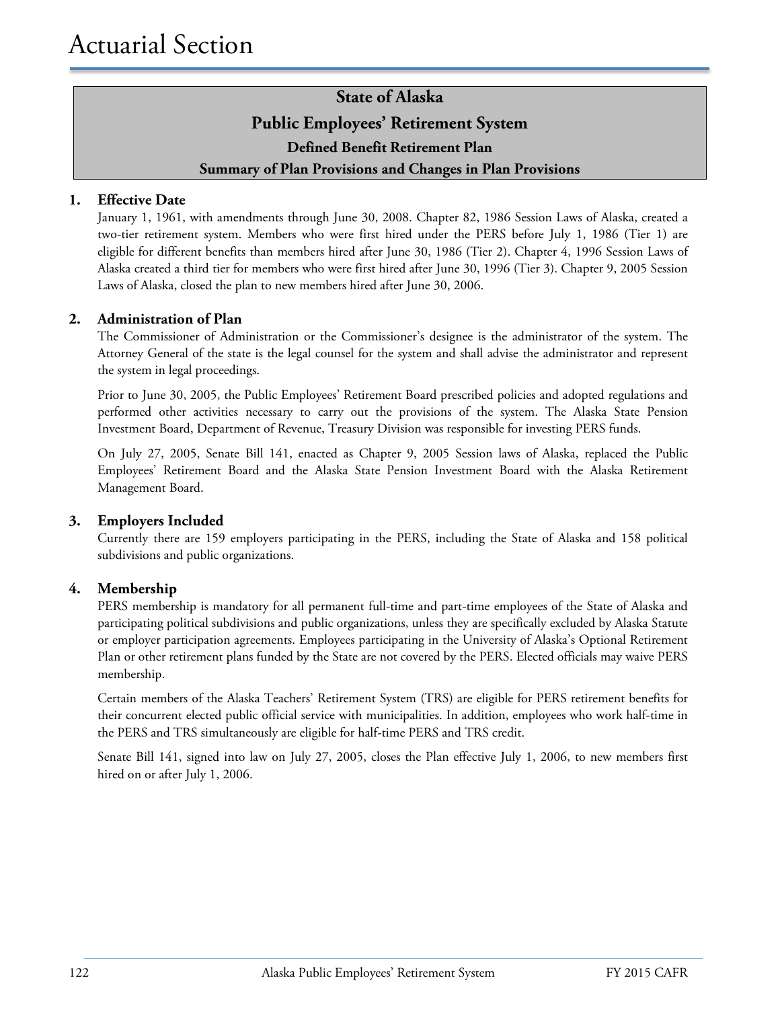### **State of Alaska Public Employees' Retirement System Defined Benefit Retirement Plan Summary of Plan Provisions and Changes in Plan Provisions**

#### **1. Effective Date**

January 1, 1961, with amendments through June 30, 2008. Chapter 82, 1986 Session Laws of Alaska, created a two-tier retirement system. Members who were first hired under the PERS before July 1, 1986 (Tier 1) are eligible for different benefits than members hired after June 30, 1986 (Tier 2). Chapter 4, 1996 Session Laws of Alaska created a third tier for members who were first hired after June 30, 1996 (Tier 3). Chapter 9, 2005 Session Laws of Alaska, closed the plan to new members hired after June 30, 2006.

#### **2. Administration of Plan**

The Commissioner of Administration or the Commissioner's designee is the administrator of the system. The Attorney General of the state is the legal counsel for the system and shall advise the administrator and represent the system in legal proceedings.

Prior to June 30, 2005, the Public Employees' Retirement Board prescribed policies and adopted regulations and performed other activities necessary to carry out the provisions of the system. The Alaska State Pension Investment Board, Department of Revenue, Treasury Division was responsible for investing PERS funds.

On July 27, 2005, Senate Bill 141, enacted as Chapter 9, 2005 Session laws of Alaska, replaced the Public Employees' Retirement Board and the Alaska State Pension Investment Board with the Alaska Retirement Management Board.

#### **3. Employers Included**

Currently there are 159 employers participating in the PERS, including the State of Alaska and 158 political subdivisions and public organizations.

#### **4. Membership**

PERS membership is mandatory for all permanent full-time and part-time employees of the State of Alaska and participating political subdivisions and public organizations, unless they are specifically excluded by Alaska Statute or employer participation agreements. Employees participating in the University of Alaska's Optional Retirement Plan or other retirement plans funded by the State are not covered by the PERS. Elected officials may waive PERS membership.

Certain members of the Alaska Teachers' Retirement System (TRS) are eligible for PERS retirement benefits for their concurrent elected public official service with municipalities. In addition, employees who work half-time in the PERS and TRS simultaneously are eligible for half-time PERS and TRS credit.

Senate Bill 141, signed into law on July 27, 2005, closes the Plan effective July 1, 2006, to new members first hired on or after July 1, 2006.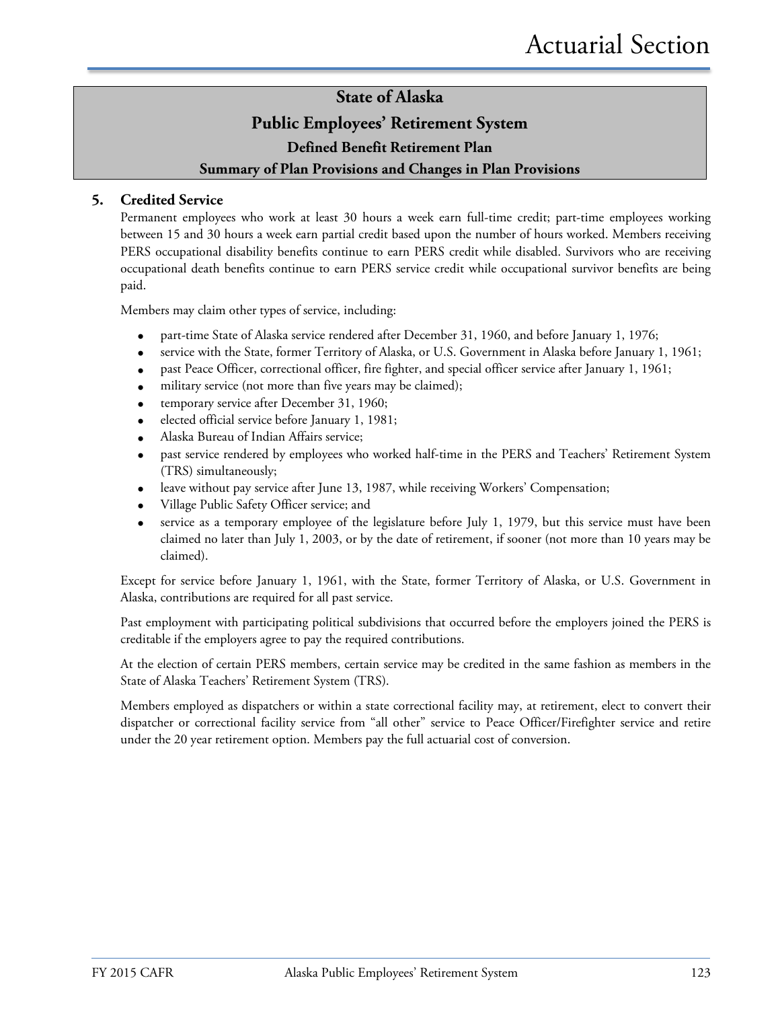#### **Public Employees' Retirement System**

**Defined Benefit Retirement Plan**

#### **Summary of Plan Provisions and Changes in Plan Provisions**

#### **5. Credited Service**

Permanent employees who work at least 30 hours a week earn full-time credit; part-time employees working between 15 and 30 hours a week earn partial credit based upon the number of hours worked. Members receiving PERS occupational disability benefits continue to earn PERS credit while disabled. Survivors who are receiving occupational death benefits continue to earn PERS service credit while occupational survivor benefits are being paid.

Members may claim other types of service, including:

- part-time State of Alaska service rendered after December 31, 1960, and before January 1, 1976;
- service with the State, former Territory of Alaska, or U.S. Government in Alaska before January 1, 1961;
- past Peace Officer, correctional officer, fire fighter, and special officer service after January 1, 1961;
- military service (not more than five years may be claimed);
- temporary service after December 31, 1960;
- elected official service before January 1, 1981;
- Alaska Bureau of Indian Affairs service;
- past service rendered by employees who worked half-time in the PERS and Teachers' Retirement System (TRS) simultaneously;
- leave without pay service after June 13, 1987, while receiving Workers' Compensation;
- Village Public Safety Officer service; and
- service as a temporary employee of the legislature before July 1, 1979, but this service must have been claimed no later than July 1, 2003, or by the date of retirement, if sooner (not more than 10 years may be claimed).

Except for service before January 1, 1961, with the State, former Territory of Alaska, or U.S. Government in Alaska, contributions are required for all past service.

Past employment with participating political subdivisions that occurred before the employers joined the PERS is creditable if the employers agree to pay the required contributions.

At the election of certain PERS members, certain service may be credited in the same fashion as members in the State of Alaska Teachers' Retirement System (TRS).

Members employed as dispatchers or within a state correctional facility may, at retirement, elect to convert their dispatcher or correctional facility service from "all other" service to Peace Officer/Firefighter service and retire under the 20 year retirement option. Members pay the full actuarial cost of conversion.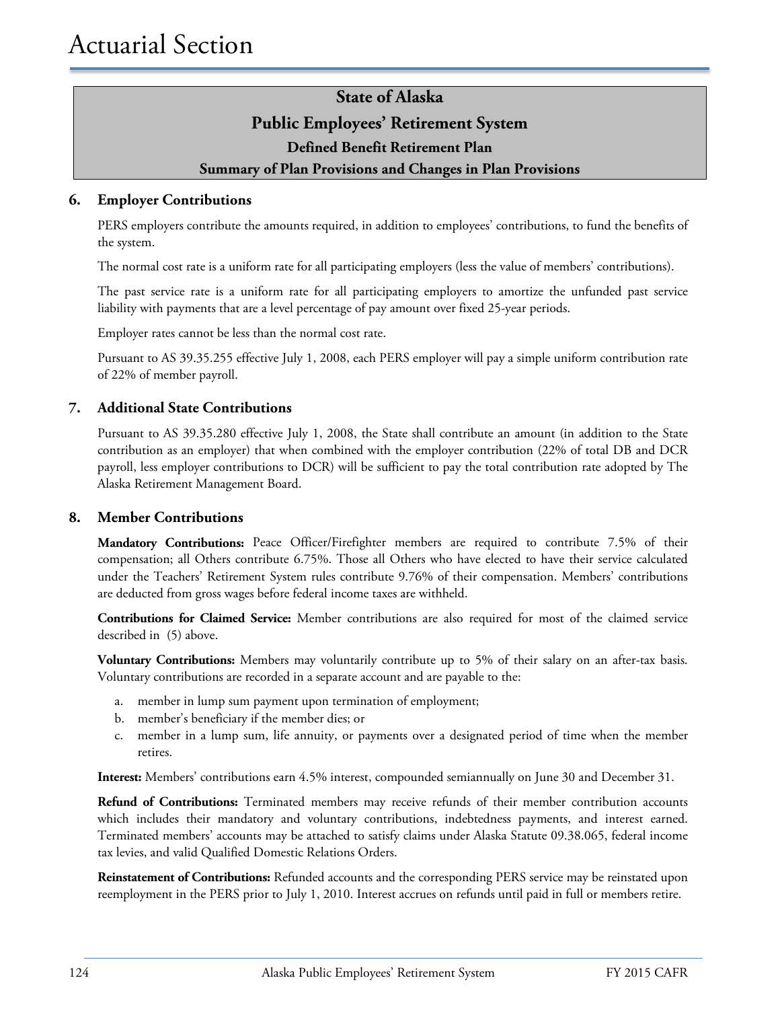#### **Public Employees' Retirement System**

#### **Defined Benefit Retirement Plan**

#### **Summary of Plan Provisions and Changes in Plan Provisions**

#### **6. Employer Contributions**

PERS employers contribute the amounts required, in addition to employees' contributions, to fund the benefits of the system.

The normal cost rate is a uniform rate for all participating employers (less the value of members' contributions).

The past service rate is a uniform rate for all participating employers to amortize the unfunded past service liability with payments that are a level percentage of pay amount over fixed 25-year periods.

Employer rates cannot be less than the normal cost rate.

Pursuant to AS 39.35.255 effective July 1, 2008, each PERS employer will pay a simple uniform contribution rate of 22% of member payroll.

#### **7. Additional State Contributions**

Pursuant to AS 39.35.280 effective July 1, 2008, the State shall contribute an amount (in addition to the State contribution as an employer) that when combined with the employer contribution (22% of total DB and DCR payroll, less employer contributions to DCR) will be sufficient to pay the total contribution rate adopted by The Alaska Retirement Management Board.

#### **8. Member Contributions**

**Mandatory Contributions:** Peace Officer/Firefighter members are required to contribute 7.5% of their compensation; all Others contribute 6.75%. Those all Others who have elected to have their service calculated under the Teachers' Retirement System rules contribute 9.76% of their compensation. Members' contributions are deducted from gross wages before federal income taxes are withheld.

**Contributions for Claimed Service:** Member contributions are also required for most of the claimed service described in (5) above.

**Voluntary Contributions:** Members may voluntarily contribute up to 5% of their salary on an after-tax basis. Voluntary contributions are recorded in a separate account and are payable to the:

- a. member in lump sum payment upon termination of employment;
- b. member's beneficiary if the member dies; or
- c. member in a lump sum, life annuity, or payments over a designated period of time when the member retires.

**Interest:** Members' contributions earn 4.5% interest, compounded semiannually on June 30 and December 31.

**Refund of Contributions:** Terminated members may receive refunds of their member contribution accounts which includes their mandatory and voluntary contributions, indebtedness payments, and interest earned. Terminated members' accounts may be attached to satisfy claims under Alaska Statute 09.38.065, federal income tax levies, and valid Qualified Domestic Relations Orders.

**Reinstatement of Contributions:** Refunded accounts and the corresponding PERS service may be reinstated upon reemployment in the PERS prior to July 1, 2010. Interest accrues on refunds until paid in full or members retire.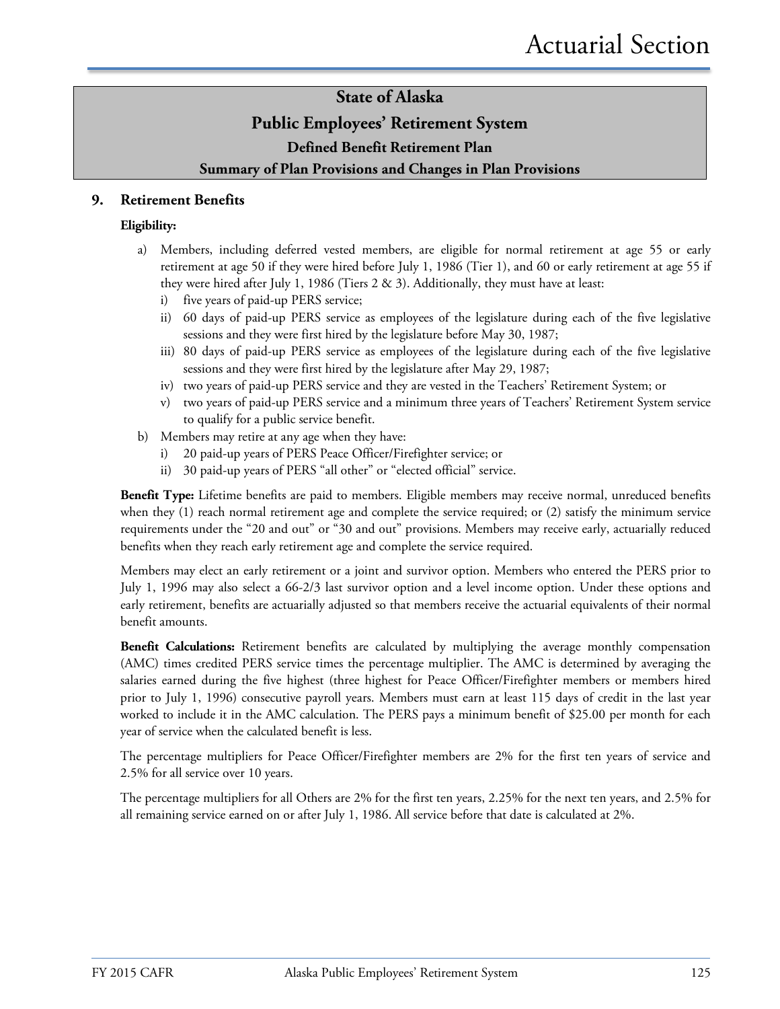#### **Public Employees' Retirement System**

**Defined Benefit Retirement Plan**

#### **Summary of Plan Provisions and Changes in Plan Provisions**

#### **9. Retirement Benefits**

#### **Eligibility:**

- a) Members, including deferred vested members, are eligible for normal retirement at age 55 or early retirement at age 50 if they were hired before July 1, 1986 (Tier 1), and 60 or early retirement at age 55 if they were hired after July 1, 1986 (Tiers 2 & 3). Additionally, they must have at least:
	- i) five years of paid-up PERS service;
	- ii) 60 days of paid-up PERS service as employees of the legislature during each of the five legislative sessions and they were first hired by the legislature before May 30, 1987;
	- iii) 80 days of paid-up PERS service as employees of the legislature during each of the five legislative sessions and they were first hired by the legislature after May 29, 1987;
	- iv) two years of paid-up PERS service and they are vested in the Teachers' Retirement System; or
	- v) two years of paid-up PERS service and a minimum three years of Teachers' Retirement System service to qualify for a public service benefit.
- b) Members may retire at any age when they have:
	- i) 20 paid-up years of PERS Peace Officer/Firefighter service; or
	- ii) 30 paid-up years of PERS "all other" or "elected official" service.

**Benefit Type:** Lifetime benefits are paid to members. Eligible members may receive normal, unreduced benefits when they (1) reach normal retirement age and complete the service required; or (2) satisfy the minimum service requirements under the "20 and out" or "30 and out" provisions. Members may receive early, actuarially reduced benefits when they reach early retirement age and complete the service required.

Members may elect an early retirement or a joint and survivor option. Members who entered the PERS prior to July 1, 1996 may also select a 66-2/3 last survivor option and a level income option. Under these options and early retirement, benefits are actuarially adjusted so that members receive the actuarial equivalents of their normal benefit amounts.

Benefit Calculations: Retirement benefits are calculated by multiplying the average monthly compensation (AMC) times credited PERS service times the percentage multiplier. The AMC is determined by averaging the salaries earned during the five highest (three highest for Peace Officer/Firefighter members or members hired prior to July 1, 1996) consecutive payroll years. Members must earn at least 115 days of credit in the last year worked to include it in the AMC calculation. The PERS pays a minimum benefit of \$25.00 per month for each year of service when the calculated benefit is less.

The percentage multipliers for Peace Officer/Firefighter members are 2% for the first ten years of service and 2.5% for all service over 10 years.

The percentage multipliers for all Others are 2% for the first ten years, 2.25% for the next ten years, and 2.5% for all remaining service earned on or after July 1, 1986. All service before that date is calculated at 2%.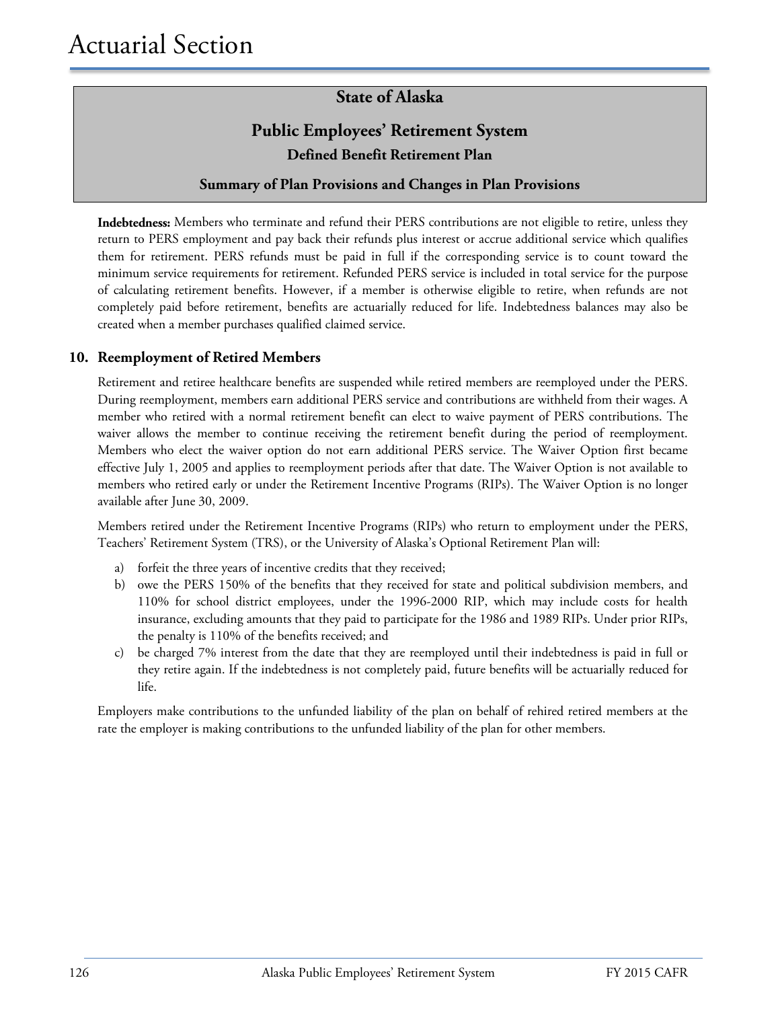### **Public Employees' Retirement System Defined Benefit Retirement Plan**

#### **Summary of Plan Provisions and Changes in Plan Provisions**

**Indebtedness:** Members who terminate and refund their PERS contributions are not eligible to retire, unless they return to PERS employment and pay back their refunds plus interest or accrue additional service which qualifies them for retirement. PERS refunds must be paid in full if the corresponding service is to count toward the minimum service requirements for retirement. Refunded PERS service is included in total service for the purpose of calculating retirement benefits. However, if a member is otherwise eligible to retire, when refunds are not completely paid before retirement, benefits are actuarially reduced for life. Indebtedness balances may also be created when a member purchases qualified claimed service.

#### **10. Reemployment of Retired Members**

Retirement and retiree healthcare benefits are suspended while retired members are reemployed under the PERS. During reemployment, members earn additional PERS service and contributions are withheld from their wages. A member who retired with a normal retirement benefit can elect to waive payment of PERS contributions. The waiver allows the member to continue receiving the retirement benefit during the period of reemployment. Members who elect the waiver option do not earn additional PERS service. The Waiver Option first became effective July 1, 2005 and applies to reemployment periods after that date. The Waiver Option is not available to members who retired early or under the Retirement Incentive Programs (RIPs). The Waiver Option is no longer available after June 30, 2009.

Members retired under the Retirement Incentive Programs (RIPs) who return to employment under the PERS, Teachers' Retirement System (TRS), or the University of Alaska's Optional Retirement Plan will:

- a) forfeit the three years of incentive credits that they received;
- b) owe the PERS 150% of the benefits that they received for state and political subdivision members, and 110% for school district employees, under the 1996-2000 RIP, which may include costs for health insurance, excluding amounts that they paid to participate for the 1986 and 1989 RIPs. Under prior RIPs, the penalty is 110% of the benefits received; and
- c) be charged 7% interest from the date that they are reemployed until their indebtedness is paid in full or they retire again. If the indebtedness is not completely paid, future benefits will be actuarially reduced for life.

Employers make contributions to the unfunded liability of the plan on behalf of rehired retired members at the rate the employer is making contributions to the unfunded liability of the plan for other members.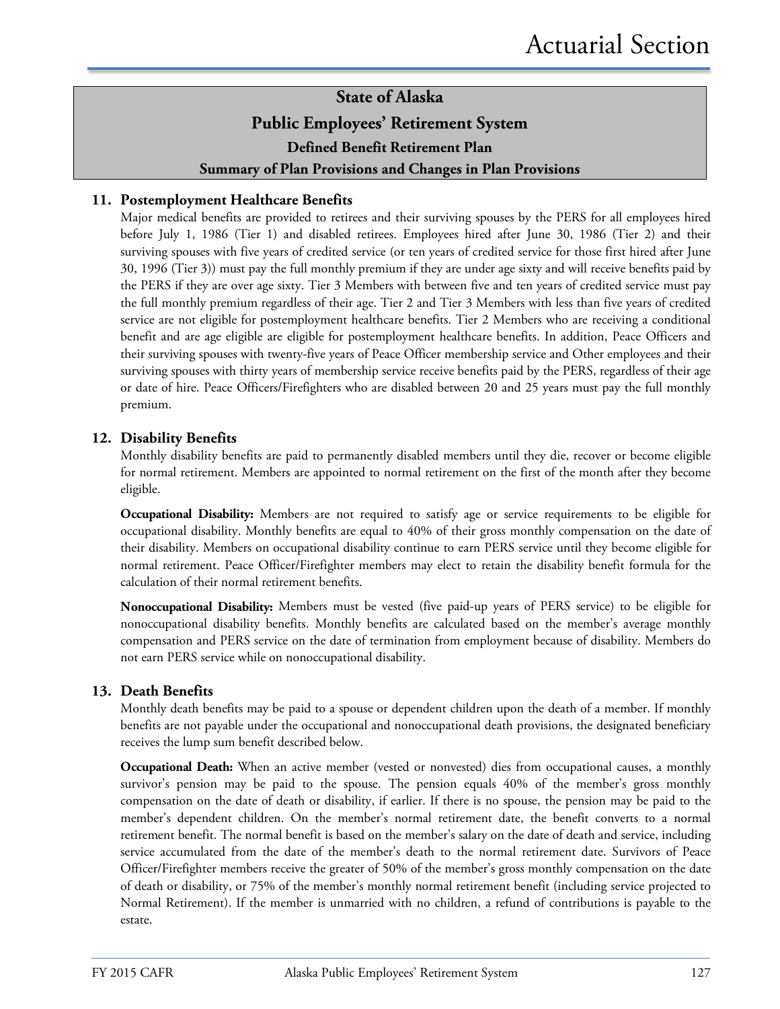### **State of Alaska Public Employees' Retirement System Defined Benefit Retirement Plan Summary of Plan Provisions and Changes in Plan Provisions**

#### **11. Postemployment Healthcare Benefits**

Major medical benefits are provided to retirees and their surviving spouses by the PERS for all employees hired before July 1, 1986 (Tier 1) and disabled retirees. Employees hired after June 30, 1986 (Tier 2) and their surviving spouses with five years of credited service (or ten years of credited service for those first hired after June 30, 1996 (Tier 3)) must pay the full monthly premium if they are under age sixty and will receive benefits paid by the PERS if they are over age sixty. Tier 3 Members with between five and ten years of credited service must pay the full monthly premium regardless of their age. Tier 2 and Tier 3 Members with less than five years of credited service are not eligible for postemployment healthcare benefits. Tier 2 Members who are receiving a conditional benefit and are age eligible are eligible for postemployment healthcare benefits. In addition, Peace Officers and their surviving spouses with twenty-five years of Peace Officer membership service and Other employees and their surviving spouses with thirty years of membership service receive benefits paid by the PERS, regardless of their age or date of hire. Peace Officers/Firefighters who are disabled between 20 and 25 years must pay the full monthly premium.

#### **12. Disability Benefits**

Monthly disability benefits are paid to permanently disabled members until they die, recover or become eligible for normal retirement. Members are appointed to normal retirement on the first of the month after they become eligible.

**Occupational Disability:** Members are not required to satisfy age or service requirements to be eligible for occupational disability. Monthly benefits are equal to 40% of their gross monthly compensation on the date of their disability. Members on occupational disability continue to earn PERS service until they become eligible for normal retirement. Peace Officer/Firefighter members may elect to retain the disability benefit formula for the calculation of their normal retirement benefits.

**Nonoccupational Disability:** Members must be vested (five paid-up years of PERS service) to be eligible for nonoccupational disability benefits. Monthly benefits are calculated based on the member's average monthly compensation and PERS service on the date of termination from employment because of disability. Members do not earn PERS service while on nonoccupational disability.

#### **13. Death Benefits**

Monthly death benefits may be paid to a spouse or dependent children upon the death of a member. If monthly benefits are not payable under the occupational and nonoccupational death provisions, the designated beneficiary receives the lump sum benefit described below.

**Occupational Death:** When an active member (vested or nonvested) dies from occupational causes, a monthly survivor's pension may be paid to the spouse. The pension equals 40% of the member's gross monthly compensation on the date of death or disability, if earlier. If there is no spouse, the pension may be paid to the member's dependent children. On the member's normal retirement date, the benefit converts to a normal retirement benefit. The normal benefit is based on the member's salary on the date of death and service, including service accumulated from the date of the member's death to the normal retirement date. Survivors of Peace Officer/Firefighter members receive the greater of 50% of the member's gross monthly compensation on the date of death or disability, or 75% of the member's monthly normal retirement benefit (including service projected to Normal Retirement). If the member is unmarried with no children, a refund of contributions is payable to the estate.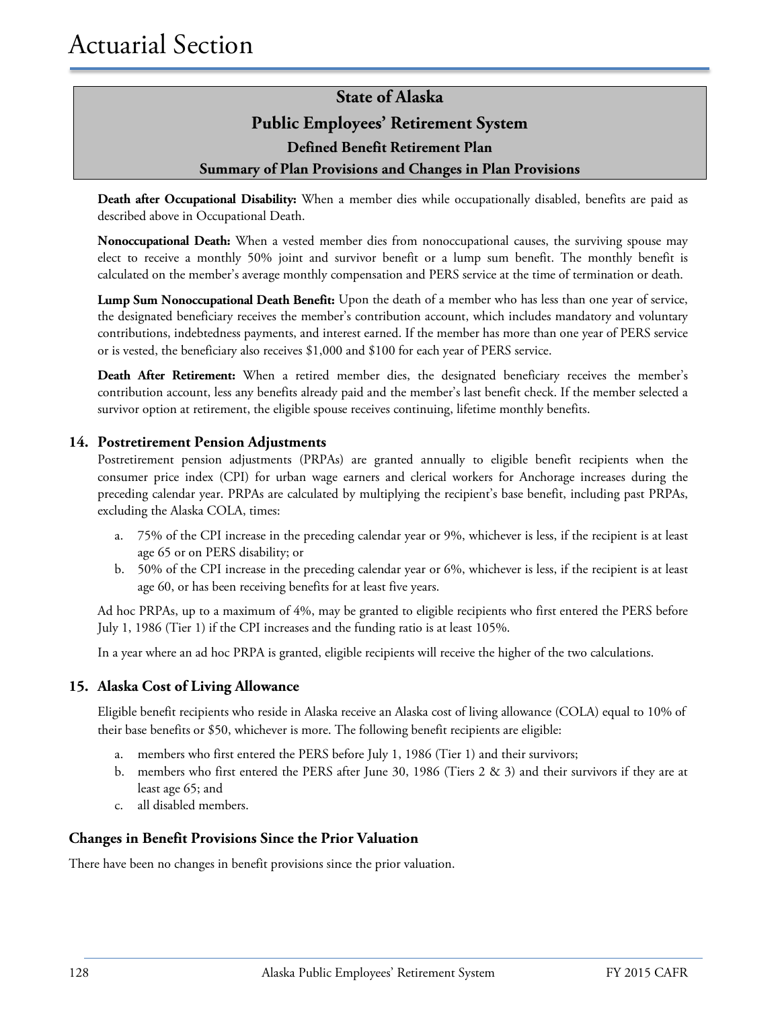### **State of Alaska Public Employees' Retirement System Defined Benefit Retirement Plan Summary of Plan Provisions and Changes in Plan Provisions**

**Death after Occupational Disability:** When a member dies while occupationally disabled, benefits are paid as described above in Occupational Death.

**Nonoccupational Death:** When a vested member dies from nonoccupational causes, the surviving spouse may elect to receive a monthly 50% joint and survivor benefit or a lump sum benefit. The monthly benefit is calculated on the member's average monthly compensation and PERS service at the time of termination or death.

**Lump Sum Nonoccupational Death Benefit:** Upon the death of a member who has less than one year of service, the designated beneficiary receives the member's contribution account, which includes mandatory and voluntary contributions, indebtedness payments, and interest earned. If the member has more than one year of PERS service or is vested, the beneficiary also receives \$1,000 and \$100 for each year of PERS service.

**Death After Retirement:** When a retired member dies, the designated beneficiary receives the member's contribution account, less any benefits already paid and the member's last benefit check. If the member selected a survivor option at retirement, the eligible spouse receives continuing, lifetime monthly benefits.

#### **14. Postretirement Pension Adjustments**

Postretirement pension adjustments (PRPAs) are granted annually to eligible benefit recipients when the consumer price index (CPI) for urban wage earners and clerical workers for Anchorage increases during the preceding calendar year. PRPAs are calculated by multiplying the recipient's base benefit, including past PRPAs, excluding the Alaska COLA, times:

- a. 75% of the CPI increase in the preceding calendar year or 9%, whichever is less, if the recipient is at least age 65 or on PERS disability; or
- b. 50% of the CPI increase in the preceding calendar year or 6%, whichever is less, if the recipient is at least age 60, or has been receiving benefits for at least five years.

Ad hoc PRPAs, up to a maximum of 4%, may be granted to eligible recipients who first entered the PERS before July 1, 1986 (Tier 1) if the CPI increases and the funding ratio is at least 105%.

In a year where an ad hoc PRPA is granted, eligible recipients will receive the higher of the two calculations.

#### **15. Alaska Cost of Living Allowance**

Eligible benefit recipients who reside in Alaska receive an Alaska cost of living allowance (COLA) equal to 10% of their base benefits or \$50, whichever is more. The following benefit recipients are eligible:

- a. members who first entered the PERS before July 1, 1986 (Tier 1) and their survivors;
- b. members who first entered the PERS after June 30, 1986 (Tiers 2 & 3) and their survivors if they are at least age 65; and
- c. all disabled members.

#### **Changes in Benefit Provisions Since the Prior Valuation**

There have been no changes in benefit provisions since the prior valuation.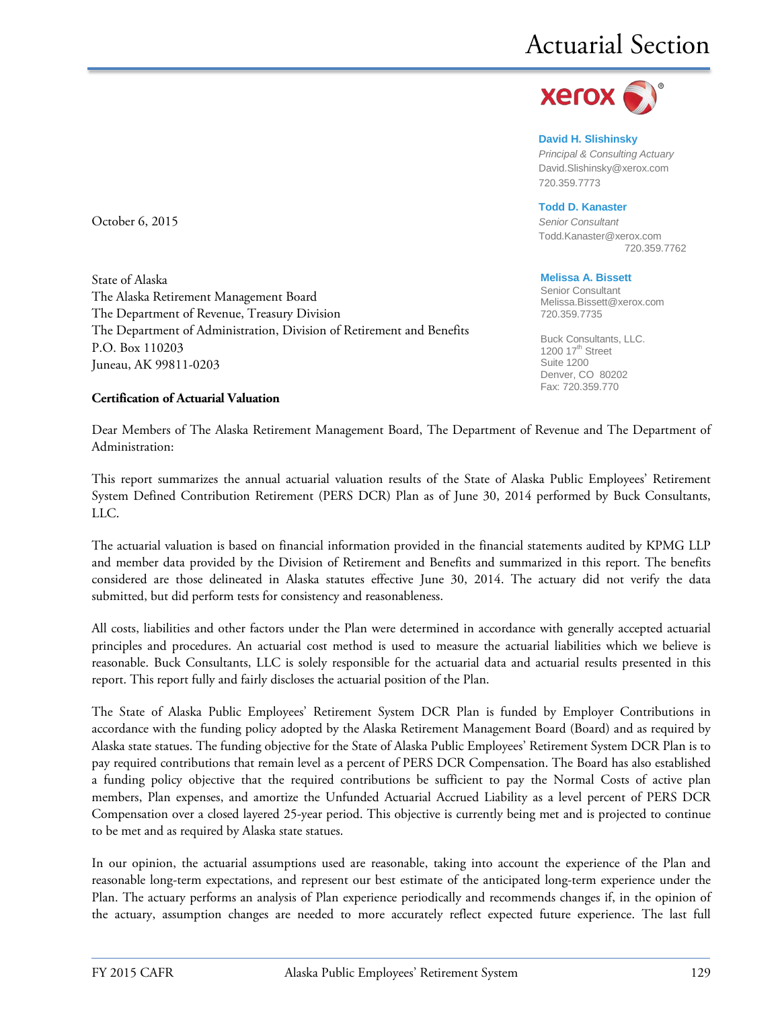

**David H. Slishinsky** *Principal & Consulting Actuary* [David.Slishinsky@xerox.com](mailto:David.Slishinsky@xerox.com) 720.359.7773

#### **Todd D. Kanaster**

[Todd.Kanaster@xerox.com](mailto:Todd.Kanaster@xerox.com) 720.359.7762

#### **Melissa A. Bissett**

Senior Consultant Melissa.Bissett@xerox.com 720.359.7735

Buck Consultants, LLC. 1200  $17<sup>th</sup>$  Street Suite 1200 Denver, CO 80202 Fax: 720.359.770

October 6, 2015 *Senior Consultant*

State of Alaska The Alaska Retirement Management Board The Department of Revenue, Treasury Division The Department of Administration, Division of Retirement and Benefits P.O. Box 110203 Juneau, AK 99811-0203

#### **Certification of Actuarial Valuation**

Dear Members of The Alaska Retirement Management Board, The Department of Revenue and The Department of Administration:

This report summarizes the annual actuarial valuation results of the State of Alaska Public Employees' Retirement System Defined Contribution Retirement (PERS DCR) Plan as of June 30, 2014 performed by Buck Consultants, LLC.

The actuarial valuation is based on financial information provided in the financial statements audited by KPMG LLP and member data provided by the Division of Retirement and Benefits and summarized in this report. The benefits considered are those delineated in Alaska statutes effective June 30, 2014. The actuary did not verify the data submitted, but did perform tests for consistency and reasonableness.

All costs, liabilities and other factors under the Plan were determined in accordance with generally accepted actuarial principles and procedures. An actuarial cost method is used to measure the actuarial liabilities which we believe is reasonable. Buck Consultants, LLC is solely responsible for the actuarial data and actuarial results presented in this report. This report fully and fairly discloses the actuarial position of the Plan.

The State of Alaska Public Employees' Retirement System DCR Plan is funded by Employer Contributions in accordance with the funding policy adopted by the Alaska Retirement Management Board (Board) and as required by Alaska state statues. The funding objective for the State of Alaska Public Employees' Retirement System DCR Plan is to pay required contributions that remain level as a percent of PERS DCR Compensation. The Board has also established a funding policy objective that the required contributions be sufficient to pay the Normal Costs of active plan members, Plan expenses, and amortize the Unfunded Actuarial Accrued Liability as a level percent of PERS DCR Compensation over a closed layered 25-year period. This objective is currently being met and is projected to continue to be met and as required by Alaska state statues.

In our opinion, the actuarial assumptions used are reasonable, taking into account the experience of the Plan and reasonable long-term expectations, and represent our best estimate of the anticipated long-term experience under the Plan. The actuary performs an analysis of Plan experience periodically and recommends changes if, in the opinion of the actuary, assumption changes are needed to more accurately reflect expected future experience. The last full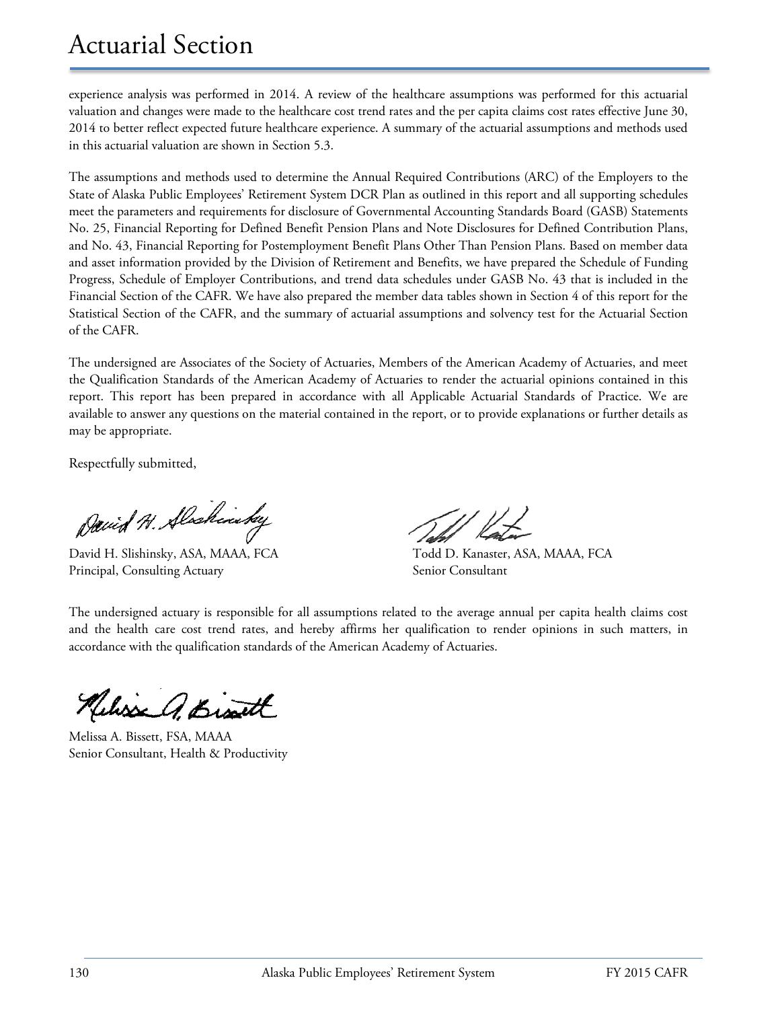### Actuarial Section

experience analysis was performed in 2014. A review of the healthcare assumptions was performed for this actuarial valuation and changes were made to the healthcare cost trend rates and the per capita claims cost rates effective June 30, 2014 to better reflect expected future healthcare experience. A summary of the actuarial assumptions and methods used in this actuarial valuation are shown in Section 5.3.

The assumptions and methods used to determine the Annual Required Contributions (ARC) of the Employers to the State of Alaska Public Employees' Retirement System DCR Plan as outlined in this report and all supporting schedules meet the parameters and requirements for disclosure of Governmental Accounting Standards Board (GASB) Statements No. 25, Financial Reporting for Defined Benefit Pension Plans and Note Disclosures for Defined Contribution Plans, and No. 43, Financial Reporting for Postemployment Benefit Plans Other Than Pension Plans. Based on member data and asset information provided by the Division of Retirement and Benefits, we have prepared the Schedule of Funding Progress, Schedule of Employer Contributions, and trend data schedules under GASB No. 43 that is included in the Financial Section of the CAFR. We have also prepared the member data tables shown in Section 4 of this report for the Statistical Section of the CAFR, and the summary of actuarial assumptions and solvency test for the Actuarial Section of the CAFR.

The undersigned are Associates of the Society of Actuaries, Members of the American Academy of Actuaries, and meet the Qualification Standards of the American Academy of Actuaries to render the actuarial opinions contained in this report. This report has been prepared in accordance with all Applicable Actuarial Standards of Practice. We are available to answer any questions on the material contained in the report, or to provide explanations or further details as may be appropriate.

Respectfully submitted,

David H. Alschinday

David H. Slishinsky, ASA, MAAA, FCA Todd D. Kanaster, ASA, MAAA, FCA Principal, Consulting Actuary Senior Consultant

The undersigned actuary is responsible for all assumptions related to the average annual per capita health claims cost and the health care cost trend rates, and hereby affirms her qualification to render opinions in such matters, in accordance with the qualification standards of the American Academy of Actuaries.

Kelisse A. Bisatt

Melissa A. Bissett, FSA, MAAA Senior Consultant, Health & Productivity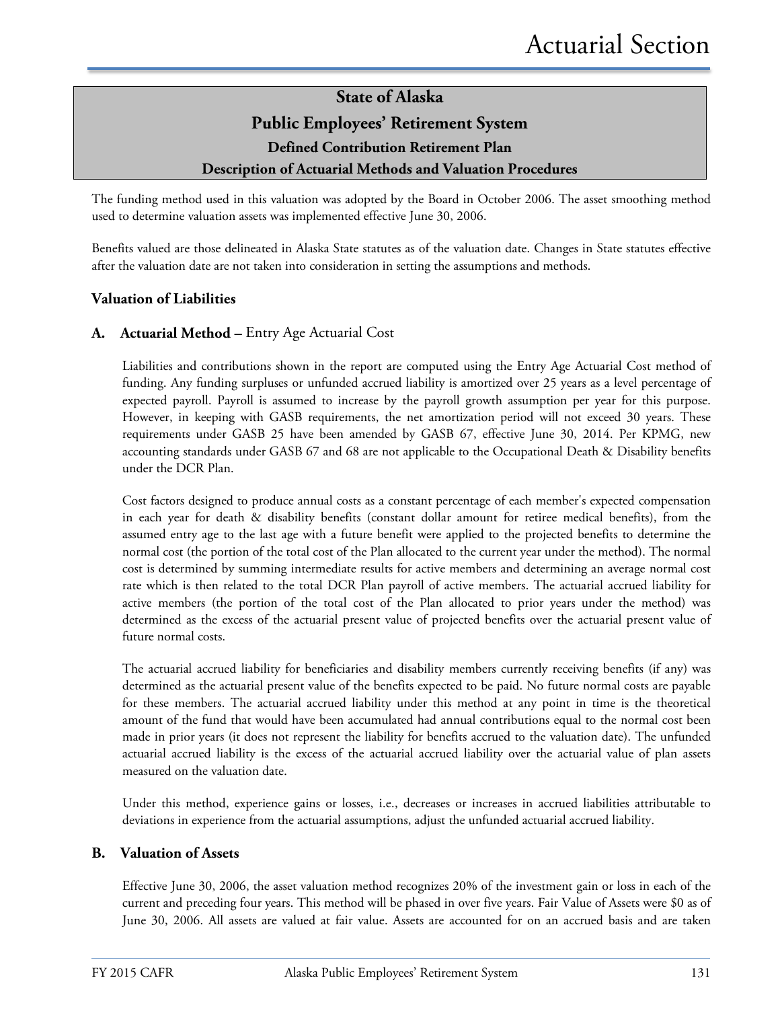#### **Description of Actuarial Methods and Valuation Procedures**

The funding method used in this valuation was adopted by the Board in October 2006. The asset smoothing method used to determine valuation assets was implemented effective June 30, 2006.

Benefits valued are those delineated in Alaska State statutes as of the valuation date. Changes in State statutes effective after the valuation date are not taken into consideration in setting the assumptions and methods.

#### **Valuation of Liabilities**

#### **A. Actuarial Method –** Entry Age Actuarial Cost

Liabilities and contributions shown in the report are computed using the Entry Age Actuarial Cost method of funding. Any funding surpluses or unfunded accrued liability is amortized over 25 years as a level percentage of expected payroll. Payroll is assumed to increase by the payroll growth assumption per year for this purpose. However, in keeping with GASB requirements, the net amortization period will not exceed 30 years. These requirements under GASB 25 have been amended by GASB 67, effective June 30, 2014. Per KPMG, new accounting standards under GASB 67 and 68 are not applicable to the Occupational Death & Disability benefits under the DCR Plan.

Cost factors designed to produce annual costs as a constant percentage of each member's expected compensation in each year for death & disability benefits (constant dollar amount for retiree medical benefits), from the assumed entry age to the last age with a future benefit were applied to the projected benefits to determine the normal cost (the portion of the total cost of the Plan allocated to the current year under the method). The normal cost is determined by summing intermediate results for active members and determining an average normal cost rate which is then related to the total DCR Plan payroll of active members. The actuarial accrued liability for active members (the portion of the total cost of the Plan allocated to prior years under the method) was determined as the excess of the actuarial present value of projected benefits over the actuarial present value of future normal costs.

The actuarial accrued liability for beneficiaries and disability members currently receiving benefits (if any) was determined as the actuarial present value of the benefits expected to be paid. No future normal costs are payable for these members. The actuarial accrued liability under this method at any point in time is the theoretical amount of the fund that would have been accumulated had annual contributions equal to the normal cost been made in prior years (it does not represent the liability for benefits accrued to the valuation date). The unfunded actuarial accrued liability is the excess of the actuarial accrued liability over the actuarial value of plan assets measured on the valuation date.

Under this method, experience gains or losses, i.e., decreases or increases in accrued liabilities attributable to deviations in experience from the actuarial assumptions, adjust the unfunded actuarial accrued liability.

#### **B. Valuation of Assets**

Effective June 30, 2006, the asset valuation method recognizes 20% of the investment gain or loss in each of the current and preceding four years. This method will be phased in over five years. Fair Value of Assets were \$0 as of June 30, 2006. All assets are valued at fair value. Assets are accounted for on an accrued basis and are taken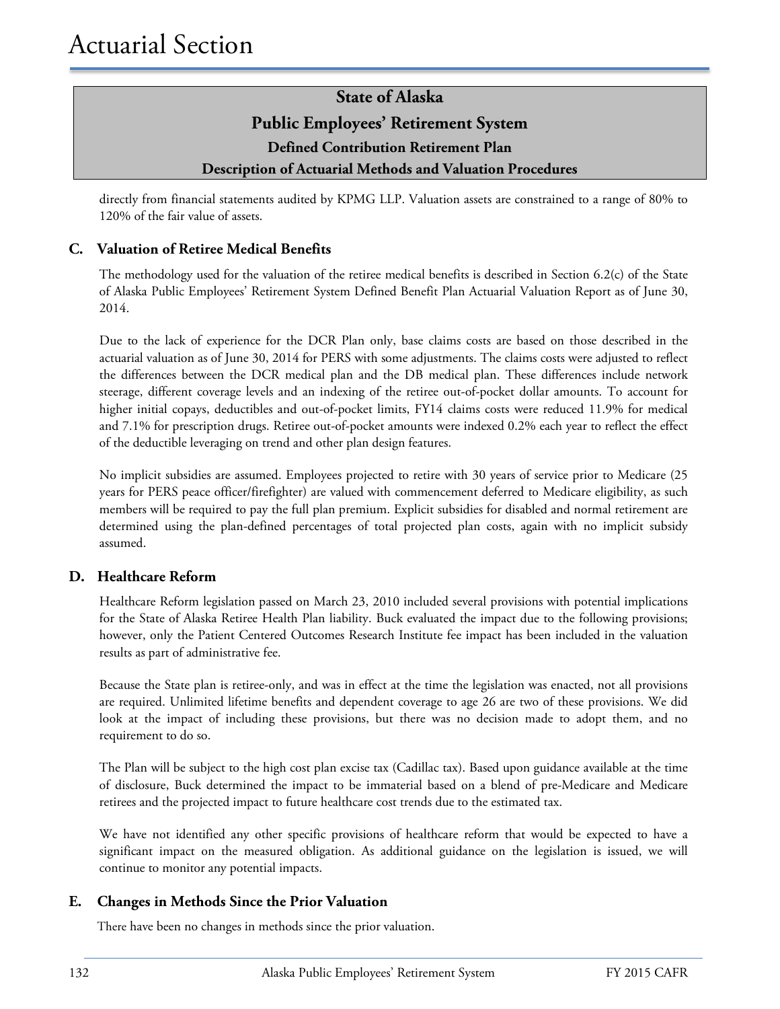directly from financial statements audited by KPMG LLP. Valuation assets are constrained to a range of 80% to 120% of the fair value of assets.

#### **C. Valuation of Retiree Medical Benefits**

The methodology used for the valuation of the retiree medical benefits is described in Section 6.2(c) of the State of Alaska Public Employees' Retirement System Defined Benefit Plan Actuarial Valuation Report as of June 30, 2014.

Due to the lack of experience for the DCR Plan only, base claims costs are based on those described in the actuarial valuation as of June 30, 2014 for PERS with some adjustments. The claims costs were adjusted to reflect the differences between the DCR medical plan and the DB medical plan. These differences include network steerage, different coverage levels and an indexing of the retiree out-of-pocket dollar amounts. To account for higher initial copays, deductibles and out-of-pocket limits, FY14 claims costs were reduced 11.9% for medical and 7.1% for prescription drugs. Retiree out-of-pocket amounts were indexed 0.2% each year to reflect the effect of the deductible leveraging on trend and other plan design features.

No implicit subsidies are assumed. Employees projected to retire with 30 years of service prior to Medicare (25 years for PERS peace officer/firefighter) are valued with commencement deferred to Medicare eligibility, as such members will be required to pay the full plan premium. Explicit subsidies for disabled and normal retirement are determined using the plan-defined percentages of total projected plan costs, again with no implicit subsidy assumed.

#### **D. Healthcare Reform**

Healthcare Reform legislation passed on March 23, 2010 included several provisions with potential implications for the State of Alaska Retiree Health Plan liability. Buck evaluated the impact due to the following provisions; however, only the Patient Centered Outcomes Research Institute fee impact has been included in the valuation results as part of administrative fee.

Because the State plan is retiree-only, and was in effect at the time the legislation was enacted, not all provisions are required. Unlimited lifetime benefits and dependent coverage to age 26 are two of these provisions. We did look at the impact of including these provisions, but there was no decision made to adopt them, and no requirement to do so.

The Plan will be subject to the high cost plan excise tax (Cadillac tax). Based upon guidance available at the time of disclosure, Buck determined the impact to be immaterial based on a blend of pre-Medicare and Medicare retirees and the projected impact to future healthcare cost trends due to the estimated tax.

We have not identified any other specific provisions of healthcare reform that would be expected to have a significant impact on the measured obligation. As additional guidance on the legislation is issued, we will continue to monitor any potential impacts.

#### **E. Changes in Methods Since the Prior Valuation**

There have been no changes in methods since the prior valuation.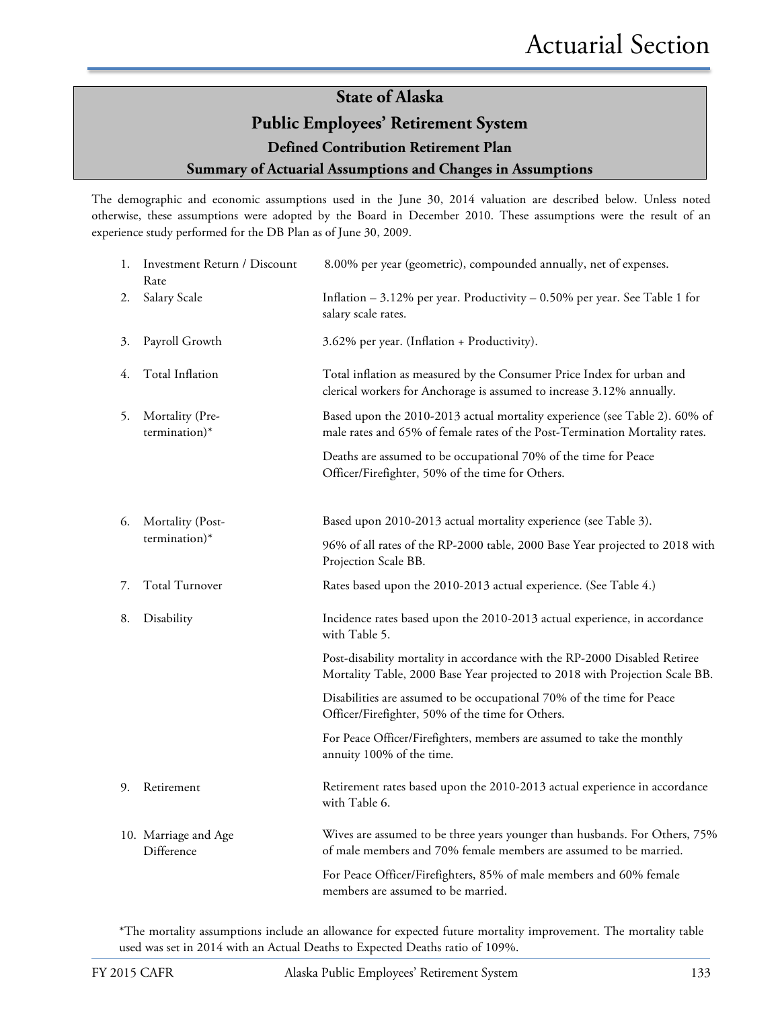#### **Public Employees' Retirement System**

**Defined Contribution Retirement Plan**

#### **Summary of Actuarial Assumptions and Changes in Assumptions**

The demographic and economic assumptions used in the June 30, 2014 valuation are described below. Unless noted otherwise, these assumptions were adopted by the Board in December 2010. These assumptions were the result of an experience study performed for the DB Plan as of June 30, 2009.

| 1. | Investment Return / Discount<br>Rate | 8.00% per year (geometric), compounded annually, net of expenses.                                                                                         |  |  |  |
|----|--------------------------------------|-----------------------------------------------------------------------------------------------------------------------------------------------------------|--|--|--|
| 2. | Salary Scale                         | Inflation $-3.12\%$ per year. Productivity $-0.50\%$ per year. See Table 1 for<br>salary scale rates.                                                     |  |  |  |
| 3. | Payroll Growth                       | 3.62% per year. (Inflation + Productivity).                                                                                                               |  |  |  |
| 4. | Total Inflation                      | Total inflation as measured by the Consumer Price Index for urban and<br>clerical workers for Anchorage is assumed to increase 3.12% annually.            |  |  |  |
| 5. | Mortality (Pre-<br>termination)*     | Based upon the 2010-2013 actual mortality experience (see Table 2). 60% of<br>male rates and 65% of female rates of the Post-Termination Mortality rates. |  |  |  |
|    |                                      | Deaths are assumed to be occupational 70% of the time for Peace<br>Officer/Firefighter, 50% of the time for Others.                                       |  |  |  |
| 6. | Mortality (Post-                     | Based upon 2010-2013 actual mortality experience (see Table 3).                                                                                           |  |  |  |
|    | termination)*                        | 96% of all rates of the RP-2000 table, 2000 Base Year projected to 2018 with<br>Projection Scale BB.                                                      |  |  |  |
| 7. | Total Turnover                       | Rates based upon the 2010-2013 actual experience. (See Table 4.)                                                                                          |  |  |  |
| 8. | Disability                           | Incidence rates based upon the 2010-2013 actual experience, in accordance<br>with Table 5.                                                                |  |  |  |
|    |                                      | Post-disability mortality in accordance with the RP-2000 Disabled Retiree<br>Mortality Table, 2000 Base Year projected to 2018 with Projection Scale BB.  |  |  |  |
|    |                                      | Disabilities are assumed to be occupational 70% of the time for Peace<br>Officer/Firefighter, 50% of the time for Others.                                 |  |  |  |
|    |                                      | For Peace Officer/Firefighters, members are assumed to take the monthly<br>annuity 100% of the time.                                                      |  |  |  |
| 9. | Retirement                           | Retirement rates based upon the 2010-2013 actual experience in accordance<br>with Table 6.                                                                |  |  |  |
|    | 10. Marriage and Age<br>Difference   | Wives are assumed to be three years younger than husbands. For Others, 75%<br>of male members and 70% female members are assumed to be married.           |  |  |  |
|    |                                      | For Peace Officer/Firefighters, 85% of male members and 60% female<br>members are assumed to be married.                                                  |  |  |  |

\*The mortality assumptions include an allowance for expected future mortality improvement. The mortality table used was set in 2014 with an Actual Deaths to Expected Deaths ratio of 109%.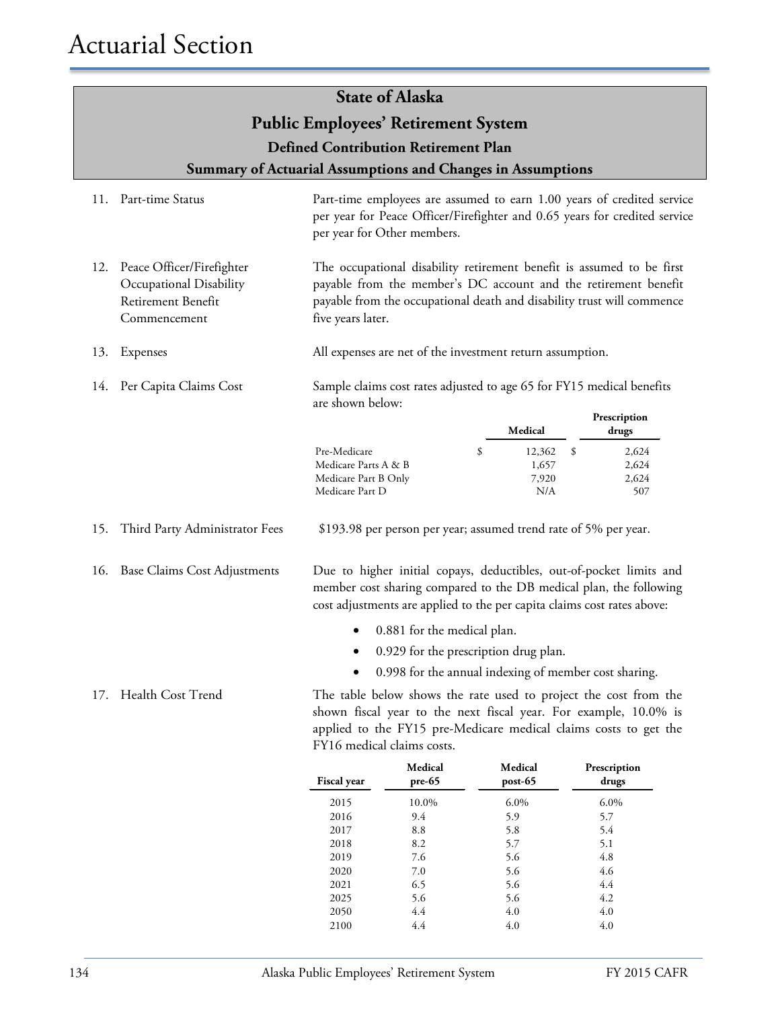#### **Public Employees' Retirement System**

**Defined Contribution Retirement Plan**

**Summary of Actuarial Assumptions and Changes in Assumptions**

- 11. Part-time Status Part-time employees are assumed to earn 1.00 years of credited service per year for Peace Officer/Firefighter and 0.65 years for credited service per year for Other members.
- 12. Peace Officer/Firefighter Occupational Disability Retirement Benefit Commencement The occupational disability retirement benefit is assumed to be first payable from the member's DC account and the retirement benefit payable from the occupational death and disability trust will commence five years later.
- 13. Expenses All expenses are net of the investment return assumption.
- 14. Per Capita Claims Cost

Sample claims cost rates adjusted to age 65 for FY15 medical benefits are shown below:

|                      | Medical | Prescription<br>drugs |
|----------------------|---------|-----------------------|
| Pre-Medicare<br>\$   | 12,362  | 2,624                 |
| Medicare Parts A & B | 1,657   | 2,624                 |
| Medicare Part B Only | 7,920   | 2,624                 |
| Medicare Part D      | N/A     | 507                   |

15. Third Party Administrator Fees \$193.98 per person per year; assumed trend rate of 5% per year.

16. Base Claims Cost Adjustments Due to higher initial copays, deductibles, out-of-pocket limits and member cost sharing compared to the DB medical plan, the following cost adjustments are applied to the per capita claims cost rates above:

- 0.881 for the medical plan.
- 0.929 for the prescription drug plan.
- 0.998 for the annual indexing of member cost sharing.

17. Health Cost Trend The table below shows the rate used to project the cost from the shown fiscal year to the next fiscal year. For example, 10.0% is applied to the FY15 pre-Medicare medical claims costs to get the FY16 medical claims costs.

| <b>Fiscal year</b> | Medical<br>$pre-65$ | Medical<br>post-65 | Prescription<br>drugs |
|--------------------|---------------------|--------------------|-----------------------|
| 2015               | 10.0%               | $6.0\%$            | $6.0\%$               |
| 2016               | 9.4                 | 5.9                | 5.7                   |
| 2017               | 8.8                 | 5.8                | 5.4                   |
| 2018               | 8.2                 | 5.7                | 5.1                   |
| 2019               | 7.6                 | 5.6                | 4.8                   |
| 2020               | 7.0                 | 5.6                | 4.6                   |
| 2021               | 6.5                 | 5.6                | 4.4                   |
| 2025               | 5.6                 | 5.6                | 4.2                   |
| 2050               | 4.4                 | 4.0                | 4.0                   |
| 2100               | 4.4                 | 4.0                | 4.0                   |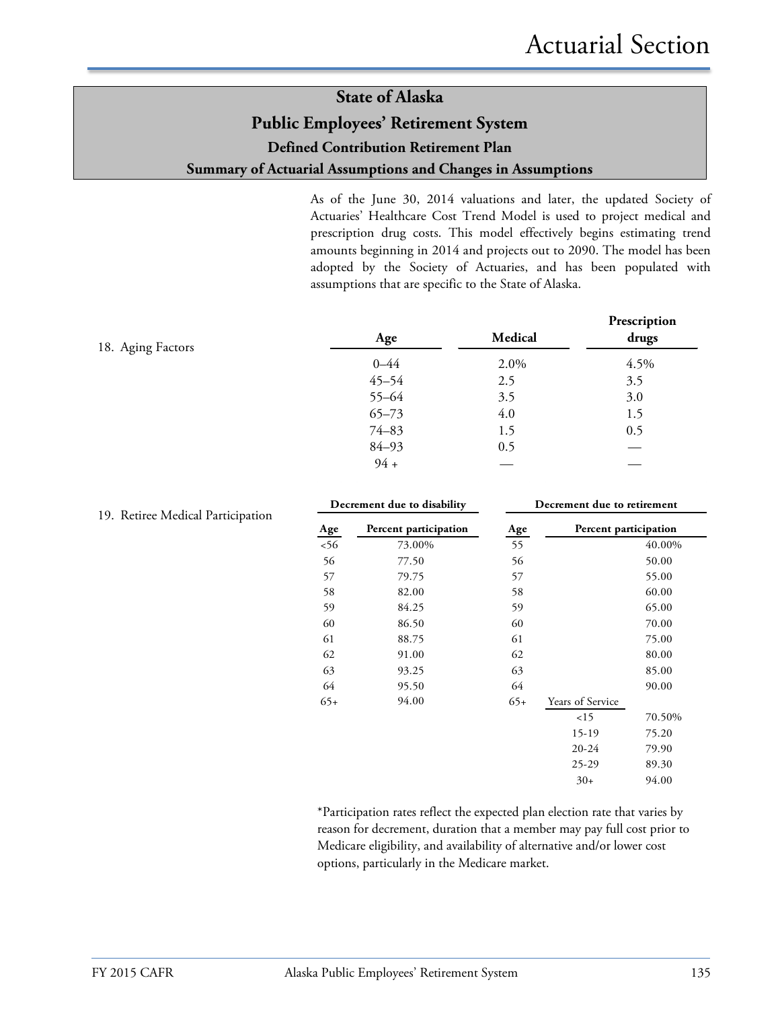As of the June 30, 2014 valuations and later, the updated Society of Actuaries' Healthcare Cost Trend Model is used to project medical and prescription drug costs. This model effectively begins estimating trend amounts beginning in 2014 and projects out to 2090. The model has been adopted by the Society of Actuaries, and has been populated with assumptions that are specific to the State of Alaska.

| 18. Aging Factors | Age       | Medical | Prescription<br>drugs |
|-------------------|-----------|---------|-----------------------|
|                   | $0 - 44$  | 2.0%    | 4.5%                  |
|                   | $45 - 54$ | 2.5     | 3.5                   |
|                   | $55 - 64$ | 3.5     | 3.0                   |
|                   | $65 - 73$ | 4.0     | 1.5                   |
|                   | $74 - 83$ | 1.5     | 0.5                   |
|                   | $84 - 93$ | 0.5     |                       |
|                   | $94 +$    |         |                       |

| Decrement due to disability |                       | Decrement due to retirement |                       |        |
|-----------------------------|-----------------------|-----------------------------|-----------------------|--------|
| Age                         | Percent participation | Age                         | Percent participation |        |
| 56                          | 73.00%                | 55                          |                       | 40.00% |
| 56                          | 77.50                 | 56                          |                       | 50.00  |
| 57                          | 79.75                 | 57                          |                       | 55.00  |
| 58                          | 82.00                 | 58                          |                       | 60.00  |
| 59                          | 84.25                 | 59                          |                       | 65.00  |
| 60                          | 86.50                 | 60                          |                       | 70.00  |
| 61                          | 88.75                 | 61                          |                       | 75.00  |
| 62                          | 91.00                 | 62                          |                       | 80.00  |
| 63                          | 93.25                 | 63                          |                       | 85.00  |
| 64                          | 95.50                 | 64                          |                       | 90.00  |
| $65+$                       | 94.00                 | $65+$                       | Years of Service      |        |
|                             |                       |                             | 15                    | 70.50% |
|                             |                       |                             | $15-19$               | 75.20  |
|                             |                       |                             | $20 - 24$             | 79.90  |
|                             |                       |                             | $25-29$               | 89.30  |
|                             |                       |                             | $30+$                 | 94.00  |
|                             |                       |                             |                       |        |

#### \*Participation rates reflect the expected plan election rate that varies by reason for decrement, duration that a member may pay full cost prior to Medicare eligibility, and availability of alternative and/or lower cost options, particularly in the Medicare market.

#### 19. Retiree Medical Participation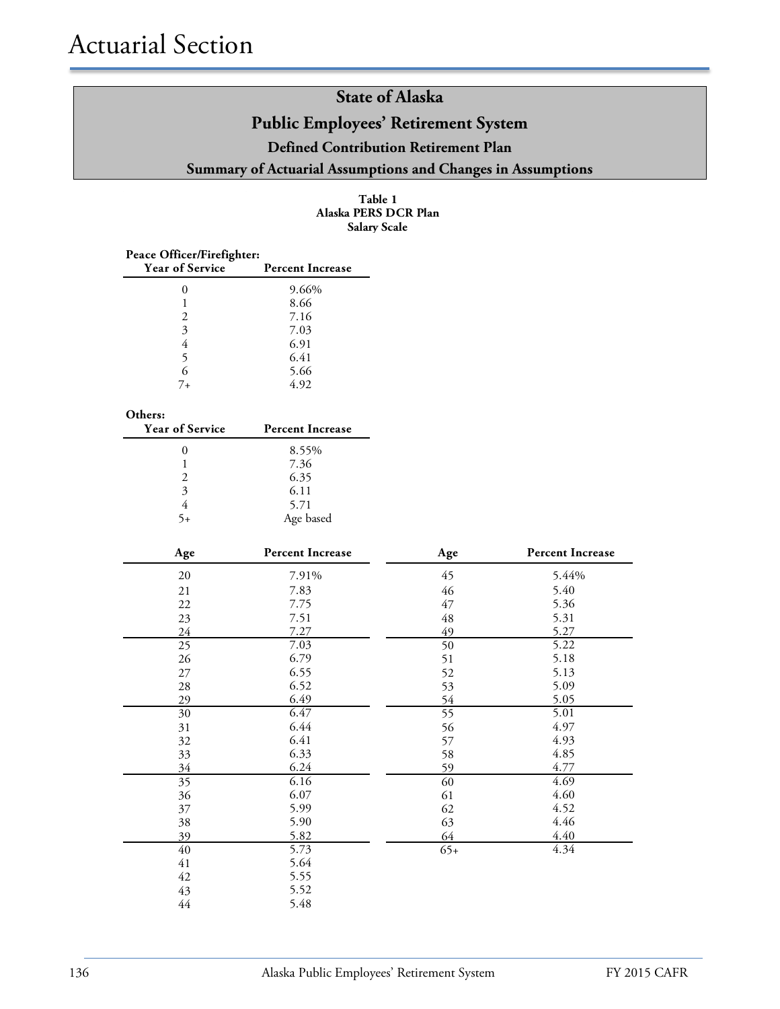| Table 1              |
|----------------------|
| Alaska PERS DCR Plan |
| <b>Salary Scale</b>  |

| Peace Officer/Firefighter:<br><b>Year of Service</b> | <b>Percent Increase</b> |
|------------------------------------------------------|-------------------------|
|                                                      | 9.66%                   |
|                                                      | 8.66                    |
| 2                                                    | 7.16                    |
| 3                                                    | 7.03                    |
| 4                                                    | 6.91                    |
| 5                                                    | 6.41                    |
| 6                                                    | 5.66                    |
| 7+                                                   | 4.92                    |

| <b>Year of Service</b> | <b>Percent Increase</b> |
|------------------------|-------------------------|
|                        | 8.55%                   |
|                        | 7.36                    |
| $\mathcal{L}$          | 6.35                    |
| $\mathbf{3}$           | 6.11                    |
|                        | 5.71                    |
|                        | Age based               |

| Age    | <b>Percent Increase</b> | Age   | <b>Percent Increase</b> |
|--------|-------------------------|-------|-------------------------|
| $20\,$ | 7.91%                   | 45    | 5.44%                   |
| 21     | 7.83                    | 46    | 5.40                    |
| 22     | 7.75                    | 47    | 5.36                    |
| 23     | 7.51                    | 48    | 5.31                    |
| 24     | 7.27                    | 49    | 5.27                    |
| 25     | 7.03                    | 50    | 5.22                    |
| 26     | 6.79                    | 51    | 5.18                    |
| 27     | 6.55                    | 52    | 5.13                    |
| 28     | 6.52                    | 53    | 5.09                    |
| 29     | 6.49                    | 54    | 5.05                    |
| 30     | 6.47                    | 55    | 5.01                    |
| 31     | 6.44                    | 56    | 4.97                    |
| 32     | 6.41                    | 57    | 4.93                    |
| 33     | 6.33                    | 58    | 4.85                    |
| 34     | 6.24                    | 59    | 4.77                    |
| 35     | 6.16                    | 60    | 4.69                    |
| 36     | 6.07                    | 61    | 4.60                    |
| 37     | 5.99                    | 62    | 4.52                    |
| 38     | 5.90                    | 63    | 4.46                    |
| 39     | 5.82                    | 64    | 4.40                    |
| 40     | 5.73                    | $65+$ | 4.34                    |
| 41     | 5.64                    |       |                         |
| 42     | 5.55                    |       |                         |
| 43     | 5.52                    |       |                         |
| $44\,$ | 5.48                    |       |                         |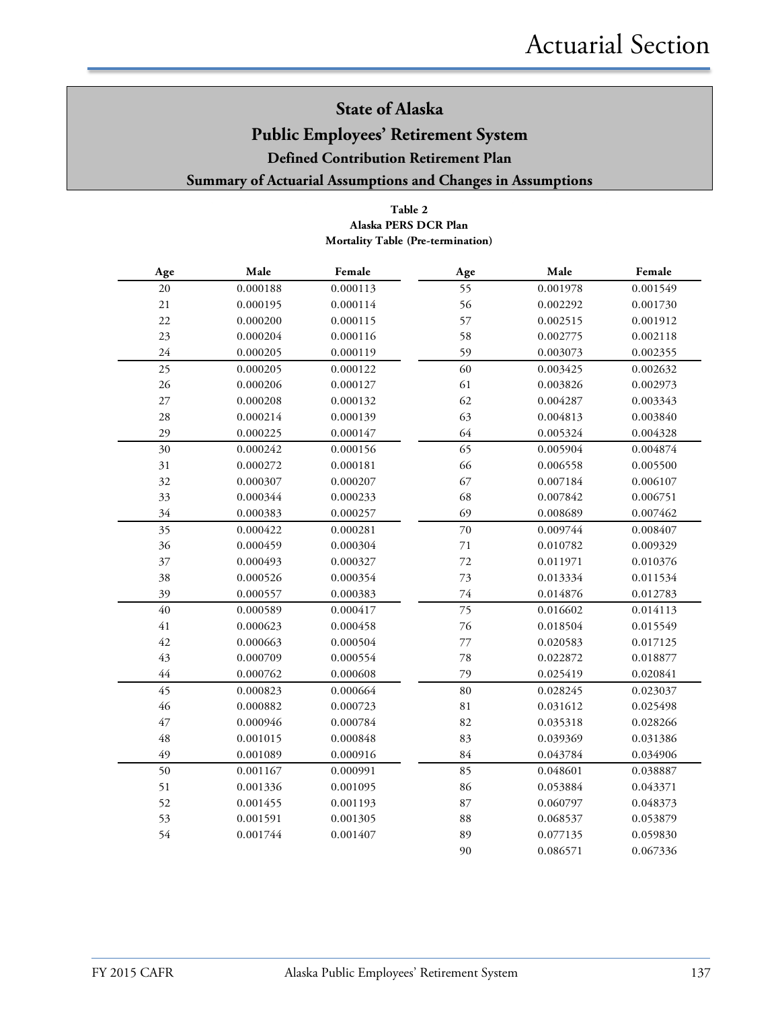#### **Public Employees' Retirement System**

**Defined Contribution Retirement Plan**

#### **Summary of Actuarial Assumptions and Changes in Assumptions**

#### **Table 2 Mortality Table (Pre-termination) Alaska PERS DCR Plan**

| Age    | Male     | Female   | Age         | Male     | Female   |
|--------|----------|----------|-------------|----------|----------|
| $20\,$ | 0.000188 | 0.000113 | 55          | 0.001978 | 0.001549 |
| $21\,$ | 0.000195 | 0.000114 | 56          | 0.002292 | 0.001730 |
| 22     | 0.000200 | 0.000115 | 57          | 0.002515 | 0.001912 |
| 23     | 0.000204 | 0.000116 | 58          | 0.002775 | 0.002118 |
| 24     | 0.000205 | 0.000119 | 59          | 0.003073 | 0.002355 |
| 25     | 0.000205 | 0.000122 | 60          | 0.003425 | 0.002632 |
| 26     | 0.000206 | 0.000127 | 61          | 0.003826 | 0.002973 |
| $27\,$ | 0.000208 | 0.000132 | 62          | 0.004287 | 0.003343 |
| 28     | 0.000214 | 0.000139 | 63          | 0.004813 | 0.003840 |
| 29     | 0.000225 | 0.000147 | 64          | 0.005324 | 0.004328 |
| 30     | 0.000242 | 0.000156 | 65          | 0.005904 | 0.004874 |
| 31     | 0.000272 | 0.000181 | 66          | 0.006558 | 0.005500 |
| 32     | 0.000307 | 0.000207 | 67          | 0.007184 | 0.006107 |
| 33     | 0.000344 | 0.000233 | 68          | 0.007842 | 0.006751 |
| 34     | 0.000383 | 0.000257 | 69          | 0.008689 | 0.007462 |
| 35     | 0.000422 | 0.000281 | 70          | 0.009744 | 0.008407 |
| 36     | 0.000459 | 0.000304 | $71\,$      | 0.010782 | 0.009329 |
| 37     | 0.000493 | 0.000327 | 72          | 0.011971 | 0.010376 |
| 38     | 0.000526 | 0.000354 | 73          | 0.013334 | 0.011534 |
| 39     | 0.000557 | 0.000383 | 74          | 0.014876 | 0.012783 |
| 40     | 0.000589 | 0.000417 | 75          | 0.016602 | 0.014113 |
| 41     | 0.000623 | 0.000458 | 76          | 0.018504 | 0.015549 |
| 42     | 0.000663 | 0.000504 | $77\,$      | 0.020583 | 0.017125 |
| 43     | 0.000709 | 0.000554 | 78          | 0.022872 | 0.018877 |
| $44$   | 0.000762 | 0.000608 | 79          | 0.025419 | 0.020841 |
| 45     | 0.000823 | 0.000664 | 80          | 0.028245 | 0.023037 |
| 46     | 0.000882 | 0.000723 | $8\sqrt{1}$ | 0.031612 | 0.025498 |
| 47     | 0.000946 | 0.000784 | 82          | 0.035318 | 0.028266 |
| 48     | 0.001015 | 0.000848 | 83          | 0.039369 | 0.031386 |
| 49     | 0.001089 | 0.000916 | 84          | 0.043784 | 0.034906 |
| 50     | 0.001167 | 0.000991 | 85          | 0.048601 | 0.038887 |
| 51     | 0.001336 | 0.001095 | 86          | 0.053884 | 0.043371 |
| 52     | 0.001455 | 0.001193 | 87          | 0.060797 | 0.048373 |
| 53     | 0.001591 | 0.001305 | 88          | 0.068537 | 0.053879 |
| 54     | 0.001744 | 0.001407 | 89          | 0.077135 | 0.059830 |
|        |          |          | 90          | 0.086571 | 0.067336 |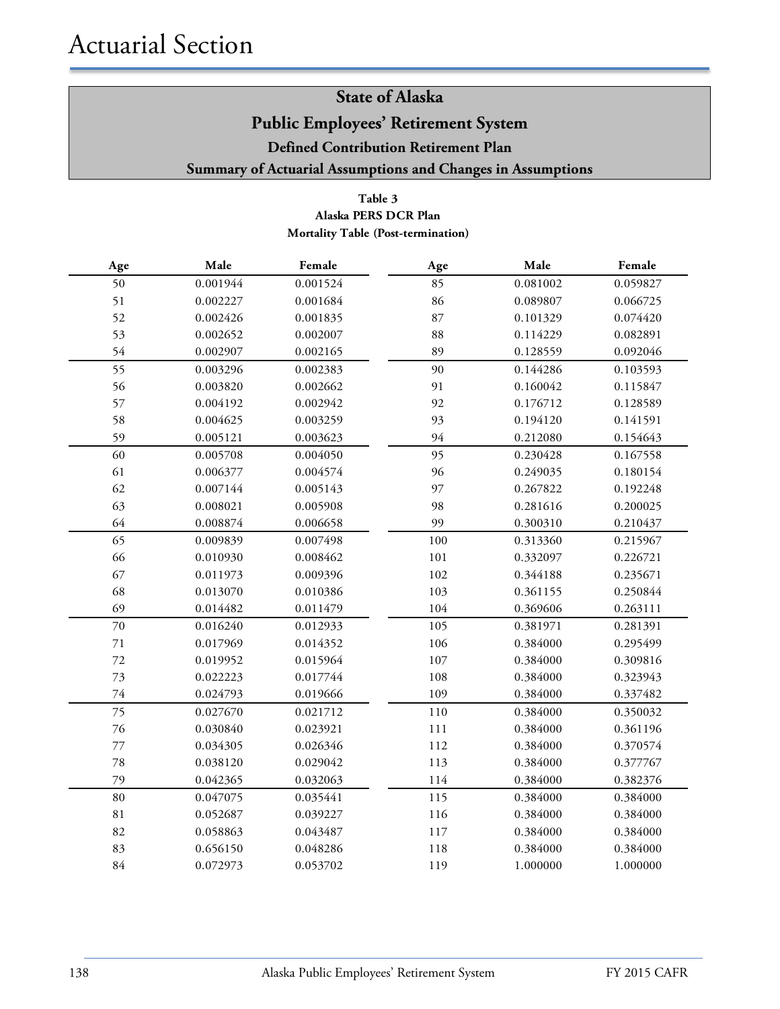#### **Table 3 Alaska PERS DCR Plan Mortality Table (Post-termination)**

| Age    | Male     | Female   | Age     | Male     | Female   |
|--------|----------|----------|---------|----------|----------|
| 50     | 0.001944 | 0.001524 | 85      | 0.081002 | 0.059827 |
| 51     | 0.002227 | 0.001684 | 86      | 0.089807 | 0.066725 |
| 52     | 0.002426 | 0.001835 | 87      | 0.101329 | 0.074420 |
| 53     | 0.002652 | 0.002007 | 88      | 0.114229 | 0.082891 |
| 54     | 0.002907 | 0.002165 | 89      | 0.128559 | 0.092046 |
| 55     | 0.003296 | 0.002383 | 90      | 0.144286 | 0.103593 |
| 56     | 0.003820 | 0.002662 | 91      | 0.160042 | 0.115847 |
| 57     | 0.004192 | 0.002942 | 92      | 0.176712 | 0.128589 |
| 58     | 0.004625 | 0.003259 | 93      | 0.194120 | 0.141591 |
| 59     | 0.005121 | 0.003623 | 94      | 0.212080 | 0.154643 |
| 60     | 0.005708 | 0.004050 | 95      | 0.230428 | 0.167558 |
| 61     | 0.006377 | 0.004574 | 96      | 0.249035 | 0.180154 |
| 62     | 0.007144 | 0.005143 | 97      | 0.267822 | 0.192248 |
| 63     | 0.008021 | 0.005908 | 98      | 0.281616 | 0.200025 |
| 64     | 0.008874 | 0.006658 | 99      | 0.300310 | 0.210437 |
| 65     | 0.009839 | 0.007498 | 100     | 0.313360 | 0.215967 |
| 66     | 0.010930 | 0.008462 | 101     | 0.332097 | 0.226721 |
| 67     | 0.011973 | 0.009396 | 102     | 0.344188 | 0.235671 |
| 68     | 0.013070 | 0.010386 | 103     | 0.361155 | 0.250844 |
| 69     | 0.014482 | 0.011479 | 104     | 0.369606 | 0.263111 |
| $70\,$ | 0.016240 | 0.012933 | 105     | 0.381971 | 0.281391 |
| $71\,$ | 0.017969 | 0.014352 | 106     | 0.384000 | 0.295499 |
| 72     | 0.019952 | 0.015964 | $107\,$ | 0.384000 | 0.309816 |
| 73     | 0.022223 | 0.017744 | 108     | 0.384000 | 0.323943 |
| $74\,$ | 0.024793 | 0.019666 | 109     | 0.384000 | 0.337482 |
| 75     | 0.027670 | 0.021712 | 110     | 0.384000 | 0.350032 |
| 76     | 0.030840 | 0.023921 | 111     | 0.384000 | 0.361196 |
| 77     | 0.034305 | 0.026346 | 112     | 0.384000 | 0.370574 |
| $78\,$ | 0.038120 | 0.029042 | 113     | 0.384000 | 0.377767 |
| 79     | 0.042365 | 0.032063 | 114     | 0.384000 | 0.382376 |
| $80\,$ | 0.047075 | 0.035441 | 115     | 0.384000 | 0.384000 |
| 81     | 0.052687 | 0.039227 | 116     | 0.384000 | 0.384000 |
| 82     | 0.058863 | 0.043487 | 117     | 0.384000 | 0.384000 |
| 83     | 0.656150 | 0.048286 | 118     | 0.384000 | 0.384000 |
| 84     | 0.072973 | 0.053702 | 119     | 1.000000 | 1.000000 |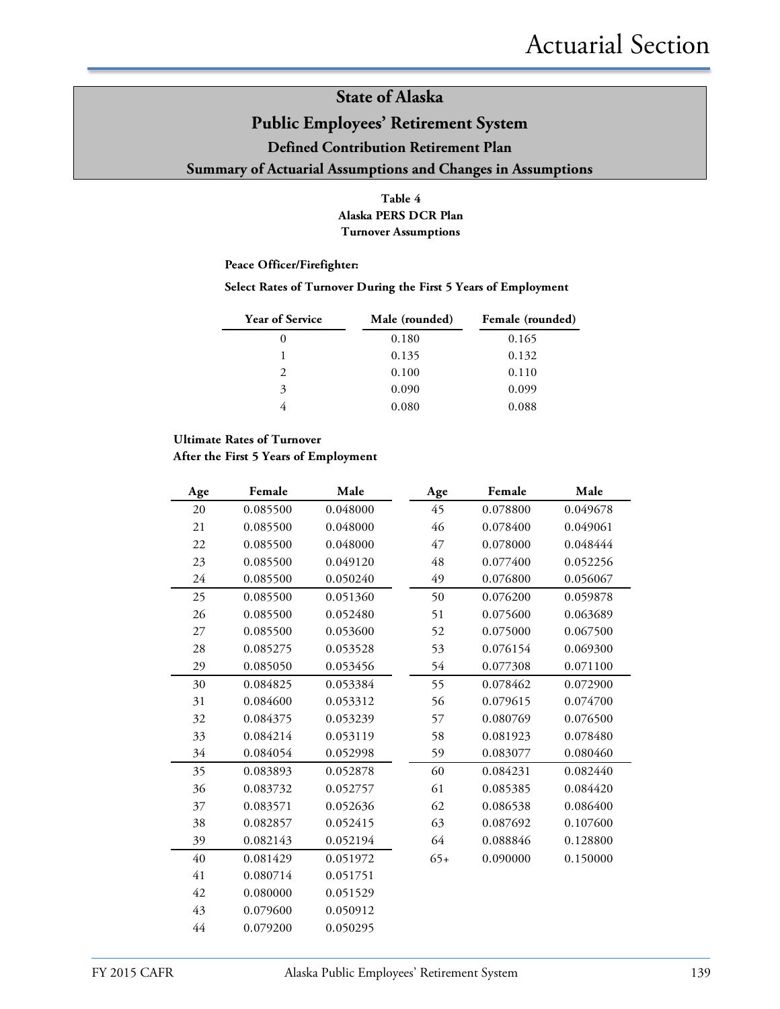#### **Public Employees' Retirement System**

**Defined Contribution Retirement Plan**

#### **Summary of Actuarial Assumptions and Changes in Assumptions**

#### **Table 4 Alaska PERS DCR Plan Turnover Assumptions**

#### **Peace Officer/Firefighter:**

#### **Select Rates of Turnover During the First 5 Years of Employment**

| <b>Year of Service</b> | Male (rounded) | Female (rounded) |
|------------------------|----------------|------------------|
| $\theta$               | 0.180          | 0.165            |
|                        | 0.135          | 0.132            |
|                        | 0.100          | 0.110            |
| 3                      | 0.090          | 0.099            |
|                        | 0.080          | 0.088            |

#### **Ultimate Rates of Turnover**

#### **After the First 5 Years of Employment**

| Age | Female   | Male     | Age   | Female   | Male     |
|-----|----------|----------|-------|----------|----------|
| 20  | 0.085500 | 0.048000 | 45    | 0.078800 | 0.049678 |
| 21  | 0.085500 | 0.048000 | 46    | 0.078400 | 0.049061 |
| 22  | 0.085500 | 0.048000 | 47    | 0.078000 | 0.048444 |
| 23  | 0.085500 | 0.049120 | 48    | 0.077400 | 0.052256 |
| 24  | 0.085500 | 0.050240 | 49    | 0.076800 | 0.056067 |
| 25  | 0.085500 | 0.051360 | 50    | 0.076200 | 0.059878 |
| 26  | 0.085500 | 0.052480 | 51    | 0.075600 | 0.063689 |
| 27  | 0.085500 | 0.053600 | 52    | 0.075000 | 0.067500 |
| 28  | 0.085275 | 0.053528 | 53    | 0.076154 | 0.069300 |
| 29  | 0.085050 | 0.053456 | 54    | 0.077308 | 0.071100 |
| 30  | 0.084825 | 0.053384 | 55    | 0.078462 | 0.072900 |
| 31  | 0.084600 | 0.053312 | 56    | 0.079615 | 0.074700 |
| 32  | 0.084375 | 0.053239 | 57    | 0.080769 | 0.076500 |
| 33  | 0.084214 | 0.053119 | 58    | 0.081923 | 0.078480 |
| 34  | 0.084054 | 0.052998 | 59    | 0.083077 | 0.080460 |
| 35  | 0.083893 | 0.052878 | 60    | 0.084231 | 0.082440 |
| 36  | 0.083732 | 0.052757 | 61    | 0.085385 | 0.084420 |
| 37  | 0.083571 | 0.052636 | 62    | 0.086538 | 0.086400 |
| 38  | 0.082857 | 0.052415 | 63    | 0.087692 | 0.107600 |
| 39  | 0.082143 | 0.052194 | 64    | 0.088846 | 0.128800 |
| 40  | 0.081429 | 0.051972 | $65+$ | 0.090000 | 0.150000 |
| 41  | 0.080714 | 0.051751 |       |          |          |
| 42  | 0.080000 | 0.051529 |       |          |          |
| 43  | 0.079600 | 0.050912 |       |          |          |
| 44  | 0.079200 | 0.050295 |       |          |          |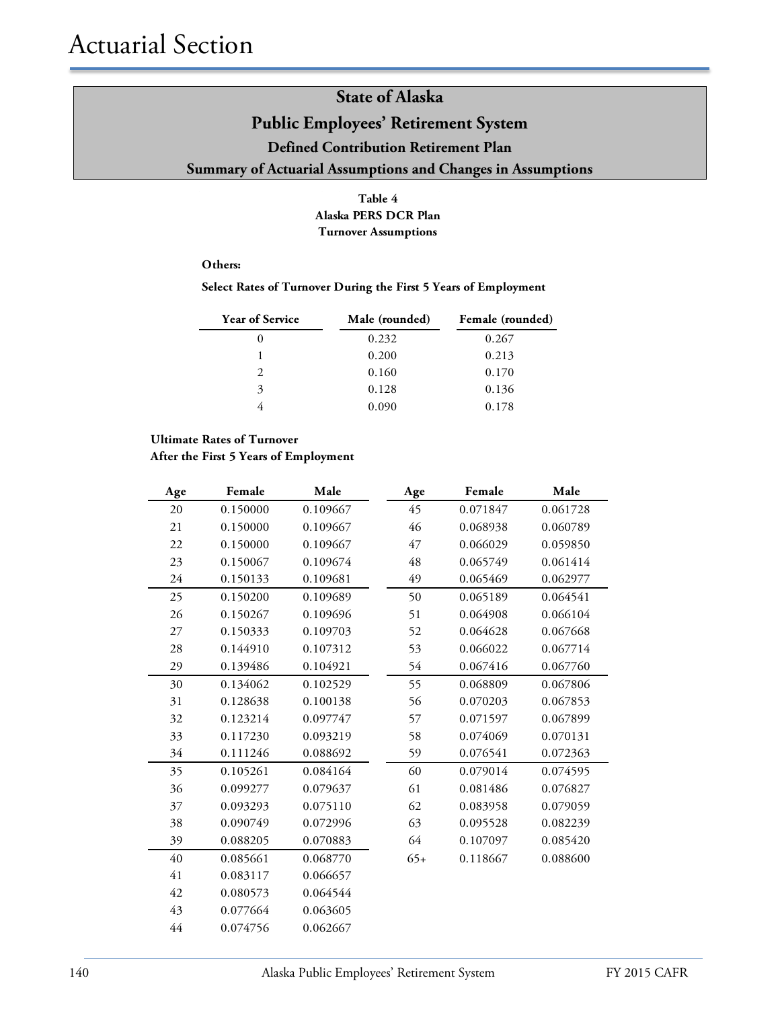#### **Table 4 Alaska PERS DCR Plan Turnover Assumptions**

#### **Others:**

#### **Select Rates of Turnover During the First 5 Years of Employment**

| <b>Year of Service</b>      | Male (rounded) | Female (rounded) |
|-----------------------------|----------------|------------------|
| 0                           | 0.232          | 0.267            |
|                             | 0.200          | 0.213            |
| $\mathcal{D}_{\mathcal{L}}$ | 0.160          | 0.170            |
| 3                           | 0.128          | 0.136            |
|                             | 0.090          | 0.178            |

#### **Ultimate Rates of Turnover**

**After the First 5 Years of Employment**

| Age | Female   | Male     | Age   | Female   | Male     |
|-----|----------|----------|-------|----------|----------|
| 20  | 0.150000 | 0.109667 | 45    | 0.071847 | 0.061728 |
| 21  | 0.150000 | 0.109667 | 46    | 0.068938 | 0.060789 |
| 22  | 0.150000 | 0.109667 | 47    | 0.066029 | 0.059850 |
| 23  | 0.150067 | 0.109674 | 48    | 0.065749 | 0.061414 |
| 24  | 0.150133 | 0.109681 | 49    | 0.065469 | 0.062977 |
| 25  | 0.150200 | 0.109689 | 50    | 0.065189 | 0.064541 |
| 26  | 0.150267 | 0.109696 | 51    | 0.064908 | 0.066104 |
| 27  | 0.150333 | 0.109703 | 52    | 0.064628 | 0.067668 |
| 28  | 0.144910 | 0.107312 | 53    | 0.066022 | 0.067714 |
| 29  | 0.139486 | 0.104921 | 54    | 0.067416 | 0.067760 |
| 30  | 0.134062 | 0.102529 | 55    | 0.068809 | 0.067806 |
| 31  | 0.128638 | 0.100138 | 56    | 0.070203 | 0.067853 |
| 32  | 0.123214 | 0.097747 | 57    | 0.071597 | 0.067899 |
| 33  | 0.117230 | 0.093219 | 58    | 0.074069 | 0.070131 |
| 34  | 0.111246 | 0.088692 | 59    | 0.076541 | 0.072363 |
| 35  | 0.105261 | 0.084164 | 60    | 0.079014 | 0.074595 |
| 36  | 0.099277 | 0.079637 | 61    | 0.081486 | 0.076827 |
| 37  | 0.093293 | 0.075110 | 62    | 0.083958 | 0.079059 |
| 38  | 0.090749 | 0.072996 | 63    | 0.095528 | 0.082239 |
| 39  | 0.088205 | 0.070883 | 64    | 0.107097 | 0.085420 |
| 40  | 0.085661 | 0.068770 | $65+$ | 0.118667 | 0.088600 |
| 41  | 0.083117 | 0.066657 |       |          |          |
| 42  | 0.080573 | 0.064544 |       |          |          |
| 43  | 0.077664 | 0.063605 |       |          |          |
| 44  | 0.074756 | 0.062667 |       |          |          |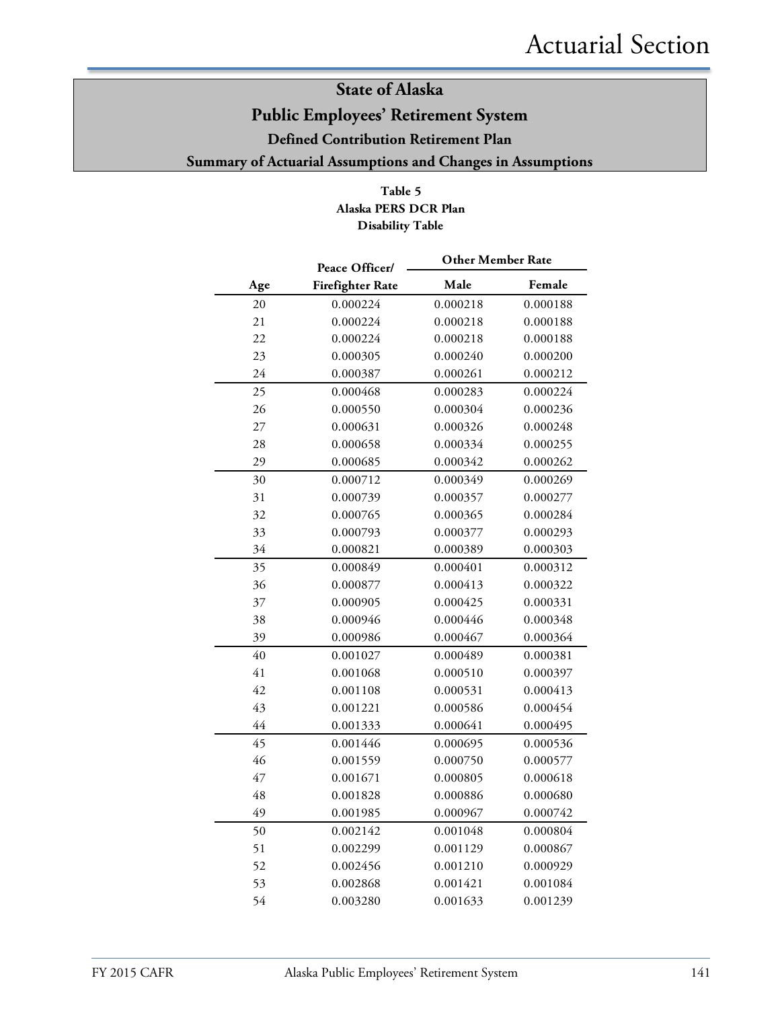#### **Table 5 Alaska PERS DCR Plan Disability Table**

|     | Peace Officer/          | <b>Other Member Rate</b> |          |
|-----|-------------------------|--------------------------|----------|
| Age | <b>Firefighter Rate</b> | Male                     | Female   |
| 20  | 0.000224                | 0.000218                 | 0.000188 |
| 21  | 0.000224                | 0.000218                 | 0.000188 |
| 22  | 0.000224                | 0.000218                 | 0.000188 |
| 23  | 0.000305                | 0.000240                 | 0.000200 |
| 24  | 0.000387                | 0.000261                 | 0.000212 |
| 25  | 0.000468                | 0.000283                 | 0.000224 |
| 26  | 0.000550                | 0.000304                 | 0.000236 |
| 27  | 0.000631                | 0.000326                 | 0.000248 |
| 28  | 0.000658                | 0.000334                 | 0.000255 |
| 29  | 0.000685                | 0.000342                 | 0.000262 |
| 30  | 0.000712                | 0.000349                 | 0.000269 |
| 31  | 0.000739                | 0.000357                 | 0.000277 |
| 32  | 0.000765                | 0.000365                 | 0.000284 |
| 33  | 0.000793                | 0.000377                 | 0.000293 |
| 34  | 0.000821                | 0.000389                 | 0.000303 |
| 35  | 0.000849                | 0.000401                 | 0.000312 |
| 36  | 0.000877                | 0.000413                 | 0.000322 |
| 37  | 0.000905                | 0.000425                 | 0.000331 |
| 38  | 0.000946                | 0.000446                 | 0.000348 |
| 39  | 0.000986                | 0.000467                 | 0.000364 |
| 40  | 0.001027                | 0.000489                 | 0.000381 |
| 41  | 0.001068                | 0.000510                 | 0.000397 |
| 42  | 0.001108                | 0.000531                 | 0.000413 |
| 43  | 0.001221                | 0.000586                 | 0.000454 |
| 44  | 0.001333                | 0.000641                 | 0.000495 |
| 45  | 0.001446                | 0.000695                 | 0.000536 |
| 46  | 0.001559                | 0.000750                 | 0.000577 |
| 47  | 0.001671                | 0.000805                 | 0.000618 |
| 48  | 0.001828                | 0.000886                 | 0.000680 |
| 49  | 0.001985                | 0.000967                 | 0.000742 |
| 50  | 0.002142                | 0.001048                 | 0.000804 |
| 51  | 0.002299                | 0.001129                 | 0.000867 |
| 52  | 0.002456                | 0.001210                 | 0.000929 |
| 53  | 0.002868                | 0.001421                 | 0.001084 |
| 54  | 0.003280                | 0.001633                 | 0.001239 |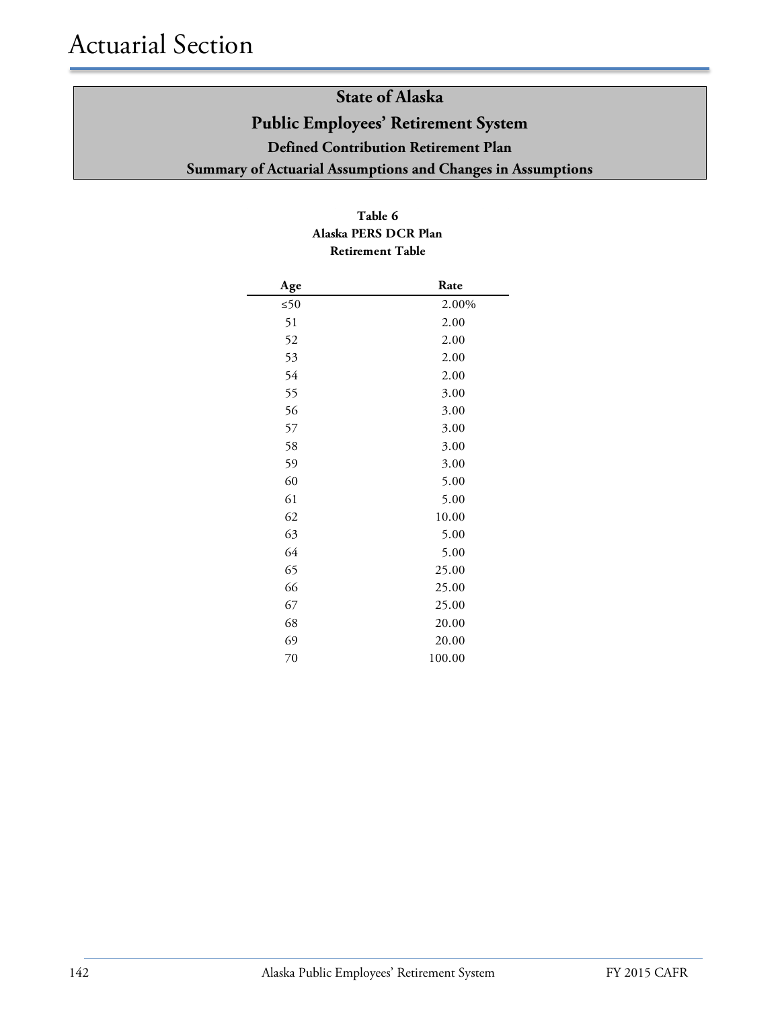#### **Table 6 Alaska PERS DCR Plan Retirement Table**

| Age       | Rate   |
|-----------|--------|
| $\leq 50$ | 2.00%  |
| 51        | 2.00   |
| 52        | 2.00   |
| 53        | 2.00   |
| 54        | 2.00   |
| 55        | 3.00   |
| 56        | 3.00   |
| 57        | 3.00   |
| 58        | 3.00   |
| 59        | 3.00   |
| 60        | 5.00   |
| 61        | 5.00   |
| 62        | 10.00  |
| 63        | 5.00   |
| 64        | 5.00   |
| 65        | 25.00  |
| 66        | 25.00  |
| 67        | 25.00  |
| 68        | 20.00  |
| 69        | 20.00  |
| 70        | 100.00 |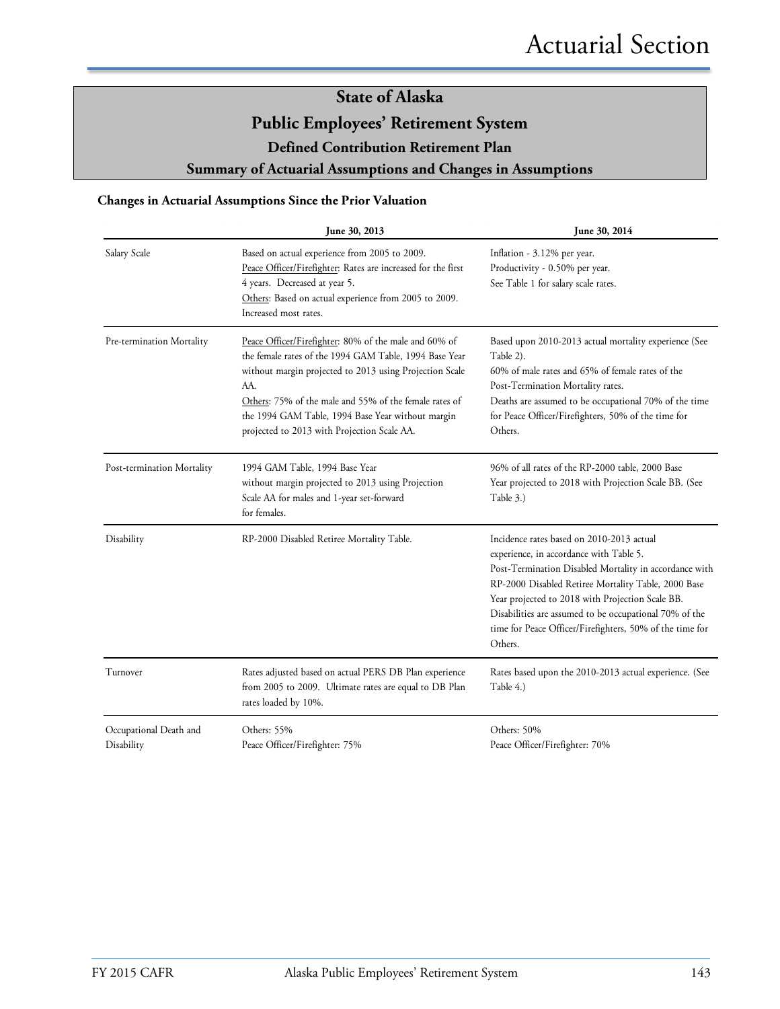#### **Changes in Actuarial Assumptions Since the Prior Valuation**

|                                      | June 30, 2013                                                                                                                                                                                                                                                                                                                                   | June 30, 2014                                                                                                                                                                                                                                                                                                                                                                              |
|--------------------------------------|-------------------------------------------------------------------------------------------------------------------------------------------------------------------------------------------------------------------------------------------------------------------------------------------------------------------------------------------------|--------------------------------------------------------------------------------------------------------------------------------------------------------------------------------------------------------------------------------------------------------------------------------------------------------------------------------------------------------------------------------------------|
| Salary Scale                         | Based on actual experience from 2005 to 2009.<br>Peace Officer/Firefighter: Rates are increased for the first<br>4 years. Decreased at year 5.<br>Others: Based on actual experience from 2005 to 2009.<br>Increased most rates.                                                                                                                | Inflation - 3.12% per year.<br>Productivity - 0.50% per year.<br>See Table 1 for salary scale rates.                                                                                                                                                                                                                                                                                       |
| Pre-termination Mortality            | Peace Officer/Firefighter: 80% of the male and 60% of<br>the female rates of the 1994 GAM Table, 1994 Base Year<br>without margin projected to 2013 using Projection Scale<br>AA.<br>Others: 75% of the male and 55% of the female rates of<br>the 1994 GAM Table, 1994 Base Year without margin<br>projected to 2013 with Projection Scale AA. | Based upon 2010-2013 actual mortality experience (See<br>Table 2).<br>60% of male rates and 65% of female rates of the<br>Post-Termination Mortality rates.<br>Deaths are assumed to be occupational 70% of the time<br>for Peace Officer/Firefighters, 50% of the time for<br>Others.                                                                                                     |
| Post-termination Mortality           | 1994 GAM Table, 1994 Base Year<br>without margin projected to 2013 using Projection<br>Scale AA for males and 1-year set-forward<br>for females.                                                                                                                                                                                                | 96% of all rates of the RP-2000 table, 2000 Base<br>Year projected to 2018 with Projection Scale BB. (See<br>Table 3.)                                                                                                                                                                                                                                                                     |
| Disability                           | RP-2000 Disabled Retiree Mortality Table.                                                                                                                                                                                                                                                                                                       | Incidence rates based on 2010-2013 actual<br>experience, in accordance with Table 5.<br>Post-Termination Disabled Mortality in accordance with<br>RP-2000 Disabled Retiree Mortality Table, 2000 Base<br>Year projected to 2018 with Projection Scale BB.<br>Disabilities are assumed to be occupational 70% of the<br>time for Peace Officer/Firefighters, 50% of the time for<br>Others. |
| Turnover                             | Rates adjusted based on actual PERS DB Plan experience<br>from 2005 to 2009. Ultimate rates are equal to DB Plan<br>rates loaded by 10%.                                                                                                                                                                                                        | Rates based upon the 2010-2013 actual experience. (See<br>Table 4.)                                                                                                                                                                                                                                                                                                                        |
| Occupational Death and<br>Disability | Others: 55%<br>Peace Officer/Firefighter: 75%                                                                                                                                                                                                                                                                                                   | Others: 50%<br>Peace Officer/Firefighter: 70%                                                                                                                                                                                                                                                                                                                                              |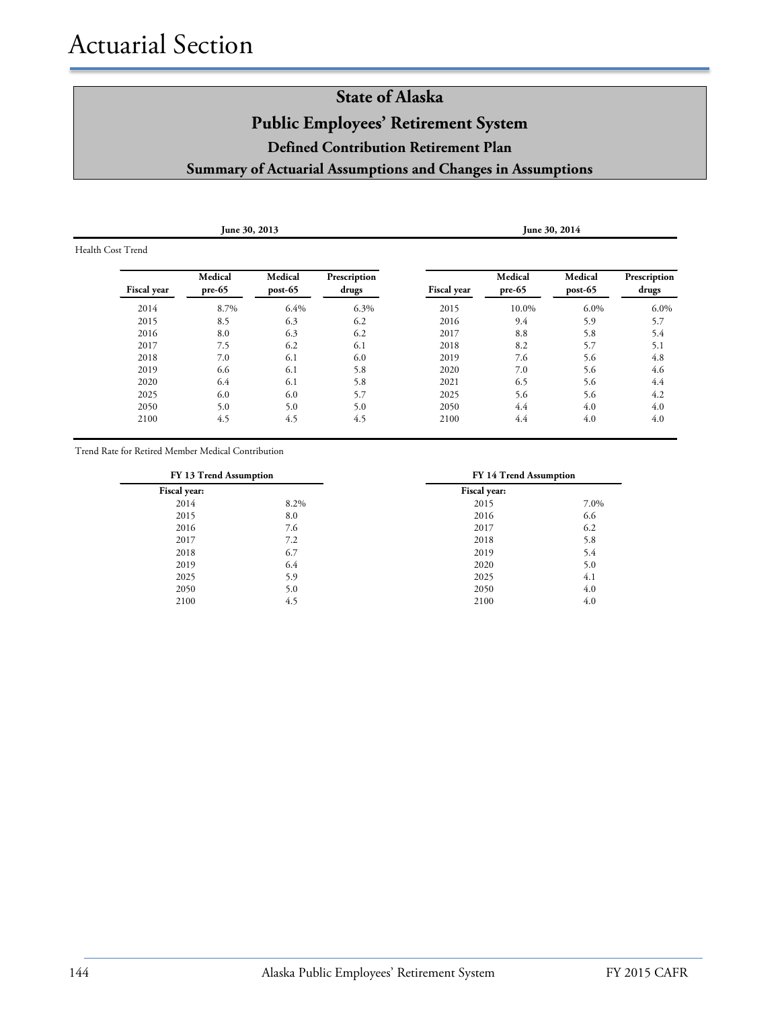| June 30, 2013      |                     |                    |                       |                    |                   | June 30, 2014        |                       |
|--------------------|---------------------|--------------------|-----------------------|--------------------|-------------------|----------------------|-----------------------|
| Health Cost Trend  |                     |                    |                       |                    |                   |                      |                       |
| <b>Fiscal year</b> | Medical<br>$pre-65$ | Medical<br>post-65 | Prescription<br>drugs | <b>Fiscal</b> year | Medical<br>pre-65 | Medical<br>$post-65$ | Prescription<br>drugs |
| 2014               | 8.7%                | 6.4%               | 6.3%                  | 2015               | 10.0%             | 6.0%                 | 6.0%                  |
| 2015               | 8.5                 | 6.3                | 6.2                   | 2016               | 9.4               | 5.9                  | 5.7                   |
| 2016               | 8.0                 | 6.3                | 6.2                   | 2017               | 8.8               | 5.8                  | 5.4                   |
| 2017               | 7.5                 | 6.2                | 6.1                   | 2018               | 8.2               | 5.7                  | 5.1                   |
| 2018               | 7.0                 | 6.1                | 6.0                   | 2019               | 7.6               | 5.6                  | 4.8                   |
| 2019               | 6.6                 | 6.1                | 5.8                   | 2020               | 7.0               | 5.6                  | 4.6                   |
| 2020               | 6.4                 | 6.1                | 5.8                   | 2021               | 6.5               | 5.6                  | 4.4                   |
| 2025               | 6.0                 | 6.0                | 5.7                   | 2025               | 5.6               | 5.6                  | 4.2                   |
| 2050               | 5.0                 | 5.0                | 5.0                   | 2050               | 4.4               | 4.0                  | 4.0                   |
| 2100               | 4.5                 | 4.5                | 4.5                   | 2100               | 4.4               | 4.0                  | 4.0                   |
|                    |                     |                    |                       |                    |                   |                      |                       |

Trend Rate for Retired Member Medical Contribution

|              | FY 13 Trend Assumption |              | FY 14 Trend Assumption |
|--------------|------------------------|--------------|------------------------|
| Fiscal year: |                        | Fiscal year: |                        |
| 2014         | 8.2%                   | 2015         | 7.0%                   |
| 2015         | 8.0                    | 2016         | 6.6                    |
| 2016         | 7.6                    | 2017         | 6.2                    |
| 2017         | 7.2                    | 2018         | 5.8                    |
| 2018         | 6.7                    | 2019         | 5.4                    |
| 2019         | 6.4                    | 2020         | 5.0                    |
| 2025         | 5.9                    | 2025         | 4.1                    |
| 2050         | 5.0                    | 2050         | 4.0                    |
| 2100         | 4.5                    | 2100         | 4.0                    |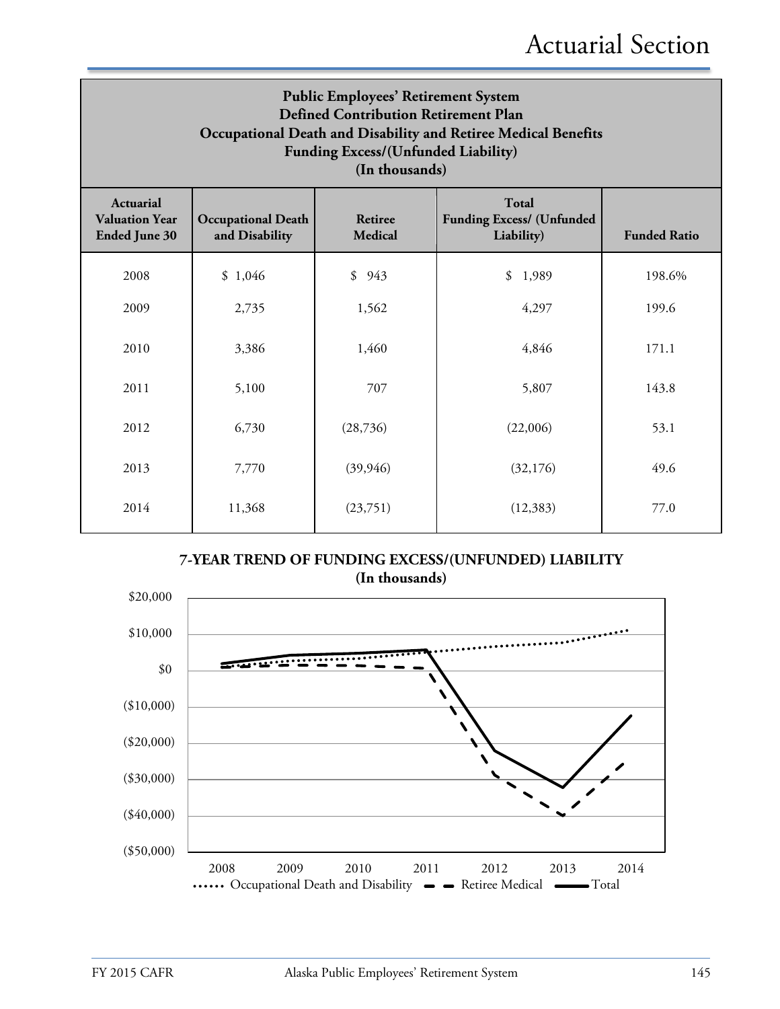| <b>Public Employees' Retirement System</b><br><b>Defined Contribution Retirement Plan</b><br>Occupational Death and Disability and Retiree Medical Benefits<br>Funding Excess/(Unfunded Liability)<br>(In thousands) |                                             |                                  |                                                                |                     |  |
|----------------------------------------------------------------------------------------------------------------------------------------------------------------------------------------------------------------------|---------------------------------------------|----------------------------------|----------------------------------------------------------------|---------------------|--|
| <b>Actuarial</b><br><b>Valuation Year</b><br><b>Ended June 30</b>                                                                                                                                                    | <b>Occupational Death</b><br>and Disability | <b>Retiree</b><br><b>Medical</b> | <b>Total</b><br><b>Funding Excess/ (Unfunded</b><br>Liability) | <b>Funded Ratio</b> |  |
| 2008                                                                                                                                                                                                                 | \$1,046                                     | \$<br>943                        | \$<br>1,989                                                    | 198.6%              |  |
| 2009                                                                                                                                                                                                                 | 2,735                                       | 1,562                            | 4,297                                                          | 199.6               |  |
| 2010                                                                                                                                                                                                                 | 3,386                                       | 1,460                            | 4,846                                                          | 171.1               |  |
| 2011                                                                                                                                                                                                                 | 5,100                                       | 707                              | 5,807                                                          | 143.8               |  |
| 2012                                                                                                                                                                                                                 | 6,730                                       | (28, 736)                        | (22,006)                                                       | 53.1                |  |
| 2013                                                                                                                                                                                                                 | 7,770                                       | (39, 946)                        | (32,176)                                                       | 49.6                |  |
| 2014                                                                                                                                                                                                                 | 11,368                                      | (23,751)                         | (12, 383)                                                      | 77.0                |  |

**7-YEAR TREND OF FUNDING EXCESS/(UNFUNDED) LIABILITY (In thousands)**

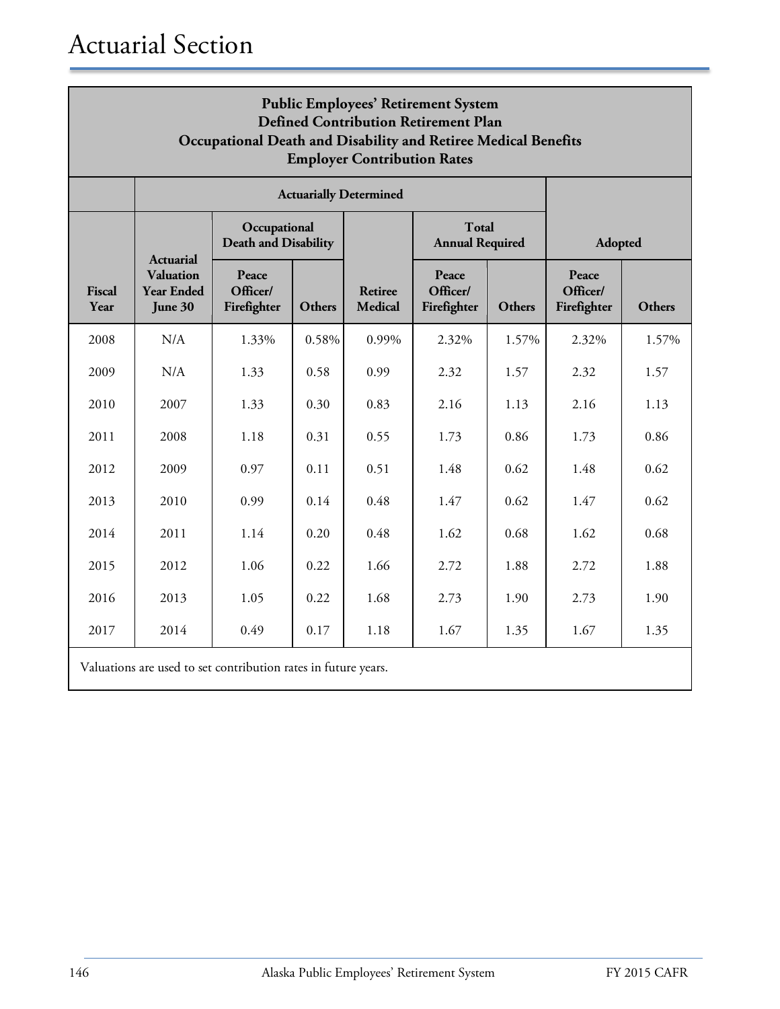| <b>Public Employees' Retirement System</b><br><b>Defined Contribution Retirement Plan</b><br>Occupational Death and Disability and Retiree Medical Benefits<br><b>Employer Contribution Rates</b> |                                                                |                                             |        |                                  |                                        |        |                                  |        |
|---------------------------------------------------------------------------------------------------------------------------------------------------------------------------------------------------|----------------------------------------------------------------|---------------------------------------------|--------|----------------------------------|----------------------------------------|--------|----------------------------------|--------|
|                                                                                                                                                                                                   |                                                                |                                             |        | <b>Actuarially Determined</b>    |                                        |        |                                  |        |
|                                                                                                                                                                                                   | <b>Actuarial</b>                                               | Occupational<br><b>Death and Disability</b> |        |                                  | <b>Total</b><br><b>Annual Required</b> |        | Adopted                          |        |
| Fiscal<br>Year                                                                                                                                                                                    | <b>Valuation</b><br><b>Year Ended</b><br>June 30               | Peace<br>Officer/<br>Firefighter            | Others | <b>Retiree</b><br><b>Medical</b> | Peace<br>Officer/<br>Firefighter       | Others | Peace<br>Officer/<br>Firefighter | Others |
| 2008                                                                                                                                                                                              | N/A                                                            | 1.33%                                       | 0.58%  | 0.99%                            | 2.32%                                  | 1.57%  | 2.32%                            | 1.57%  |
| 2009                                                                                                                                                                                              | N/A                                                            | 1.33                                        | 0.58   | 0.99                             | 2.32                                   | 1.57   | 2.32                             | 1.57   |
| 2010                                                                                                                                                                                              | 2007                                                           | 1.33                                        | 0.30   | 0.83                             | 2.16                                   | 1.13   | 2.16                             | 1.13   |
| 2011                                                                                                                                                                                              | 2008                                                           | 1.18                                        | 0.31   | 0.55                             | 1.73                                   | 0.86   | 1.73                             | 0.86   |
| 2012                                                                                                                                                                                              | 2009                                                           | 0.97                                        | 0.11   | 0.51                             | 1.48                                   | 0.62   | 1.48                             | 0.62   |
| 2013                                                                                                                                                                                              | 2010                                                           | 0.99                                        | 0.14   | 0.48                             | 1.47                                   | 0.62   | 1.47                             | 0.62   |
| 2014                                                                                                                                                                                              | 2011                                                           | 1.14                                        | 0.20   | 0.48                             | 1.62                                   | 0.68   | 1.62                             | 0.68   |
| 2015                                                                                                                                                                                              | 2012                                                           | 1.06                                        | 0.22   | 1.66                             | 2.72                                   | 1.88   | 2.72                             | 1.88   |
| 2016                                                                                                                                                                                              | 2013                                                           | 1.05                                        | 0.22   | 1.68                             | 2.73                                   | 1.90   | 2.73                             | 1.90   |
| 2017                                                                                                                                                                                              | 2014                                                           | 0.49                                        | 0.17   | 1.18                             | 1.67                                   | 1.35   | 1.67                             | 1.35   |
|                                                                                                                                                                                                   | Valuations are used to set contribution rates in future years. |                                             |        |                                  |                                        |        |                                  |        |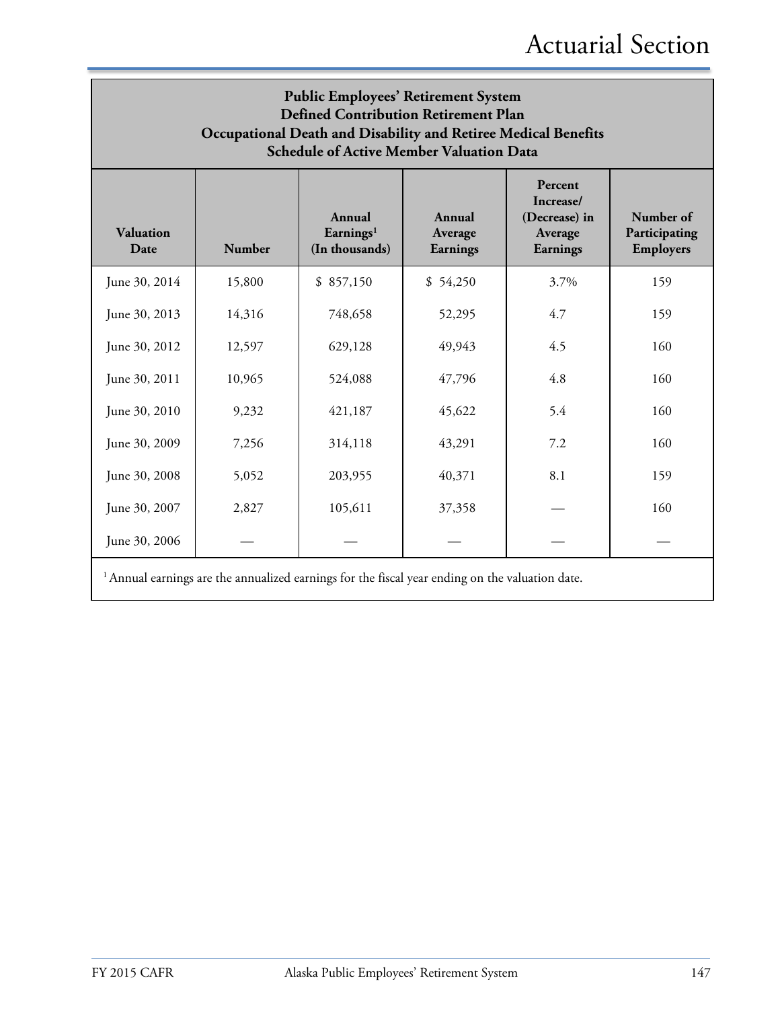| <b>Public Employees' Retirement System</b><br><b>Defined Contribution Retirement Plan</b><br>Occupational Death and Disability and Retiree Medical Benefits<br><b>Schedule of Active Member Valuation Data</b> |                                                                                                                                                                                                                |           |          |      |     |  |  |
|----------------------------------------------------------------------------------------------------------------------------------------------------------------------------------------------------------------|----------------------------------------------------------------------------------------------------------------------------------------------------------------------------------------------------------------|-----------|----------|------|-----|--|--|
| Valuation<br>Date                                                                                                                                                                                              | Percent<br>Increase/<br>Number of<br>Annual<br>(Decrease) in<br>Annual<br>Earnings <sup>1</sup><br>Participating<br>Average<br>Average<br>Number<br>(In thousands)<br><b>Employers</b><br>Earnings<br>Earnings |           |          |      |     |  |  |
| June 30, 2014                                                                                                                                                                                                  | 15,800                                                                                                                                                                                                         | \$857,150 | \$54,250 | 3.7% | 159 |  |  |
| June 30, 2013                                                                                                                                                                                                  | 14,316                                                                                                                                                                                                         | 748,658   | 52,295   | 4.7  | 159 |  |  |
| June 30, 2012                                                                                                                                                                                                  | 12,597                                                                                                                                                                                                         | 629,128   | 49,943   | 4.5  | 160 |  |  |
| June 30, 2011                                                                                                                                                                                                  | 10,965                                                                                                                                                                                                         | 524,088   | 47,796   | 4.8  | 160 |  |  |
| June 30, 2010                                                                                                                                                                                                  | 9,232                                                                                                                                                                                                          | 421,187   | 45,622   | 5.4  | 160 |  |  |
| June 30, 2009                                                                                                                                                                                                  | 7,256                                                                                                                                                                                                          | 314,118   | 43,291   | 7.2  | 160 |  |  |
| June 30, 2008                                                                                                                                                                                                  | 5,052                                                                                                                                                                                                          | 203,955   | 40,371   | 8.1  | 159 |  |  |
| June 30, 2007                                                                                                                                                                                                  | 2,827                                                                                                                                                                                                          | 105,611   | 37,358   |      | 160 |  |  |
| June 30, 2006                                                                                                                                                                                                  |                                                                                                                                                                                                                |           |          |      |     |  |  |

<sup>1</sup> Annual earnings are the annualized earnings for the fiscal year ending on the valuation date.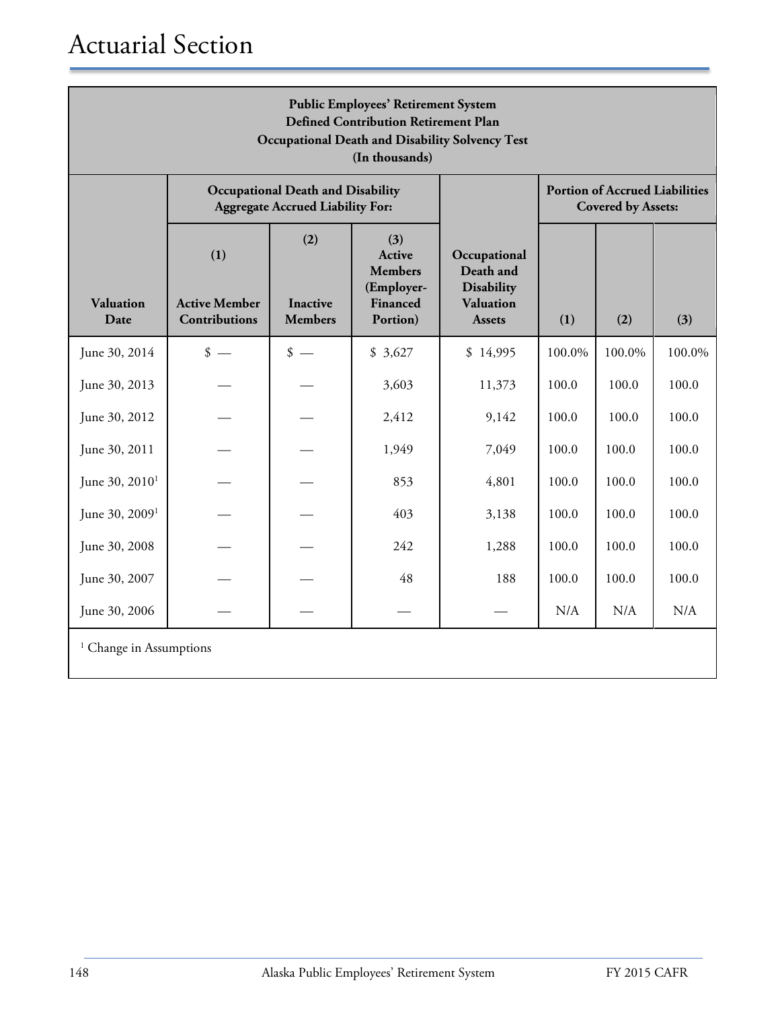| <b>Public Employees' Retirement System</b><br><b>Defined Contribution Retirement Plan</b><br><b>Occupational Death and Disability Solvency Test</b><br>(In thousands) |                                                     |                                                                                     |                                                                       |                                                                                     |        |                                                                    |        |
|-----------------------------------------------------------------------------------------------------------------------------------------------------------------------|-----------------------------------------------------|-------------------------------------------------------------------------------------|-----------------------------------------------------------------------|-------------------------------------------------------------------------------------|--------|--------------------------------------------------------------------|--------|
|                                                                                                                                                                       |                                                     | <b>Occupational Death and Disability</b><br><b>Aggregate Accrued Liability For:</b> |                                                                       |                                                                                     |        | <b>Portion of Accrued Liabilities</b><br><b>Covered by Assets:</b> |        |
| Valuation<br>Date                                                                                                                                                     | (1)<br><b>Active Member</b><br><b>Contributions</b> | (2)<br><b>Inactive</b><br><b>Members</b>                                            | (3)<br>Active<br><b>Members</b><br>(Employer-<br>Financed<br>Portion) | Occupational<br>Death and<br><b>Disability</b><br><b>Valuation</b><br><b>Assets</b> | (1)    | (2)                                                                | (3)    |
| June 30, 2014                                                                                                                                                         | $\frac{\text{I}}{\text{I}}$                         | $\frac{\text{I}}{\text{I}}$                                                         | \$3,627                                                               | \$14,995                                                                            | 100.0% | 100.0%                                                             | 100.0% |
| June 30, 2013                                                                                                                                                         |                                                     |                                                                                     | 3,603                                                                 | 11,373                                                                              | 100.0  | 100.0                                                              | 100.0  |
| June 30, 2012                                                                                                                                                         |                                                     |                                                                                     | 2,412                                                                 | 9,142                                                                               | 100.0  | 100.0                                                              | 100.0  |
| June 30, 2011                                                                                                                                                         |                                                     |                                                                                     | 1,949                                                                 | 7,049                                                                               | 100.0  | 100.0                                                              | 100.0  |
| June 30, 2010 <sup>1</sup>                                                                                                                                            |                                                     |                                                                                     | 853                                                                   | 4,801                                                                               | 100.0  | 100.0                                                              | 100.0  |
| June 30, 2009 <sup>1</sup>                                                                                                                                            |                                                     |                                                                                     | 403                                                                   | 3,138                                                                               | 100.0  | 100.0                                                              | 100.0  |
| June 30, 2008                                                                                                                                                         |                                                     |                                                                                     | 242                                                                   | 1,288                                                                               | 100.0  | 100.0                                                              | 100.0  |
| June 30, 2007                                                                                                                                                         |                                                     |                                                                                     | 48                                                                    | 188                                                                                 | 100.0  | 100.0                                                              | 100.0  |
| June 30, 2006                                                                                                                                                         |                                                     |                                                                                     |                                                                       |                                                                                     | N/A    | N/A                                                                | N/A    |
| <sup>1</sup> Change in Assumptions                                                                                                                                    |                                                     |                                                                                     |                                                                       |                                                                                     |        |                                                                    |        |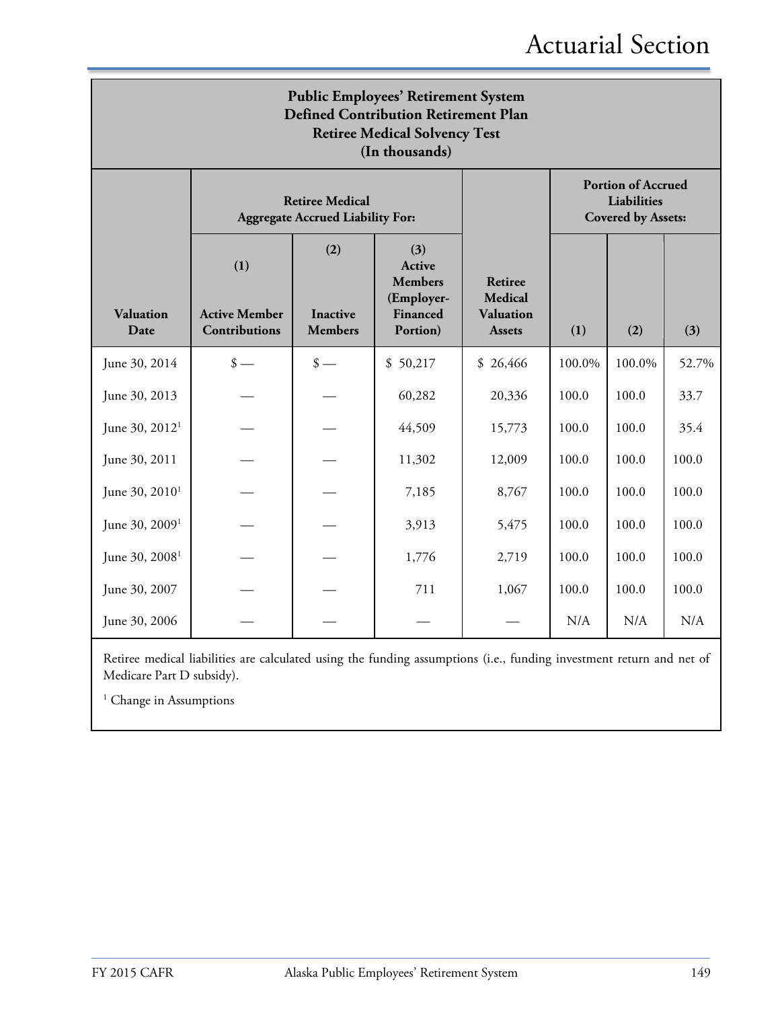### Actuarial Section

| <b>Public Employees' Retirement System</b><br><b>Defined Contribution Retirement Plan</b><br><b>Retiree Medical Solvency Test</b><br>(In thousands) |                                                                   |                                          |                                                                       |                                                                |        |                                                                       |       |
|-----------------------------------------------------------------------------------------------------------------------------------------------------|-------------------------------------------------------------------|------------------------------------------|-----------------------------------------------------------------------|----------------------------------------------------------------|--------|-----------------------------------------------------------------------|-------|
|                                                                                                                                                     | <b>Retiree Medical</b><br><b>Aggregate Accrued Liability For:</b> |                                          |                                                                       |                                                                |        | <b>Portion of Accrued</b><br>Liabilities<br><b>Covered by Assets:</b> |       |
| <b>Valuation</b><br>Date                                                                                                                            | (1)<br><b>Active Member</b><br><b>Contributions</b>               | (2)<br><b>Inactive</b><br><b>Members</b> | (3)<br>Active<br><b>Members</b><br>(Employer-<br>Financed<br>Portion) | Retiree<br><b>Medical</b><br><b>Valuation</b><br><b>Assets</b> | (1)    | (2)                                                                   | (3)   |
| June 30, 2014                                                                                                                                       | $\frac{\text{I}}{\text{I}}$                                       | $\frac{\text{I}}{\text{I}}$              | \$50,217                                                              | \$26,466                                                       | 100.0% | 100.0%                                                                | 52.7% |
| June 30, 2013                                                                                                                                       |                                                                   |                                          | 60,282                                                                | 20,336                                                         | 100.0  | 100.0                                                                 | 33.7  |
| June 30, 2012 <sup>1</sup>                                                                                                                          |                                                                   |                                          | 44,509                                                                | 15,773                                                         | 100.0  | 100.0                                                                 | 35.4  |
| June 30, 2011                                                                                                                                       |                                                                   |                                          | 11,302                                                                | 12,009                                                         | 100.0  | 100.0                                                                 | 100.0 |
| June 30, $2010^1$                                                                                                                                   |                                                                   |                                          | 7,185                                                                 | 8,767                                                          | 100.0  | 100.0                                                                 | 100.0 |
| June 30, 2009 <sup>1</sup>                                                                                                                          |                                                                   |                                          | 3,913                                                                 | 5,475                                                          | 100.0  | 100.0                                                                 | 100.0 |
| June 30, 2008 <sup>1</sup>                                                                                                                          |                                                                   |                                          | 1,776                                                                 | 2,719                                                          | 100.0  | 100.0                                                                 | 100.0 |
| June 30, 2007                                                                                                                                       |                                                                   |                                          | 711                                                                   | 1,067                                                          | 100.0  | 100.0                                                                 | 100.0 |
| June 30, 2006                                                                                                                                       |                                                                   |                                          |                                                                       |                                                                | N/A    | N/A                                                                   | N/A   |

Retiree medical liabilities are calculated using the funding assumptions (i.e., funding investment return and net of Medicare Part D subsidy).

<sup>1</sup> Change in Assumptions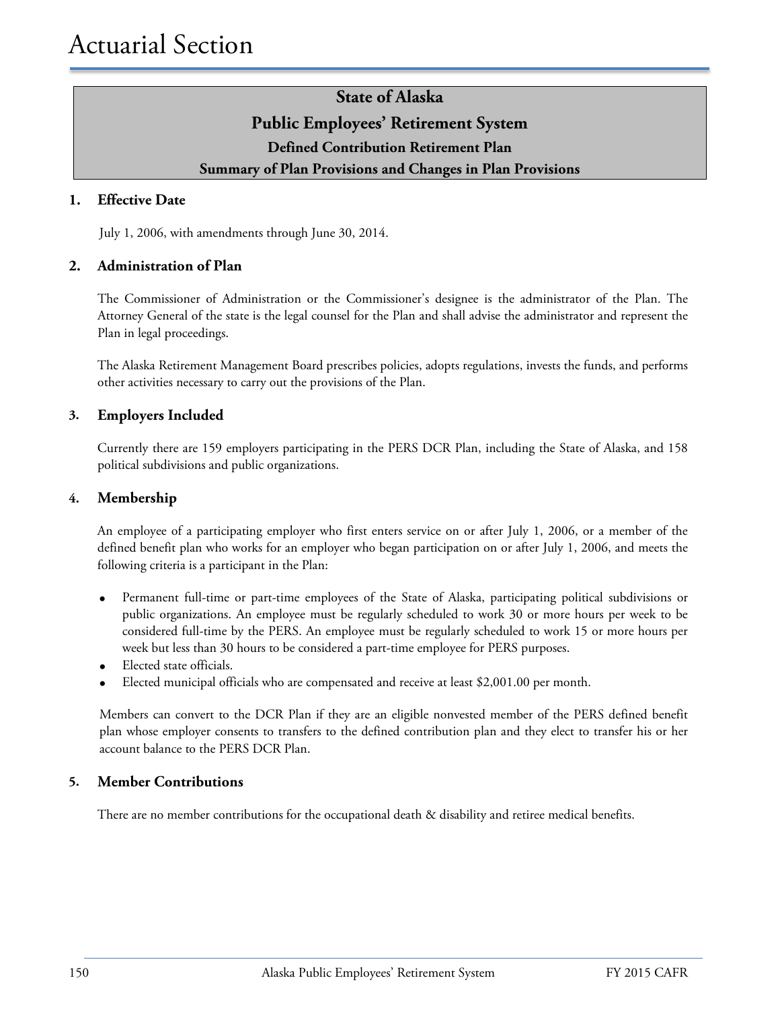### **State of Alaska Public Employees' Retirement System Defined Contribution Retirement Plan Summary of Plan Provisions and Changes in Plan Provisions**

#### **1. Effective Date**

July 1, 2006, with amendments through June 30, 2014.

#### **2. Administration of Plan**

The Commissioner of Administration or the Commissioner's designee is the administrator of the Plan. The Attorney General of the state is the legal counsel for the Plan and shall advise the administrator and represent the Plan in legal proceedings.

The Alaska Retirement Management Board prescribes policies, adopts regulations, invests the funds, and performs other activities necessary to carry out the provisions of the Plan.

#### **3. Employers Included**

Currently there are 159 employers participating in the PERS DCR Plan, including the State of Alaska, and 158 political subdivisions and public organizations.

#### **4. Membership**

An employee of a participating employer who first enters service on or after July 1, 2006, or a member of the defined benefit plan who works for an employer who began participation on or after July 1, 2006, and meets the following criteria is a participant in the Plan:

- Permanent full-time or part-time employees of the State of Alaska, participating political subdivisions or public organizations. An employee must be regularly scheduled to work 30 or more hours per week to be considered full-time by the PERS. An employee must be regularly scheduled to work 15 or more hours per week but less than 30 hours to be considered a part-time employee for PERS purposes.
- Elected state officials.
- Elected municipal officials who are compensated and receive at least \$2,001.00 per month.

Members can convert to the DCR Plan if they are an eligible nonvested member of the PERS defined benefit plan whose employer consents to transfers to the defined contribution plan and they elect to transfer his or her account balance to the PERS DCR Plan.

#### **5. Member Contributions**

There are no member contributions for the occupational death & disability and retiree medical benefits.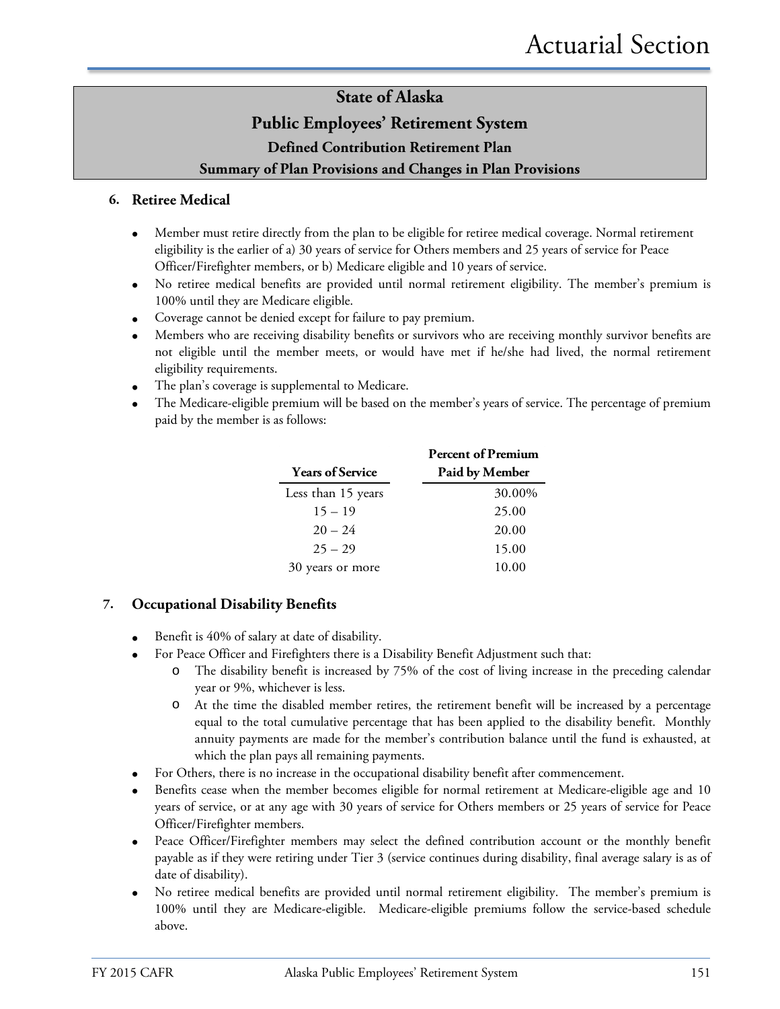#### **Public Employees' Retirement System**

**Defined Contribution Retirement Plan**

#### **Summary of Plan Provisions and Changes in Plan Provisions**

#### **6. Retiree Medical**

- Member must retire directly from the plan to be eligible for retiree medical coverage. Normal retirement eligibility is the earlier of a) 30 years of service for Others members and 25 years of service for Peace Officer/Firefighter members, or b) Medicare eligible and 10 years of service.
- No retiree medical benefits are provided until normal retirement eligibility. The member's premium is 100% until they are Medicare eligible.
- Coverage cannot be denied except for failure to pay premium.
- Members who are receiving disability benefits or survivors who are receiving monthly survivor benefits are not eligible until the member meets, or would have met if he/she had lived, the normal retirement eligibility requirements.
- The plan's coverage is supplemental to Medicare.
- The Medicare-eligible premium will be based on the member's years of service. The percentage of premium paid by the member is as follows:

|                         | <b>Percent of Premium</b> |
|-------------------------|---------------------------|
| <b>Years of Service</b> | Paid by Member            |
| Less than 15 years      | 30.00%                    |
| $15 - 19$               | 25.00                     |
| $20 - 24$               | 20.00                     |
| $25 - 29$               | 15.00                     |
| 30 years or more        | 10.00                     |

#### **7. Occupational Disability Benefits**

- Benefit is 40% of salary at date of disability.
- For Peace Officer and Firefighters there is a Disability Benefit Adjustment such that:
	- o The disability benefit is increased by 75% of the cost of living increase in the preceding calendar year or 9%, whichever is less.
	- o At the time the disabled member retires, the retirement benefit will be increased by a percentage equal to the total cumulative percentage that has been applied to the disability benefit. Monthly annuity payments are made for the member's contribution balance until the fund is exhausted, at which the plan pays all remaining payments.
- For Others, there is no increase in the occupational disability benefit after commencement.
- Benefits cease when the member becomes eligible for normal retirement at Medicare-eligible age and 10 years of service, or at any age with 30 years of service for Others members or 25 years of service for Peace Officer/Firefighter members.
- Peace Officer/Firefighter members may select the defined contribution account or the monthly benefit payable as if they were retiring under Tier 3 (service continues during disability, final average salary is as of date of disability).
- No retiree medical benefits are provided until normal retirement eligibility. The member's premium is 100% until they are Medicare-eligible. Medicare-eligible premiums follow the service-based schedule above.